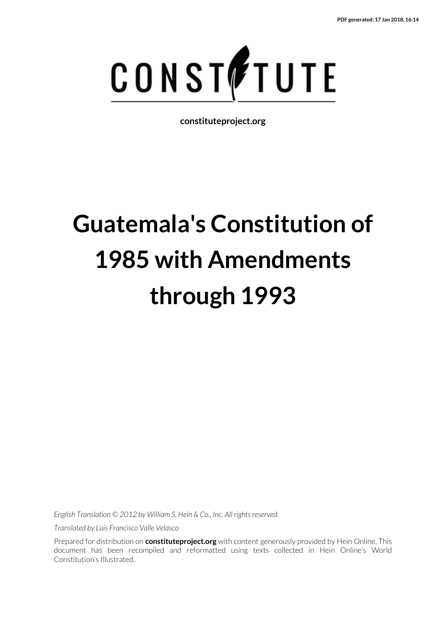

**constituteproject.org**

# **Guatemala's Constitution of 1985 with Amendments through 1993**

*English Translation © 2012 by William S. Hein & Co., Inc. All rights reserved.*

*Translated by Luis Francisco Valle Velasco*

Prepared for distribution on **constituteproject.org** with content generously provided by Hein Online. This document has been recompiled and reformatted using texts collected in Hein Online's World Constitution's Illustrated.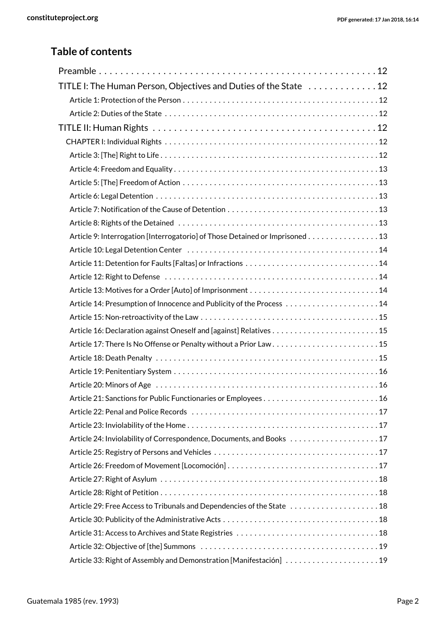# **Table of contents**

| TITLE I: The Human Person, Objectives and Duties of the State 12             |
|------------------------------------------------------------------------------|
|                                                                              |
|                                                                              |
|                                                                              |
|                                                                              |
|                                                                              |
|                                                                              |
|                                                                              |
|                                                                              |
|                                                                              |
|                                                                              |
| Article 9: Interrogation [Interrogatorio] of Those Detained or Imprisoned 13 |
|                                                                              |
|                                                                              |
|                                                                              |
|                                                                              |
|                                                                              |
|                                                                              |
|                                                                              |
|                                                                              |
|                                                                              |
|                                                                              |
|                                                                              |
|                                                                              |
|                                                                              |
|                                                                              |
| Article 24: Inviolability of Correspondence, Documents, and Books 17         |
|                                                                              |
|                                                                              |
|                                                                              |
|                                                                              |
| Article 29: Free Access to Tribunals and Dependencies of the State 18        |
|                                                                              |
| Article 31: Access to Archives and State Registries 18                       |
|                                                                              |
| Article 33: Right of Assembly and Demonstration [Manifestación] 19           |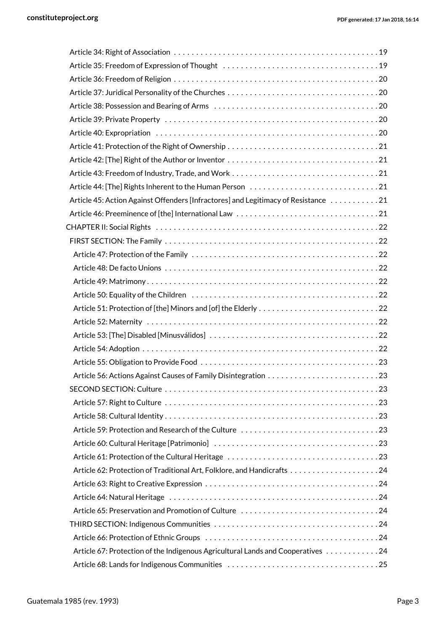| Article 44: [The] Rights Inherent to the Human Person 21                                                      |  |
|---------------------------------------------------------------------------------------------------------------|--|
| Article 45: Action Against Offenders [Infractores] and Legitimacy of Resistance 21                            |  |
|                                                                                                               |  |
|                                                                                                               |  |
|                                                                                                               |  |
|                                                                                                               |  |
|                                                                                                               |  |
|                                                                                                               |  |
|                                                                                                               |  |
|                                                                                                               |  |
|                                                                                                               |  |
|                                                                                                               |  |
|                                                                                                               |  |
|                                                                                                               |  |
|                                                                                                               |  |
|                                                                                                               |  |
|                                                                                                               |  |
|                                                                                                               |  |
|                                                                                                               |  |
|                                                                                                               |  |
|                                                                                                               |  |
|                                                                                                               |  |
|                                                                                                               |  |
| Article 64: Natural Heritage (and all contained according to the contact of the contact of the contact of the |  |
|                                                                                                               |  |
|                                                                                                               |  |
|                                                                                                               |  |
| Article 67: Protection of the Indigenous Agricultural Lands and Cooperatives 24                               |  |
|                                                                                                               |  |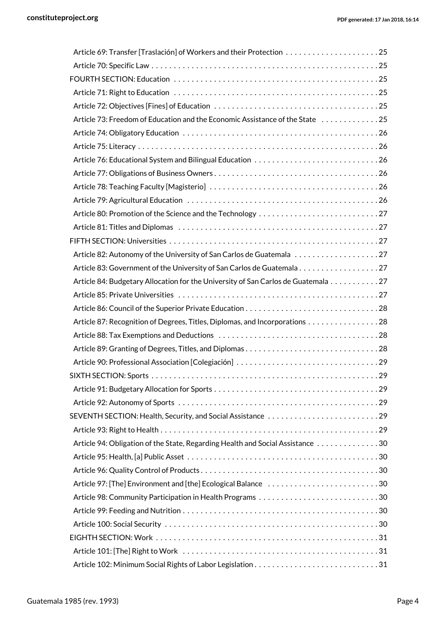| Article 73: Freedom of Education and the Economic Assistance of the State 25      |
|-----------------------------------------------------------------------------------|
|                                                                                   |
|                                                                                   |
|                                                                                   |
|                                                                                   |
|                                                                                   |
|                                                                                   |
|                                                                                   |
|                                                                                   |
|                                                                                   |
|                                                                                   |
| Article 83: Government of the University of San Carlos de Guatemala27             |
| Article 84: Budgetary Allocation for the University of San Carlos de Guatemala 27 |
|                                                                                   |
|                                                                                   |
| Article 87: Recognition of Degrees, Titles, Diplomas, and Incorporations 28       |
|                                                                                   |
| Article 89: Granting of Degrees, Titles, and Diplomas28                           |
|                                                                                   |
|                                                                                   |
|                                                                                   |
|                                                                                   |
| SEVENTH SECTION: Health, Security, and Social Assistance 29                       |
|                                                                                   |
| Article 94: Obligation of the State, Regarding Health and Social Assistance 30    |
|                                                                                   |
|                                                                                   |
| Article 97: [The] Environment and [the] Ecological Balance 30                     |
|                                                                                   |
|                                                                                   |
|                                                                                   |
|                                                                                   |
|                                                                                   |
|                                                                                   |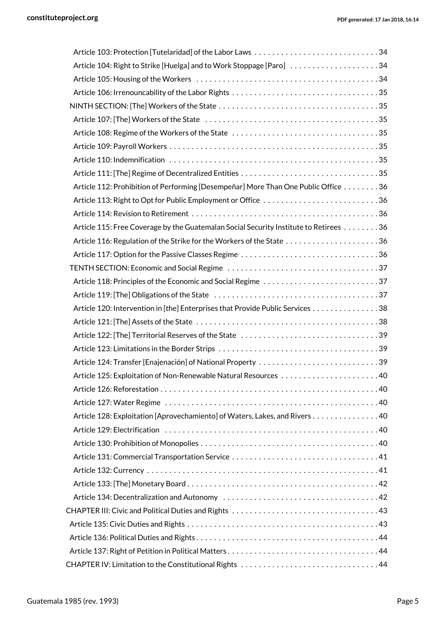| Article 103: Protection [Tutelaridad] of the Labor Laws 34                            |
|---------------------------------------------------------------------------------------|
|                                                                                       |
|                                                                                       |
|                                                                                       |
|                                                                                       |
|                                                                                       |
|                                                                                       |
|                                                                                       |
|                                                                                       |
|                                                                                       |
| Article 112: Prohibition of Performing [Desempeñar] More Than One Public Office 36    |
| Article 113: Right to Opt for Public Employment or Office 36                          |
|                                                                                       |
| Article 115: Free Coverage by the Guatemalan Social Security Institute to Retirees 36 |
|                                                                                       |
|                                                                                       |
|                                                                                       |
| Article 118: Principles of the Economic and Social Regime 37                          |
|                                                                                       |
| Article 120: Intervention in [the] Enterprises that Provide Public Services 38        |
|                                                                                       |
| Article 122: [The] Territorial Reserves of the State 39                               |
|                                                                                       |
|                                                                                       |
|                                                                                       |
|                                                                                       |
|                                                                                       |
| Article 128: Exploitation [Aprovechamiento] of Waters, Lakes, and Rivers 40           |
|                                                                                       |
|                                                                                       |
|                                                                                       |
|                                                                                       |
|                                                                                       |
|                                                                                       |
|                                                                                       |
|                                                                                       |
|                                                                                       |
|                                                                                       |
|                                                                                       |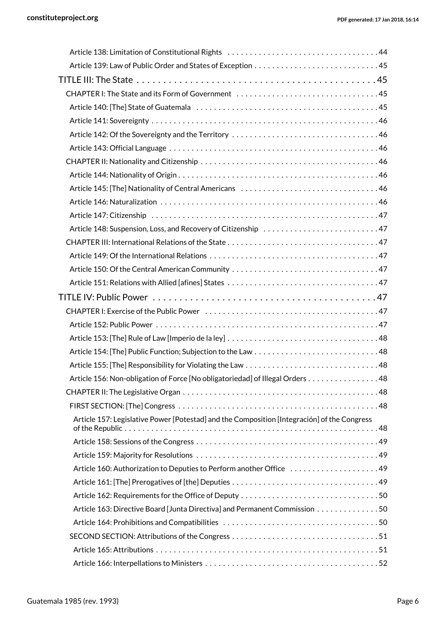| Article 148: Suspension, Loss, and Recovery of Citizenship 47                               |
|---------------------------------------------------------------------------------------------|
|                                                                                             |
|                                                                                             |
|                                                                                             |
|                                                                                             |
|                                                                                             |
|                                                                                             |
|                                                                                             |
|                                                                                             |
|                                                                                             |
| Article 155: [The] Responsibility for Violating the Law 48                                  |
| Article 156: Non-obligation of Force [No obligatoriedad] of Illegal Orders 48               |
|                                                                                             |
|                                                                                             |
| Article 157: Legislative Power [Potestad] and the Composition [Integración] of the Congress |
|                                                                                             |
|                                                                                             |
| Article 160: Authorization to Deputies to Perform another Office 49                         |
|                                                                                             |
| Article 162: Requirements for the Office of Deputy 50                                       |
| Article 163: Directive Board [Junta Directiva] and Permanent Commission 50                  |
| Article 164: Prohibitions and Compatibilities 50                                            |
|                                                                                             |
|                                                                                             |
|                                                                                             |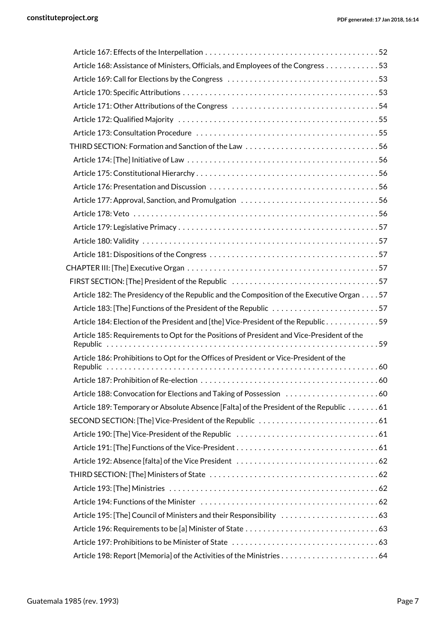| Article 168: Assistance of Ministers, Officials, and Employees of the Congress 53         |
|-------------------------------------------------------------------------------------------|
| Article 169: Call for Elections by the Congress 53                                        |
|                                                                                           |
| Article 171: Other Attributions of the Congress 54                                        |
|                                                                                           |
|                                                                                           |
| THIRD SECTION: Formation and Sanction of the Law 56                                       |
|                                                                                           |
|                                                                                           |
|                                                                                           |
|                                                                                           |
|                                                                                           |
|                                                                                           |
|                                                                                           |
|                                                                                           |
|                                                                                           |
| FIRST SECTION: [The] President of the Republic 57                                         |
| Article 182: The Presidency of the Republic and the Composition of the Executive Organ 57 |
| Article 183: [The] Functions of the President of the Republic 57                          |
| Article 184: Election of the President and [the] Vice-President of the Republic59         |
| Article 185: Requirements to Opt for the Positions of President and Vice-President of the |
| Article 186: Prohibitions to Opt for the Offices of President or Vice-President of the    |
|                                                                                           |
|                                                                                           |
|                                                                                           |
| Article 189: Temporary or Absolute Absence [Falta] of the President of the Republic 61    |
|                                                                                           |
|                                                                                           |
|                                                                                           |
|                                                                                           |
|                                                                                           |
|                                                                                           |
|                                                                                           |
|                                                                                           |
|                                                                                           |
|                                                                                           |
|                                                                                           |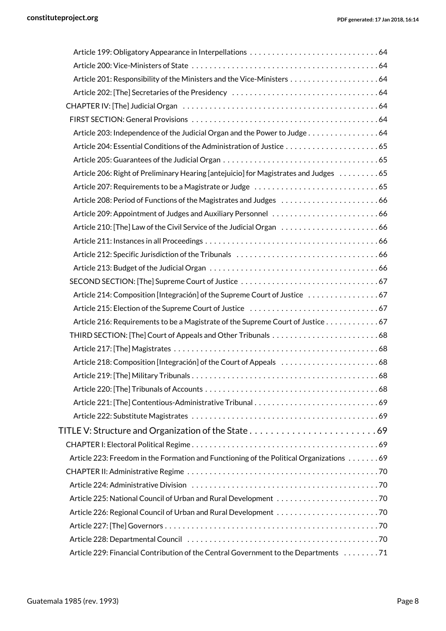| Article 206: Right of Preliminary Hearing [antejuicio] for Magistrates and Judges 65    |  |
|-----------------------------------------------------------------------------------------|--|
|                                                                                         |  |
|                                                                                         |  |
|                                                                                         |  |
|                                                                                         |  |
|                                                                                         |  |
|                                                                                         |  |
|                                                                                         |  |
|                                                                                         |  |
| Article 214: Composition [Integración] of the Supreme Court of Justice 67               |  |
|                                                                                         |  |
| Article 216: Requirements to be a Magistrate of the Supreme Court of Justice 67         |  |
|                                                                                         |  |
|                                                                                         |  |
|                                                                                         |  |
|                                                                                         |  |
|                                                                                         |  |
|                                                                                         |  |
|                                                                                         |  |
|                                                                                         |  |
|                                                                                         |  |
| Article 223: Freedom in the Formation and Functioning of the Political Organizations 69 |  |
|                                                                                         |  |
|                                                                                         |  |
|                                                                                         |  |
|                                                                                         |  |
|                                                                                         |  |
|                                                                                         |  |
| Article 229: Financial Contribution of the Central Government to the Departments 71     |  |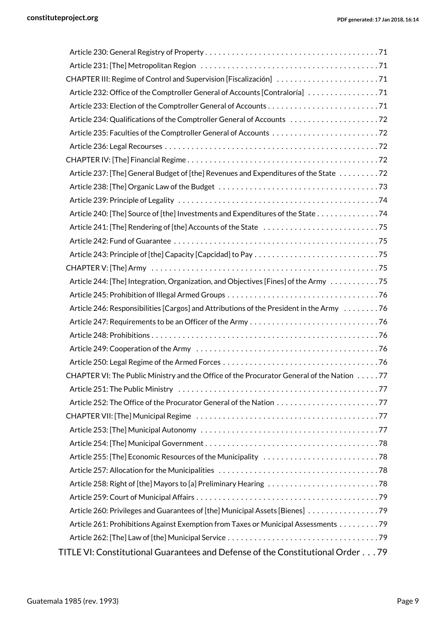| Article 232: Office of the Comptroller General of Accounts [Contraloría] 71               |
|-------------------------------------------------------------------------------------------|
|                                                                                           |
|                                                                                           |
|                                                                                           |
|                                                                                           |
|                                                                                           |
| Article 237: [The] General Budget of [the] Revenues and Expenditures of the State 72      |
|                                                                                           |
|                                                                                           |
| Article 240: [The] Source of [the] Investments and Expenditures of the State 74           |
|                                                                                           |
|                                                                                           |
|                                                                                           |
|                                                                                           |
| Article 244: [The] Integration, Organization, and Objectives [Fines] of the Army 75       |
|                                                                                           |
| Article 246: Responsibilities [Cargos] and Attributions of the President in the Army 76   |
|                                                                                           |
|                                                                                           |
|                                                                                           |
|                                                                                           |
| CHAPTER VI: The Public Ministry and the Office of the Procurator General of the Nation 77 |
|                                                                                           |
|                                                                                           |
|                                                                                           |
|                                                                                           |
|                                                                                           |
|                                                                                           |
|                                                                                           |
|                                                                                           |
|                                                                                           |
| Article 260: Privileges and Guarantees of [the] Municipal Assets [Bienes] 79              |
| Article 261: Prohibitions Against Exemption from Taxes or Municipal Assessments 79        |
|                                                                                           |
| TITLE VI: Constitutional Guarantees and Defense of the Constitutional Order 79            |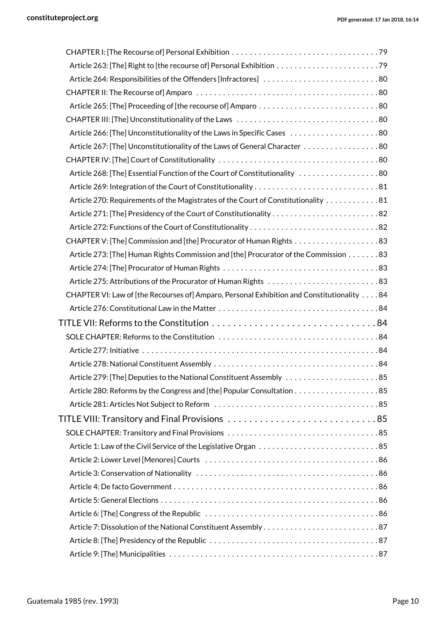| Article 264: Responsibilities of the Offenders [Infractores] 80                            |
|--------------------------------------------------------------------------------------------|
|                                                                                            |
|                                                                                            |
|                                                                                            |
| Article 266: [The] Unconstitutionality of the Laws in Specific Cases 80                    |
| Article 267: [The] Unconstitutionality of the Laws of General Character 80                 |
|                                                                                            |
| Article 268: [The] Essential Function of the Court of Constitutionality 80                 |
|                                                                                            |
| Article 270: Requirements of the Magistrates of the Court of Constitutionality 81          |
|                                                                                            |
|                                                                                            |
|                                                                                            |
| Article 273: [The] Human Rights Commission and [the] Procurator of the Commission 83       |
|                                                                                            |
|                                                                                            |
| CHAPTER VI: Law of [the Recourses of] Amparo, Personal Exhibition and Constitutionality 84 |
|                                                                                            |
|                                                                                            |
|                                                                                            |
|                                                                                            |
|                                                                                            |
|                                                                                            |
| Article 280: Reforms by the Congress and [the] Popular Consultation 85                     |
|                                                                                            |
|                                                                                            |
|                                                                                            |
|                                                                                            |
|                                                                                            |
|                                                                                            |
|                                                                                            |
|                                                                                            |
|                                                                                            |
|                                                                                            |
|                                                                                            |
|                                                                                            |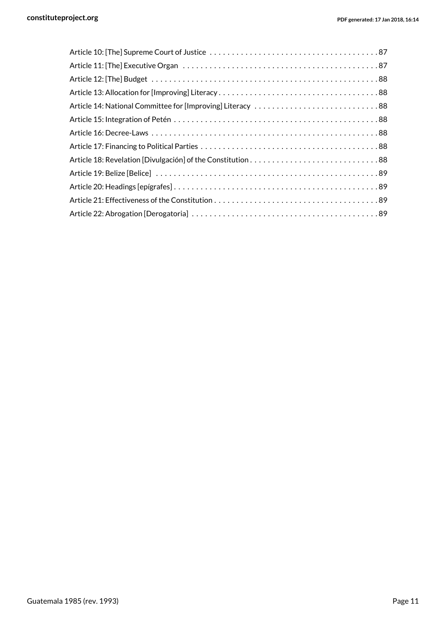| Article 14: National Committee for [Improving] Literacy 88 |  |
|------------------------------------------------------------|--|
|                                                            |  |
|                                                            |  |
|                                                            |  |
|                                                            |  |
|                                                            |  |
|                                                            |  |
|                                                            |  |
|                                                            |  |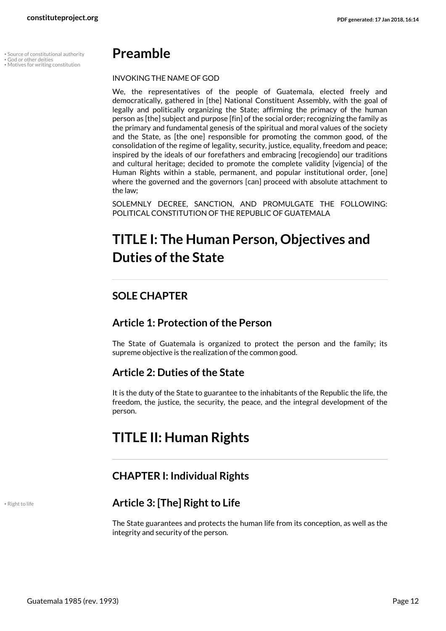• • Source of constitutional authority

#### • Motives for writing constitution

# <span id="page-11-0"></span>**Preamble**

INVOKING THE NAME OF GOD

We, the representatives of the people of Guatemala, elected freely and democratically, gathered in [the] National Constituent Assembly, with the goal of legally and politically organizing the State; affirming the primacy of the human person as [the] subject and purpose [fin] of the social order; recognizing the family as the primary and fundamental genesis of the spiritual and moral values of the society and the State, as [the one] responsible for promoting the common good, of the consolidation of the regime of legality, security, justice, equality, freedom and peace; inspired by the ideals of our forefathers and embracing [recogiendo] our traditions and cultural heritage; decided to promote the complete validity [vigencia] of the Human Rights within a stable, permanent, and popular institutional order, [one] where the governed and the governors [can] proceed with absolute attachment to the law;

SOLEMNLY DECREE, SANCTION, AND PROMULGATE THE FOLLOWING: POLITICAL CONSTITUTION OF THE REPUBLIC OF GUATEMALA

# <span id="page-11-1"></span>**TITLE I: The Human Person, Objectives and Duties of the State**

# **SOLE CHAPTER**

#### <span id="page-11-2"></span>**Article 1: Protection of the Person**

The State of Guatemala is organized to protect the person and the family; its supreme objective is the realization of the common good.

# <span id="page-11-3"></span>**Article 2: Duties of the State**

It is the duty of the State to guarantee to the inhabitants of the Republic the life, the freedom, the justice, the security, the peace, and the integral development of the person.

# <span id="page-11-4"></span>**TITLE II: Human Rights**

# <span id="page-11-6"></span><span id="page-11-5"></span>**CHAPTER I: Individual Rights**

# • Right to life **Article 3: [The] Right to Life**

The State guarantees and protects the human life from its conception, as well as the integrity and security of the person.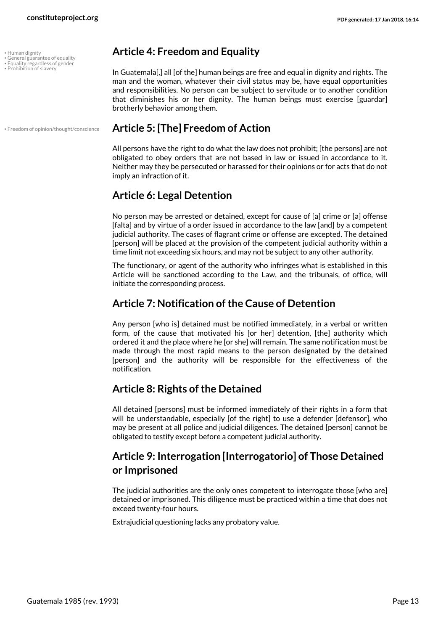- General guarantee of equality Equality regardless of gender
- 
- 

# • Human dignity **Article 4: Freedom and Equality**

• Prohibition of slavery In Guatemala[,] all [of the] human beings are free and equal in dignity and rights. The man and the woman, whatever their civil status may be, have equal opportunities and responsibilities. No person can be subject to servitude or to another condition that diminishes his or her dignity. The human beings must exercise [guardar] brotherly behavior among them.

#### • Freedom of opinion/thought/conscience **Article 5: [The] Freedom of Action**

<span id="page-12-1"></span><span id="page-12-0"></span>All persons have the right to do what the law does not prohibit; [the persons] are not obligated to obey orders that are not based in law or issued in accordance to it. Neither may they be persecuted or harassed for their opinions or for acts that do not imply an infraction of it.

# <span id="page-12-2"></span>**Article 6: Legal Detention**

No person may be arrested or detained, except for cause of [a] crime or [a] offense [falta] and by virtue of a order issued in accordance to the law [and] by a competent judicial authority. The cases of flagrant crime or offense are excepted. The detained [person] will be placed at the provision of the competent judicial authority within a time limit not exceeding six hours, and may not be subject to any other authority.

The functionary, or agent of the authority who infringes what is established in this Article will be sanctioned according to the Law, and the tribunals, of office, will initiate the corresponding process.

#### <span id="page-12-3"></span>**Article 7: Notification of the Cause of Detention**

Any person [who is] detained must be notified immediately, in a verbal or written form, of the cause that motivated his [or her] detention, [the] authority which ordered it and the place where he [or she] will remain. The same notification must be made through the most rapid means to the person designated by the detained [person] and the authority will be responsible for the effectiveness of the notification.

# <span id="page-12-4"></span>**Article 8: Rights of the Detained**

All detained [persons] must be informed immediately of their rights in a form that will be understandable, especially [of the right] to use a defender [defensor], who may be present at all police and judicial diligences. The detained [person] cannot be obligated to testify except before a competent judicial authority.

# <span id="page-12-5"></span>**Article 9: Interrogation [Interrogatorio] of Those Detained or Imprisoned**

The judicial authorities are the only ones competent to interrogate those [who are] detained or imprisoned. This diligence must be practiced within a time that does not exceed twenty-four hours.

Extrajudicial questioning lacks any probatory value.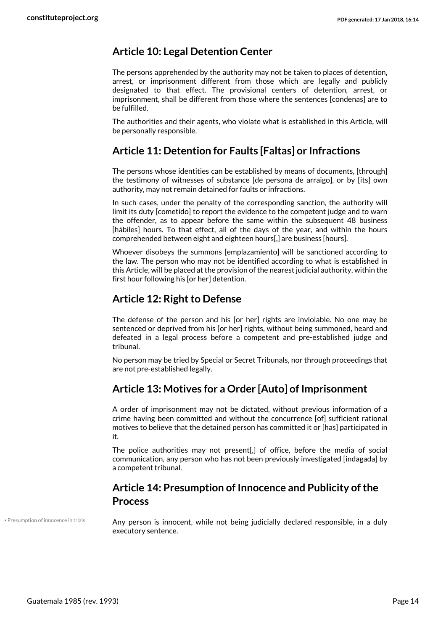#### <span id="page-13-0"></span>**Article 10: Legal Detention Center**

The persons apprehended by the authority may not be taken to places of detention, arrest, or imprisonment different from those which are legally and publicly designated to that effect. The provisional centers of detention, arrest, or imprisonment, shall be different from those where the sentences [condenas] are to be fulfilled.

The authorities and their agents, who violate what is established in this Article, will be personally responsible.

#### <span id="page-13-1"></span>**Article 11: Detention for Faults [Faltas] or Infractions**

The persons whose identities can be established by means of documents, [through] the testimony of witnesses of substance [de persona de arraigo], or by [its] own authority, may not remain detained for faults or infractions.

In such cases, under the penalty of the corresponding sanction, the authority will limit its duty [cometido] to report the evidence to the competent judge and to warn the offender, as to appear before the same within the subsequent 48 business [hábiles] hours. To that effect, all of the days of the year, and within the hours comprehended between eight and eighteen hours[,] are business [hours].

Whoever disobeys the summons [emplazamiento] will be sanctioned according to the law. The person who may not be identified according to what is established in this Article, will be placed at the provision of the nearest judicial authority, within the first hour following his [or her] detention.

#### <span id="page-13-2"></span>**Article 12: Right to Defense**

The defense of the person and his [or her] rights are inviolable. No one may be sentenced or deprived from his [or her] rights, without being summoned, heard and defeated in a legal process before a competent and pre-established judge and tribunal.

No person may be tried by Special or Secret Tribunals, nor through proceedings that are not pre-established legally.

#### <span id="page-13-3"></span>**Article 13: Motives for a Order [Auto] of Imprisonment**

A order of imprisonment may not be dictated, without previous information of a crime having been committed and without the concurrence [of] sufficient rational motives to believe that the detained person has committed it or [has] participated in it.

The police authorities may not present[,] of office, before the media of social communication, any person who has not been previously investigated [indagada] by a competent tribunal.

#### <span id="page-13-4"></span>**Article 14: Presumption of Innocence and Publicity of the Process**

• Presumption of innocence in trials

Any person is innocent, while not being judicially declared responsible, in a duly executory sentence.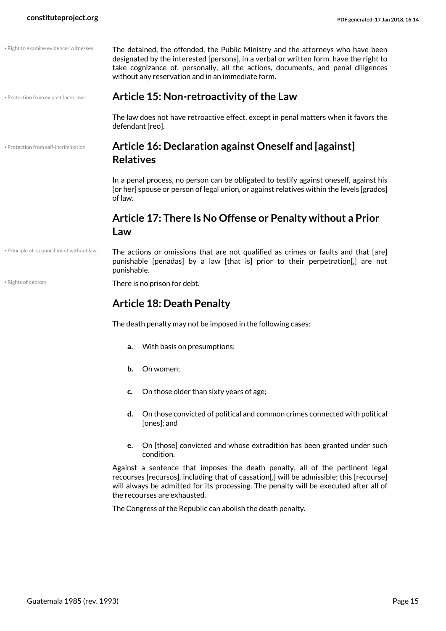<span id="page-14-2"></span><span id="page-14-1"></span><span id="page-14-0"></span>

| . Right to examine evidence/ witnesses   | The detained, the offended, the Public Ministry and the attorneys who have been<br>designated by the interested [persons], in a verbal or written form, have the right to<br>take cognizance of, personally, all the actions, documents, and penal diligences<br>without any reservation and in an immediate form. |
|------------------------------------------|--------------------------------------------------------------------------------------------------------------------------------------------------------------------------------------------------------------------------------------------------------------------------------------------------------------------|
| . Protection from ex post facto laws     | Article 15: Non-retroactivity of the Law                                                                                                                                                                                                                                                                           |
|                                          | The law does not have retroactive effect, except in penal matters when it favors the<br>defendant [reo].                                                                                                                                                                                                           |
| • Protection from self-incrimination     | Article 16: Declaration against Oneself and [against]<br><b>Relatives</b>                                                                                                                                                                                                                                          |
|                                          | In a penal process, no person can be obligated to testify against oneself, against his<br>[or her] spouse or person of legal union, or against relatives within the levels [grados]<br>of law.                                                                                                                     |
|                                          | Article 17: There Is No Offense or Penalty without a Prior<br>Law                                                                                                                                                                                                                                                  |
| . Principle of no punishment without law | The actions or omissions that are not qualified as crimes or faults and that [are]<br>punishable [penadas] by a law [that is] prior to their perpetration[,] are not<br>punishable.                                                                                                                                |
| · Rights of debtors                      | There is no prison for debt.                                                                                                                                                                                                                                                                                       |
|                                          | <b>Article 18: Death Penalty</b>                                                                                                                                                                                                                                                                                   |
|                                          | The death penalty may not be imposed in the following cases:                                                                                                                                                                                                                                                       |
|                                          | With basis on presumptions;<br>a.                                                                                                                                                                                                                                                                                  |
|                                          | b.<br>On women:                                                                                                                                                                                                                                                                                                    |
|                                          | On those older than sixty years of age;<br>c.                                                                                                                                                                                                                                                                      |
|                                          | On those convicted of political and common crimes connected with political<br>d.<br>[ones]; and                                                                                                                                                                                                                    |
|                                          | On [those] convicted and whose extradition has been granted under such<br>e.<br>condition.                                                                                                                                                                                                                         |

<span id="page-14-3"></span>Against a sentence that imposes the death penalty, all of the pertinent legal recourses [recursos], including that of cassation[,] will be admissible; this [recourse] will always be admitted for its processing. The penalty will be executed after all of the recourses are exhausted.

The Congress of the Republic can abolish the death penalty.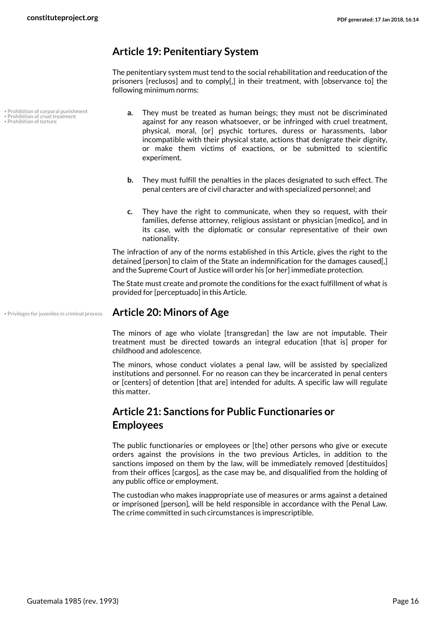# <span id="page-15-0"></span>**Article 19: Penitentiary System**

The penitentiary system must tend to the social rehabilitation and reeducation of the prisoners [reclusos] and to comply[,] in their treatment, with [observance to] the following minimum norms:

- Prohibition of corporal punishment
- Prohibition of cruel treatment • Prohibition of torture
- **a.** They must be treated as human beings; they must not be discriminated against for any reason whatsoever, or be infringed with cruel treatment, physical, moral, [or] psychic tortures, duress or harassments, labor incompatible with their physical state, actions that denigrate their dignity, or make them victims of exactions, or be submitted to scientific experiment.
- **b.** They must fulfill the penalties in the places designated to such effect. The penal centers are of civil character and with specialized personnel; and
- **c.** They have the right to communicate, when they so request, with their families, defense attorney, religious assistant or physician [medico], and in its case, with the diplomatic or consular representative of their own nationality.

The infraction of any of the norms established in this Article, gives the right to the detained [person] to claim of the State an indemnification for the damages caused[,] and the Supreme Court of Justice will order his [or her] immediate protection.

<span id="page-15-1"></span>The State must create and promote the conditions for the exact fulfillment of what is provided for [perceptuado] in this Article.

#### • Privileges for juveniles in criminal process **Article 20: Minors of Age**

The minors of age who violate [transgredan] the law are not imputable. Their treatment must be directed towards an integral education [that is] proper for childhood and adolescence.

The minors, whose conduct violates a penal law, will be assisted by specialized institutions and personnel. For no reason can they be incarcerated in penal centers or [centers] of detention [that are] intended for adults. A specific law will regulate this matter.

# <span id="page-15-2"></span>**Article 21: Sanctions for Public Functionaries or Employees**

The public functionaries or employees or [the] other persons who give or execute orders against the provisions in the two previous Articles, in addition to the sanctions imposed on them by the law, will be immediately removed [destituidos] from their offices [cargos], as the case may be, and disqualified from the holding of any public office or employment.

The custodian who makes inappropriate use of measures or arms against a detained or imprisoned [person], will be held responsible in accordance with the Penal Law. The crime committed in such circumstances is imprescriptible.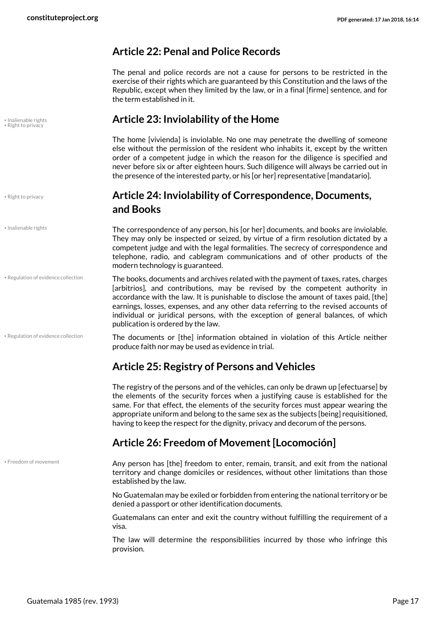• Right to privacy

• Right to privacy

• Inalienable rights

#### <span id="page-16-0"></span>**Article 22: Penal and Police Records**

The penal and police records are not a cause for persons to be restricted in the exercise of their rights which are guaranteed by this Constitution and the laws of the Republic, except when they limited by the law, or in a final [firme] sentence, and for the term established in it.

#### • Inalienable rights **Article 23: Inviolability of the Home**

<span id="page-16-1"></span>The home [vivienda] is inviolable. No one may penetrate the dwelling of someone else without the permission of the resident who inhabits it, except by the written order of a competent judge in which the reason for the diligence is specified and never before six or after eighteen hours. Such diligence will always be carried out in the presence of the interested party, or his [or her] representative [mandatario].

#### <span id="page-16-2"></span>**Article 24: Inviolability of Correspondence, Documents, and Books**

The correspondence of any person, his [or her] documents, and books are inviolable. They may only be inspected or seized, by virtue of a firm resolution dictated by a competent judge and with the legal formalities. The secrecy of correspondence and telephone, radio, and cablegram communications and of other products of the modern technology is guaranteed.

The books, documents and archives related with the payment of taxes, rates, charges [arbitrios], and contributions, may be revised by the competent authority in accordance with the law. It is punishable to disclose the amount of taxes paid, [the] earnings, losses, expenses, and any other data referring to the revised accounts of individual or juridical persons, with the exception of general balances, of which publication is ordered by the law. • Regulation of evidence collection

> The documents or [the] information obtained in violation of this Article neither produce faith nor may be used as evidence in trial.

# <span id="page-16-3"></span>**Article 25: Registry of Persons and Vehicles**

The registry of the persons and of the vehicles, can only be drawn up [efectuarse] by the elements of the security forces when a justifying cause is established for the same. For that effect, the elements of the security forces must appear wearing the appropriate uniform and belong to the same sex as the subjects [being] requisitioned, having to keep the respect for the dignity, privacy and decorum of the persons.

# <span id="page-16-4"></span>**Article 26: Freedom of Movement [Locomoción]**

Any person has [the] freedom to enter, remain, transit, and exit from the national territory and change domiciles or residences, without other limitations than those established by the law.

No Guatemalan may be exiled or forbidden from entering the national territory or be denied a passport or other identification documents.

Guatemalans can enter and exit the country without fulfilling the requirement of a visa.

The law will determine the responsibilities incurred by those who infringe this provision.

• Freedom of movement

• Regulation of evidence collection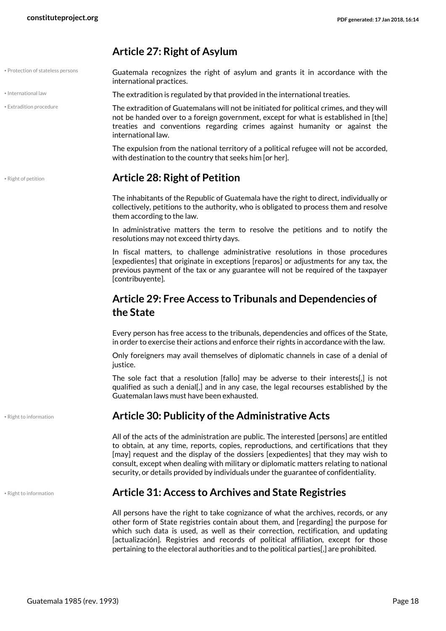#### <span id="page-17-0"></span>**Article 27: Right of Asylum**

• Protection of stateless persons

• Extradition procedure

Guatemala recognizes the right of asylum and grants it in accordance with the international practices.

• International law **The extradition is regulated by that provided in the international treaties.** 

The extradition of Guatemalans will not be initiated for political crimes, and they will not be handed over to a foreign government, except for what is established in [the] treaties and conventions regarding crimes against humanity or against the international law.

<span id="page-17-1"></span>The expulsion from the national territory of a political refugee will not be accorded, with destination to the country that seeks him [or her].

#### • Right of petition **Article 28: Right of Petition**

The inhabitants of the Republic of Guatemala have the right to direct, individually or collectively, petitions to the authority, who is obligated to process them and resolve them according to the law.

In administrative matters the term to resolve the petitions and to notify the resolutions may not exceed thirty days.

In fiscal matters, to challenge administrative resolutions in those procedures [expedientes] that originate in exceptions [reparos] or adjustments for any tax, the previous payment of the tax or any guarantee will not be required of the taxpayer [contribuyente].

# <span id="page-17-2"></span>**Article 29: Free Access to Tribunals and Dependencies of the State**

Every person has free access to the tribunals, dependencies and offices of the State, in order to exercise their actions and enforce their rights in accordance with the law.

Only foreigners may avail themselves of diplomatic channels in case of a denial of justice.

The sole fact that a resolution [fallo] may be adverse to their interests[,] is not qualified as such a denial[,] and in any case, the legal recourses established by the Guatemalan laws must have been exhausted.

#### • Right to information **Article 30: Publicity of the Administrative Acts**

<span id="page-17-3"></span>All of the acts of the administration are public. The interested [persons] are entitled to obtain, at any time, reports, copies, reproductions, and certifications that they [may] request and the display of the dossiers [expedientes] that they may wish to consult, except when dealing with military or diplomatic matters relating to national security, or details provided by individuals under the guarantee of confidentiality.

#### • Right to information **Article 31: Access to Archives and State Registries**

<span id="page-17-4"></span>All persons have the right to take cognizance of what the archives, records, or any other form of State registries contain about them, and [regarding] the purpose for which such data is used, as well as their correction, rectification, and updating [actualización]. Registries and records of political affiliation, except for those pertaining to the electoral authorities and to the political parties[,] are prohibited.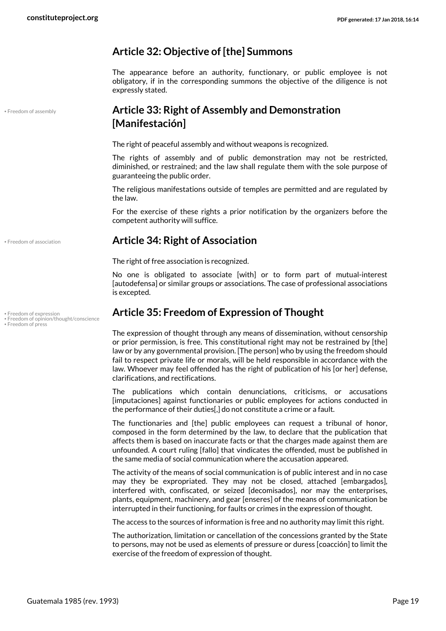## <span id="page-18-0"></span>**Article 32: Objective of [the] Summons**

The appearance before an authority, functionary, or public employee is not obligatory, if in the corresponding summons the objective of the diligence is not expressly stated.

• Freedom of assembly

#### <span id="page-18-1"></span>**Article 33: Right of Assembly and Demonstration [Manifestación]**

The right of peaceful assembly and without weapons is recognized.

The rights of assembly and of public demonstration may not be restricted, diminished, or restrained; and the law shall regulate them with the sole purpose of guaranteeing the public order.

The religious manifestations outside of temples are permitted and are regulated by the law.

<span id="page-18-2"></span>For the exercise of these rights a prior notification by the organizers before the competent authority will suffice.

• Freedom of opinion/thought/conscience • Freedom of press

#### • Freedom of association **Article 34: Right of Association**

The right of free association is recognized.

No one is obligated to associate [with] or to form part of mutual-interest [autodefensa] or similar groups or associations. The case of professional associations is excepted.

#### • Freedom of expression **Article 35: Freedom of Expression of Thought**

<span id="page-18-3"></span>The expression of thought through any means of dissemination, without censorship or prior permission, is free. This constitutional right may not be restrained by [the] law or by any governmental provision. [The person] who by using the freedom should fail to respect private life or morals, will be held responsible in accordance with the law. Whoever may feel offended has the right of publication of his [or her] defense, clarifications, and rectifications.

The publications which contain denunciations, criticisms, or accusations [imputaciones] against functionaries or public employees for actions conducted in the performance of their duties[,] do not constitute a crime or a fault.

The functionaries and [the] public employees can request a tribunal of honor, composed in the form determined by the law, to declare that the publication that affects them is based on inaccurate facts or that the charges made against them are unfounded. A court ruling [fallo] that vindicates the offended, must be published in the same media of social communication where the accusation appeared.

The activity of the means of social communication is of public interest and in no case may they be expropriated. They may not be closed, attached [embargados], interfered with, confiscated, or seized [decomisados], nor may the enterprises, plants, equipment, machinery, and gear [enseres] of the means of communication be interrupted in their functioning, for faults or crimes in the expression of thought.

The access to the sources of information is free and no authority may limit this right.

The authorization, limitation or cancellation of the concessions granted by the State to persons, may not be used as elements of pressure or duress [coacción] to limit the exercise of the freedom of expression of thought.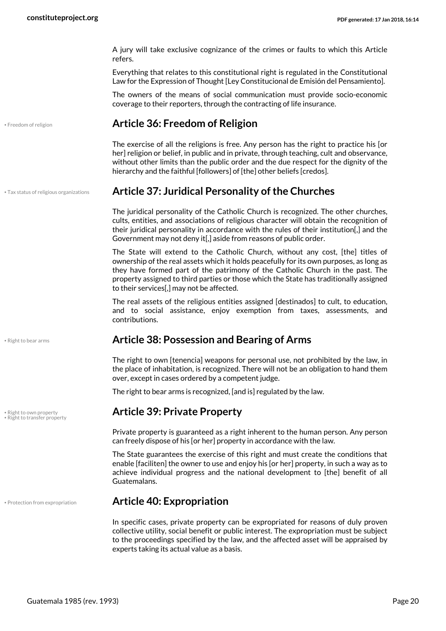A jury will take exclusive cognizance of the crimes or faults to which this Article refers.

Everything that relates to this constitutional right is regulated in the Constitutional Law for the Expression of Thought [Ley Constitucional de Emisión del Pensamiento].

<span id="page-19-0"></span>The owners of the means of social communication must provide socio-economic coverage to their reporters, through the contracting of life insurance.

#### • Freedom of religion **Article 36: Freedom of Religion**

The exercise of all the religions is free. Any person has the right to practice his [or her] religion or belief, in public and in private, through teaching, cult and observance, without other limits than the public order and the due respect for the dignity of the hierarchy and the faithful [followers] of [the] other beliefs [credos].

#### • Tax status of religious organizations **Article 37: Juridical Personality of the Churches**

<span id="page-19-1"></span>The juridical personality of the Catholic Church is recognized. The other churches, cults, entities, and associations of religious character will obtain the recognition of their juridical personality in accordance with the rules of their institution[,] and the Government may not deny it[,] aside from reasons of public order.

The State will extend to the Catholic Church, without any cost, [the] titles of ownership of the real assets which it holds peacefully for its own purposes, as long as they have formed part of the patrimony of the Catholic Church in the past. The property assigned to third parties or those which the State has traditionally assigned to their services[,] may not be affected.

The real assets of the religious entities assigned [destinados] to cult, to education, and to social assistance, enjoy exemption from taxes, assessments, and contributions.

#### • Right to bear arms **Article 38: Possession and Bearing of Arms**

<span id="page-19-2"></span>The right to own [tenencia] weapons for personal use, not prohibited by the law, in the place of inhabitation, is recognized. There will not be an obligation to hand them over, except in cases ordered by a competent judge.

<span id="page-19-3"></span>The right to bear arms is recognized, [and is] regulated by the law.

#### • Right to own property **Article 39: Private Property**

Private property is guaranteed as a right inherent to the human person. Any person can freely dispose of his [or her] property in accordance with the law.

The State guarantees the exercise of this right and must create the conditions that enable [faciliten] the owner to use and enjoy his [or her] property, in such a way as to achieve individual progress and the national development to [the] benefit of all Guatemalans.

#### • Protection from expropriation **Article 40: Expropriation**

<span id="page-19-4"></span>In specific cases, private property can be expropriated for reasons of duly proven collective utility, social benefit or public interest. The expropriation must be subject to the proceedings specified by the law, and the affected asset will be appraised by experts taking its actual value as a basis.

• Right to transfer property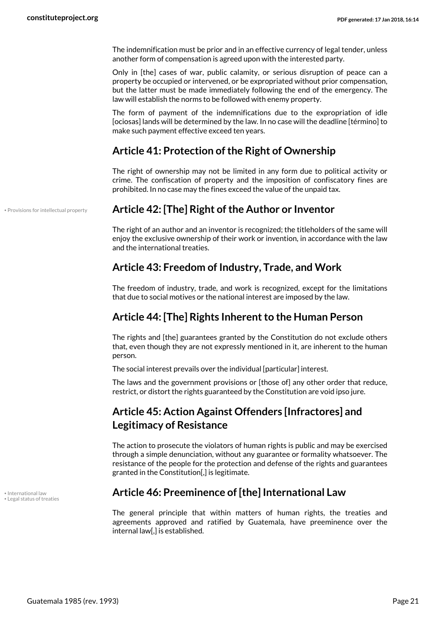The indemnification must be prior and in an effective currency of legal tender, unless another form of compensation is agreed upon with the interested party.

Only in [the] cases of war, public calamity, or serious disruption of peace can a property be occupied or intervened, or be expropriated without prior compensation, but the latter must be made immediately following the end of the emergency. The law will establish the norms to be followed with enemy property.

The form of payment of the indemnifications due to the expropriation of idle [ociosas] lands will be determined by the law. In no case will the deadline [término] to make such payment effective exceed ten years.

#### <span id="page-20-0"></span>**Article 41: Protection of the Right of Ownership**

The right of ownership may not be limited in any form due to political activity or crime. The confiscation of property and the imposition of confiscatory fines are prohibited. In no case may the fines exceed the value of the unpaid tax.

#### • Provisions for intellectual property **Article 42: [The] Right of the Author or Inventor**

<span id="page-20-1"></span>The right of an author and an inventor is recognized; the titleholders of the same will enjoy the exclusive ownership of their work or invention, in accordance with the law and the international treaties.

#### <span id="page-20-2"></span>**Article 43: Freedom of Industry, Trade, and Work**

The freedom of industry, trade, and work is recognized, except for the limitations that due to social motives or the national interest are imposed by the law.

#### <span id="page-20-3"></span>**Article 44: [The] Rights Inherent to the Human Person**

The rights and [the] guarantees granted by the Constitution do not exclude others that, even though they are not expressly mentioned in it, are inherent to the human person.

The social interest prevails over the individual [particular] interest.

The laws and the government provisions or [those of] any other order that reduce, restrict, or distort the rights guaranteed by the Constitution are void ipso jure.

# <span id="page-20-4"></span>**Article 45: Action Against Offenders [Infractores] and Legitimacy of Resistance**

The action to prosecute the violators of human rights is public and may be exercised through a simple denunciation, without any guarantee or formality whatsoever. The resistance of the people for the protection and defense of the rights and guarantees granted in the Constitution[,] is legitimate.

# **•** International law **Article 46: Preeminence of [the] International Law** • Legal status of treaties

<span id="page-20-5"></span>The general principle that within matters of human rights, the treaties and agreements approved and ratified by Guatemala, have preeminence over the internal law[,] is established.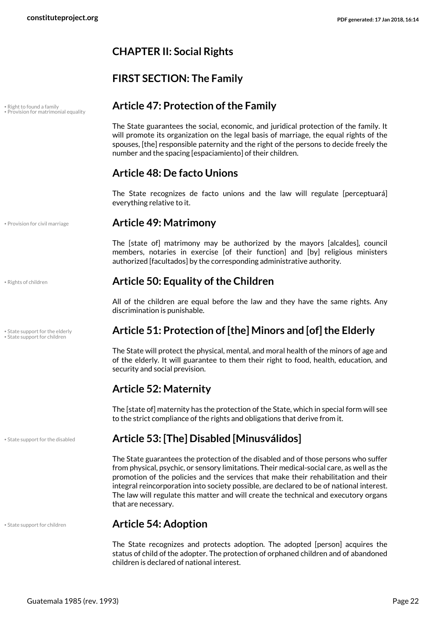• Provision for matrimonial equality

# <span id="page-21-0"></span>**CHAPTER II: Social Rights**

# <span id="page-21-2"></span><span id="page-21-1"></span>**FIRST SECTION: The Family**

#### • Right to found a family **Article 47: Protection of the Family**

The State guarantees the social, economic, and juridical protection of the family. It will promote its organization on the legal basis of marriage, the equal rights of the spouses, [the] responsible paternity and the right of the persons to decide freely the number and the spacing [espaciamiento] of their children.

#### <span id="page-21-3"></span>**Article 48: De facto Unions**

<span id="page-21-4"></span>The State recognizes de facto unions and the law will regulate [perceptuará] everything relative to it.

#### • Provision for civil marriage **Article 49: Matrimony**

The [state of] matrimony may be authorized by the mayors [alcaldes], council members, notaries in exercise [of their function] and [by] religious ministers authorized [facultados] by the corresponding administrative authority.

#### • Rights of children **Article 50: Equality of the Children**

<span id="page-21-6"></span><span id="page-21-5"></span>All of the children are equal before the law and they have the same rights. Any discrimination is punishable.

# • State support for the elderly **Article 51: Protection of [the] Minors and [of] the Elderly**

The State will protect the physical, mental, and moral health of the minors of age and of the elderly. It will guarantee to them their right to food, health, education, and security and social prevision.

# <span id="page-21-7"></span>**Article 52: Maternity**

<span id="page-21-8"></span>The [state of] maternity has the protection of the State, which in special form will see to the strict compliance of the rights and obligations that derive from it.

# • State support for the disabled **Article 53: [The] Disabled [Minusválidos]**

The State guarantees the protection of the disabled and of those persons who suffer from physical, psychic, or sensory limitations. Their medical-social care, as well as the promotion of the policies and the services that make their rehabilitation and their integral reincorporation into society possible, are declared to be of national interest. The law will regulate this matter and will create the technical and executory organs that are necessary.

#### • State support for children **Article 54: Adoption**

<span id="page-21-9"></span>The State recognizes and protects adoption. The adopted [person] acquires the status of child of the adopter. The protection of orphaned children and of abandoned children is declared of national interest.

• State support for children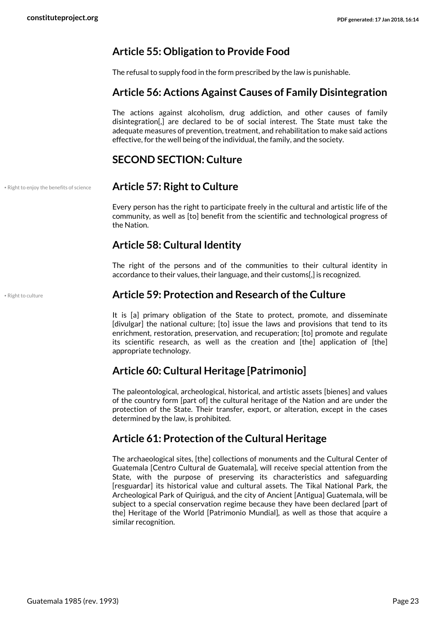# <span id="page-22-0"></span>**Article 55: Obligation to Provide Food**

The refusal to supply food in the form prescribed by the law is punishable.

#### <span id="page-22-1"></span>**Article 56: Actions Against Causes of Family Disintegration**

The actions against alcoholism, drug addiction, and other causes of family disintegration[,] are declared to be of social interest. The State must take the adequate measures of prevention, treatment, and rehabilitation to make said actions effective, for the well being of the individual, the family, and the society.

#### <span id="page-22-3"></span><span id="page-22-2"></span>**SECOND SECTION: Culture**

#### • Right to enjoy the benefits of science **Article 57: Right to Culture**

Every person has the right to participate freely in the cultural and artistic life of the community, as well as [to] benefit from the scientific and technological progress of the Nation.

#### <span id="page-22-4"></span>**Article 58: Cultural Identity**

<span id="page-22-5"></span>The right of the persons and of the communities to their cultural identity in accordance to their values, their language, and their customs[,] is recognized.

#### • Right to culture **Article 59: Protection and Research of the Culture**

It is [a] primary obligation of the State to protect, promote, and disseminate [divulgar] the national culture; [to] issue the laws and provisions that tend to its enrichment, restoration, preservation, and recuperation; [to] promote and regulate its scientific research, as well as the creation and [the] application of [the] appropriate technology.

# <span id="page-22-6"></span>**Article 60: Cultural Heritage [Patrimonio]**

The paleontological, archeological, historical, and artistic assets [bienes] and values of the country form [part of] the cultural heritage of the Nation and are under the protection of the State. Their transfer, export, or alteration, except in the cases determined by the law, is prohibited.

#### <span id="page-22-7"></span>**Article 61: Protection of the Cultural Heritage**

The archaeological sites, [the] collections of monuments and the Cultural Center of Guatemala [Centro Cultural de Guatemala], will receive special attention from the State, with the purpose of preserving its characteristics and safeguarding [resguardar] its historical value and cultural assets. The Tikal National Park, the Archeological Park of Quiriguá, and the city of Ancient [Antigua] Guatemala, will be subject to a special conservation regime because they have been declared [part of the] Heritage of the World [Patrimonio Mundial], as well as those that acquire a similar recognition.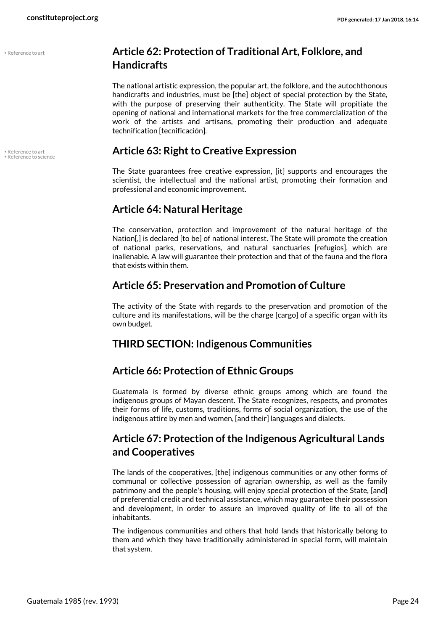• Reference to art

# • Reference to science

# <span id="page-23-0"></span>**Article 62: Protection of Traditional Art, Folklore, and Handicrafts**

The national artistic expression, the popular art, the folklore, and the autochthonous handicrafts and industries, must be [the] object of special protection by the State, with the purpose of preserving their authenticity. The State will propitiate the opening of national and international markets for the free commercialization of the work of the artists and artisans, promoting their production and adequate technification [tecnificación].

#### Reference to art **Article 63: Right to Creative Expression**

<span id="page-23-1"></span>The State guarantees free creative expression, [it] supports and encourages the scientist, the intellectual and the national artist, promoting their formation and professional and economic improvement.

# <span id="page-23-2"></span>**Article 64: Natural Heritage**

The conservation, protection and improvement of the natural heritage of the Nation[,] is declared [to be] of national interest. The State will promote the creation of national parks, reservations, and natural sanctuaries [refugios], which are inalienable. A law will guarantee their protection and that of the fauna and the flora that exists within them.

# <span id="page-23-3"></span>**Article 65: Preservation and Promotion of Culture**

The activity of the State with regards to the preservation and promotion of the culture and its manifestations, will be the charge [cargo] of a specific organ with its own budget.

# <span id="page-23-4"></span>**THIRD SECTION: Indigenous Communities**

# <span id="page-23-5"></span>**Article 66: Protection of Ethnic Groups**

Guatemala is formed by diverse ethnic groups among which are found the indigenous groups of Mayan descent. The State recognizes, respects, and promotes their forms of life, customs, traditions, forms of social organization, the use of the indigenous attire by men and women, [and their] languages and dialects.

# <span id="page-23-6"></span>**Article 67: Protection of the Indigenous Agricultural Lands and Cooperatives**

The lands of the cooperatives, [the] indigenous communities or any other forms of communal or collective possession of agrarian ownership, as well as the family patrimony and the people's housing, will enjoy special protection of the State, [and] of preferential credit and technical assistance, which may guarantee their possession and development, in order to assure an improved quality of life to all of the inhabitants.

The indigenous communities and others that hold lands that historically belong to them and which they have traditionally administered in special form, will maintain that system.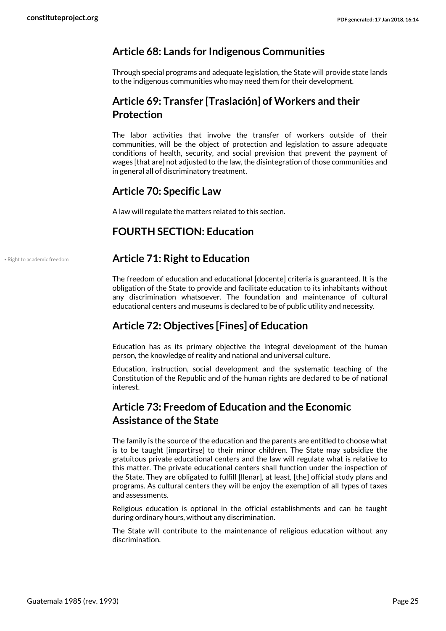# <span id="page-24-0"></span>**Article 68: Lands for Indigenous Communities**

Through special programs and adequate legislation, the State will provide state lands to the indigenous communities who may need them for their development.

# <span id="page-24-1"></span>**Article 69: Transfer [Traslación] of Workers and their Protection**

The labor activities that involve the transfer of workers outside of their communities, will be the object of protection and legislation to assure adequate conditions of health, security, and social prevision that prevent the payment of wages [that are] not adjusted to the law, the disintegration of those communities and in general all of discriminatory treatment.

# <span id="page-24-2"></span>**Article 70: Specific Law**

A law will regulate the matters related to this section.

#### <span id="page-24-4"></span><span id="page-24-3"></span>**FOURTH SECTION: Education**

#### • Right to academic freedom **Article 71: Right to Education**

The freedom of education and educational [docente] criteria is guaranteed. It is the obligation of the State to provide and facilitate education to its inhabitants without any discrimination whatsoever. The foundation and maintenance of cultural educational centers and museums is declared to be of public utility and necessity.

# <span id="page-24-5"></span>**Article 72: Objectives [Fines] of Education**

Education has as its primary objective the integral development of the human person, the knowledge of reality and national and universal culture.

Education, instruction, social development and the systematic teaching of the Constitution of the Republic and of the human rights are declared to be of national interest.

# <span id="page-24-6"></span>**Article 73: Freedom of Education and the Economic Assistance of the State**

The family is the source of the education and the parents are entitled to choose what is to be taught [impartirse] to their minor children. The State may subsidize the gratuitous private educational centers and the law will regulate what is relative to this matter. The private educational centers shall function under the inspection of the State. They are obligated to fulfill [llenar], at least, [the] official study plans and programs. As cultural centers they will be enjoy the exemption of all types of taxes and assessments.

Religious education is optional in the official establishments and can be taught during ordinary hours, without any discrimination.

The State will contribute to the maintenance of religious education without any discrimination.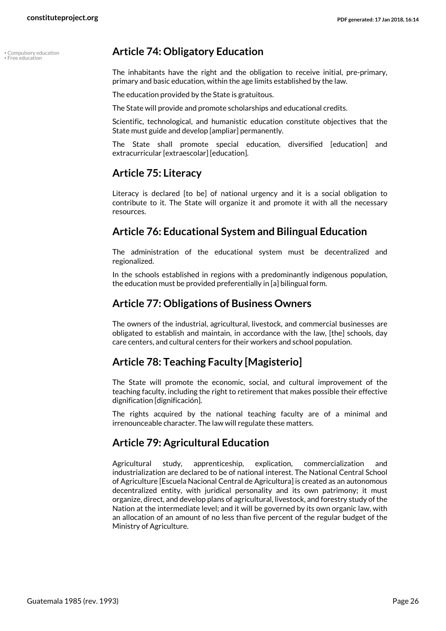• Free education

#### • Compulsory education **Article 74: Obligatory Education**

<span id="page-25-0"></span>The inhabitants have the right and the obligation to receive initial, pre-primary, primary and basic education, within the age limits established by the law.

The education provided by the State is gratuitous.

The State will provide and promote scholarships and educational credits.

Scientific, technological, and humanistic education constitute objectives that the State must guide and develop [ampliar] permanently.

The State shall promote special education, diversified [education] and extracurricular [extraescolar] [education].

#### <span id="page-25-1"></span>**Article 75: Literacy**

Literacy is declared [to be] of national urgency and it is a social obligation to contribute to it. The State will organize it and promote it with all the necessary resources.

#### <span id="page-25-2"></span>**Article 76: Educational System and Bilingual Education**

The administration of the educational system must be decentralized and regionalized.

In the schools established in regions with a predominantly indigenous population, the education must be provided preferentially in [a] bilingual form.

#### <span id="page-25-3"></span>**Article 77: Obligations of Business Owners**

The owners of the industrial, agricultural, livestock, and commercial businesses are obligated to establish and maintain, in accordance with the law, [the] schools, day care centers, and cultural centers for their workers and school population.

#### <span id="page-25-4"></span>**Article 78: Teaching Faculty [Magisterio]**

The State will promote the economic, social, and cultural improvement of the teaching faculty, including the right to retirement that makes possible their effective dignification [dignificación].

The rights acquired by the national teaching faculty are of a minimal and irrenounceable character. The law will regulate these matters.

#### <span id="page-25-5"></span>**Article 79: Agricultural Education**

Agricultural study, apprenticeship, explication, commercialization and industrialization are declared to be of national interest. The National Central School of Agriculture [Escuela Nacional Central de Agricultura] is created as an autonomous decentralized entity, with juridical personality and its own patrimony; it must organize, direct, and develop plans of agricultural, livestock, and forestry study of the Nation at the intermediate level; and it will be governed by its own organic law, with an allocation of an amount of no less than five percent of the regular budget of the Ministry of Agriculture.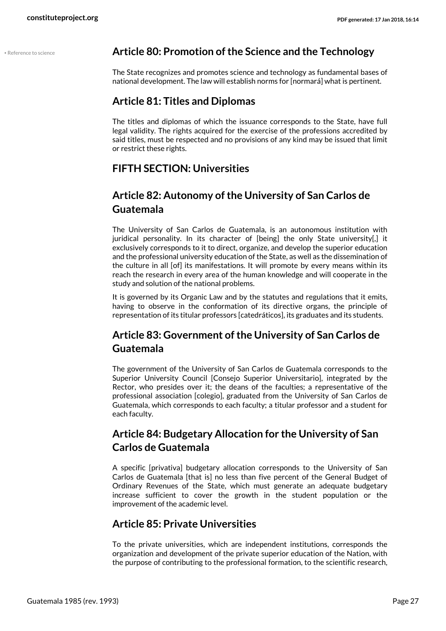## • Reference to science **Article 80: Promotion of the Science and the Technology**

<span id="page-26-0"></span>The State recognizes and promotes science and technology as fundamental bases of national development. The law will establish norms for [normará] what is pertinent.

## <span id="page-26-1"></span>**Article 81: Titles and Diplomas**

The titles and diplomas of which the issuance corresponds to the State, have full legal validity. The rights acquired for the exercise of the professions accredited by said titles, must be respected and no provisions of any kind may be issued that limit or restrict these rights.

# <span id="page-26-2"></span>**FIFTH SECTION: Universities**

# <span id="page-26-3"></span>**Article 82: Autonomy of the University of San Carlos de Guatemala**

The University of San Carlos de Guatemala, is an autonomous institution with juridical personality. In its character of [being] the only State university[,] it exclusively corresponds to it to direct, organize, and develop the superior education and the professional university education of the State, as well as the dissemination of the culture in all [of] its manifestations. It will promote by every means within its reach the research in every area of the human knowledge and will cooperate in the study and solution of the national problems.

It is governed by its Organic Law and by the statutes and regulations that it emits, having to observe in the conformation of its directive organs, the principle of representation of its titular professors [catedráticos], its graduates and its students.

# <span id="page-26-4"></span>**Article 83: Government of the University of San Carlos de Guatemala**

The government of the University of San Carlos de Guatemala corresponds to the Superior University Council [Consejo Superior Universitario], integrated by the Rector, who presides over it; the deans of the faculties; a representative of the professional association [colegio], graduated from the University of San Carlos de Guatemala, which corresponds to each faculty; a titular professor and a student for each faculty.

# <span id="page-26-5"></span>**Article 84: Budgetary Allocation for the University of San Carlos de Guatemala**

A specific [privativa] budgetary allocation corresponds to the University of San Carlos de Guatemala [that is] no less than five percent of the General Budget of Ordinary Revenues of the State, which must generate an adequate budgetary increase sufficient to cover the growth in the student population or the improvement of the academic level.

# <span id="page-26-6"></span>**Article 85: Private Universities**

To the private universities, which are independent institutions, corresponds the organization and development of the private superior education of the Nation, with the purpose of contributing to the professional formation, to the scientific research,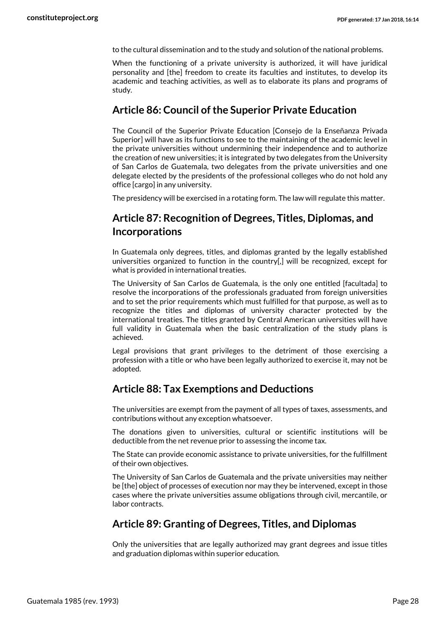to the cultural dissemination and to the study and solution of the national problems.

When the functioning of a private university is authorized, it will have juridical personality and [the] freedom to create its faculties and institutes, to develop its academic and teaching activities, as well as to elaborate its plans and programs of study.

#### <span id="page-27-0"></span>**Article 86: Council of the Superior Private Education**

The Council of the Superior Private Education [Consejo de la Enseñanza Privada Superior] will have as its functions to see to the maintaining of the academic level in the private universities without undermining their independence and to authorize the creation of new universities; it is integrated by two delegates from the University of San Carlos de Guatemala, two delegates from the private universities and one delegate elected by the presidents of the professional colleges who do not hold any office [cargo] in any university.

The presidency will be exercised in a rotating form. The law will regulate this matter.

# <span id="page-27-1"></span>**Article 87: Recognition of Degrees, Titles, Diplomas, and Incorporations**

In Guatemala only degrees, titles, and diplomas granted by the legally established universities organized to function in the country[,] will be recognized, except for what is provided in international treaties.

The University of San Carlos de Guatemala, is the only one entitled [facultada] to resolve the incorporations of the professionals graduated from foreign universities and to set the prior requirements which must fulfilled for that purpose, as well as to recognize the titles and diplomas of university character protected by the international treaties. The titles granted by Central American universities will have full validity in Guatemala when the basic centralization of the study plans is achieved.

Legal provisions that grant privileges to the detriment of those exercising a profession with a title or who have been legally authorized to exercise it, may not be adopted.

#### <span id="page-27-2"></span>**Article 88: Tax Exemptions and Deductions**

The universities are exempt from the payment of all types of taxes, assessments, and contributions without any exception whatsoever.

The donations given to universities, cultural or scientific institutions will be deductible from the net revenue prior to assessing the income tax.

The State can provide economic assistance to private universities, for the fulfillment of their own objectives.

The University of San Carlos de Guatemala and the private universities may neither be [the] object of processes of execution nor may they be intervened, except in those cases where the private universities assume obligations through civil, mercantile, or labor contracts.

#### <span id="page-27-3"></span>**Article 89: Granting of Degrees, Titles, and Diplomas**

Only the universities that are legally authorized may grant degrees and issue titles and graduation diplomas within superior education.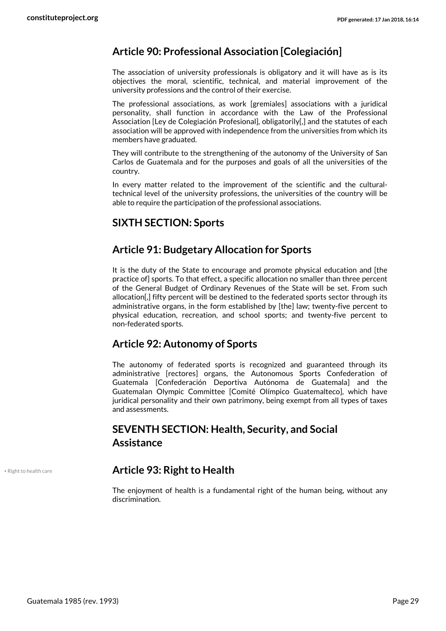#### <span id="page-28-0"></span>**Article 90: Professional Association [Colegiación]**

The association of university professionals is obligatory and it will have as is its objectives the moral, scientific, technical, and material improvement of the university professions and the control of their exercise.

The professional associations, as work [gremiales] associations with a juridical personality, shall function in accordance with the Law of the Professional Association [Ley de Colegiación Profesional], obligatorily[,] and the statutes of each association will be approved with independence from the universities from which its members have graduated.

They will contribute to the strengthening of the autonomy of the University of San Carlos de Guatemala and for the purposes and goals of all the universities of the country.

In every matter related to the improvement of the scientific and the culturaltechnical level of the university professions, the universities of the country will be able to require the participation of the professional associations.

#### <span id="page-28-1"></span>**SIXTH SECTION: Sports**

#### <span id="page-28-2"></span>**Article 91: Budgetary Allocation for Sports**

It is the duty of the State to encourage and promote physical education and [the practice of] sports. To that effect, a specific allocation no smaller than three percent of the General Budget of Ordinary Revenues of the State will be set. From such allocation[,] fifty percent will be destined to the federated sports sector through its administrative organs, in the form established by [the] law; twenty-five percent to physical education, recreation, and school sports; and twenty-five percent to non-federated sports.

#### <span id="page-28-3"></span>**Article 92: Autonomy of Sports**

The autonomy of federated sports is recognized and guaranteed through its administrative [rectores] organs, the Autonomous Sports Confederation of Guatemala [Confederación Deportiva Autónoma de Guatemala] and the Guatemalan Olympic Committee [Comité Olímpico Guatemalteco], which have juridical personality and their own patrimony, being exempt from all types of taxes and assessments.

# <span id="page-28-4"></span>**SEVENTH SECTION: Health, Security, and Social Assistance**

#### • Right to health care **Article 93: Right to Health**

<span id="page-28-5"></span>The enjoyment of health is a fundamental right of the human being, without any discrimination.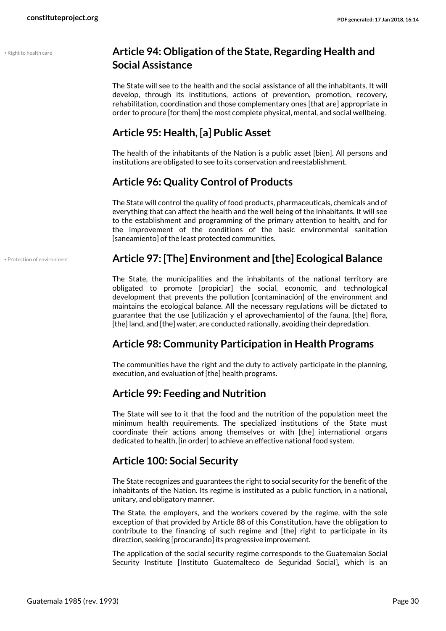# <span id="page-29-0"></span>**Article 94: Obligation of the State, Regarding Health and Social Assistance**

The State will see to the health and the social assistance of all the inhabitants. It will develop, through its institutions, actions of prevention, promotion, recovery, rehabilitation, coordination and those complementary ones [that are] appropriate in order to procure [for them] the most complete physical, mental, and social wellbeing.

# <span id="page-29-1"></span>**Article 95: Health, [a] Public Asset**

The health of the inhabitants of the Nation is a public asset [bien]. All persons and institutions are obligated to see to its conservation and reestablishment.

# <span id="page-29-2"></span>**Article 96: Quality Control of Products**

The State will control the quality of food products, pharmaceuticals, chemicals and of everything that can affect the health and the well being of the inhabitants. It will see to the establishment and programming of the primary attention to health, and for the improvement of the conditions of the basic environmental sanitation [saneamiento] of the least protected communities.

#### • Protection of environment **Article 97: [The] Environment and [the] Ecological Balance**

<span id="page-29-3"></span>The State, the municipalities and the inhabitants of the national territory are obligated to promote [propiciar] the social, economic, and technological development that prevents the pollution [contaminación] of the environment and maintains the ecological balance. All the necessary regulations will be dictated to guarantee that the use [utilización y el aprovechamiento] of the fauna, [the] flora, [the] land, and [the] water, are conducted rationally, avoiding their depredation.

# <span id="page-29-4"></span>**Article 98: Community Participation in Health Programs**

The communities have the right and the duty to actively participate in the planning, execution, and evaluation of [the] health programs.

# <span id="page-29-5"></span>**Article 99: Feeding and Nutrition**

The State will see to it that the food and the nutrition of the population meet the minimum health requirements. The specialized institutions of the State must coordinate their actions among themselves or with [the] international organs dedicated to health, [in order] to achieve an effective national food system.

# <span id="page-29-6"></span>**Article 100: Social Security**

The State recognizes and guarantees the right to social security for the benefit of the inhabitants of the Nation. Its regime is instituted as a public function, in a national, unitary, and obligatory manner.

The State, the employers, and the workers covered by the regime, with the sole exception of that provided by Article 88 of this Constitution, have the obligation to contribute to the financing of such regime and [the] right to participate in its direction, seeking [procurando] its progressive improvement.

The application of the social security regime corresponds to the Guatemalan Social Security Institute [Instituto Guatemalteco de Seguridad Social], which is an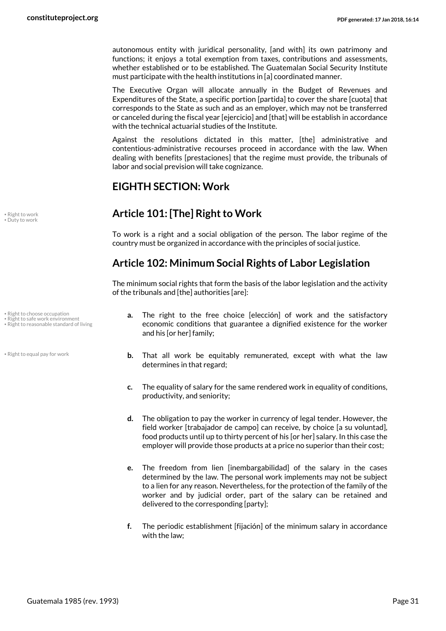autonomous entity with juridical personality, [and with] its own patrimony and functions; it enjoys a total exemption from taxes, contributions and assessments, whether established or to be established. The Guatemalan Social Security Institute must participate with the health institutions in [a] coordinated manner.

The Executive Organ will allocate annually in the Budget of Revenues and Expenditures of the State, a specific portion [partida] to cover the share [cuota] that corresponds to the State as such and as an employer, which may not be transferred or canceled during the fiscal year [ejercicio] and [that] will be establish in accordance with the technical actuarial studies of the Institute.

Against the resolutions dictated in this matter, [the] administrative and contentious-administrative recourses proceed in accordance with the law. When dealing with benefits [prestaciones] that the regime must provide, the tribunals of labor and social prevision will take cognizance.

#### <span id="page-30-1"></span><span id="page-30-0"></span>**EIGHTH SECTION: Work**

# • Right to work **Article 101: [The] Right to Work**

To work is a right and a social obligation of the person. The labor regime of the country must be organized in accordance with the principles of social justice.

#### **Article 102: Minimum Social Rights of Labor Legislation**

The minimum social rights that form the basis of the labor legislation and the activity of the tribunals and [the] authorities [are]:

- <span id="page-30-2"></span>**a.** The right to the free choice [elección] of work and the satisfactory economic conditions that guarantee a dignified existence for the worker and his [or her] family;
- **b.** That all work be equitably remunerated, except with what the law determines in that regard;
- **c.** The equality of salary for the same rendered work in equality of conditions, productivity, and seniority;
- **d.** The obligation to pay the worker in currency of legal tender. However, the field worker [trabajador de campo] can receive, by choice [a su voluntad], food products until up to thirty percent of his [or her] salary. In this case the employer will provide those products at a price no superior than their cost;
- **e.** The freedom from lien [inembargabilidad] of the salary in the cases determined by the law. The personal work implements may not be subject to a lien for any reason. Nevertheless, for the protection of the family of the worker and by judicial order, part of the salary can be retained and delivered to the corresponding [party];
- **f.** The periodic establishment [fijación] of the minimum salary in accordance with the law;

• Duty to work

• Right to choose occupation

- Right to safe work environment Right to reasonable standard of living
- Right to equal pay for work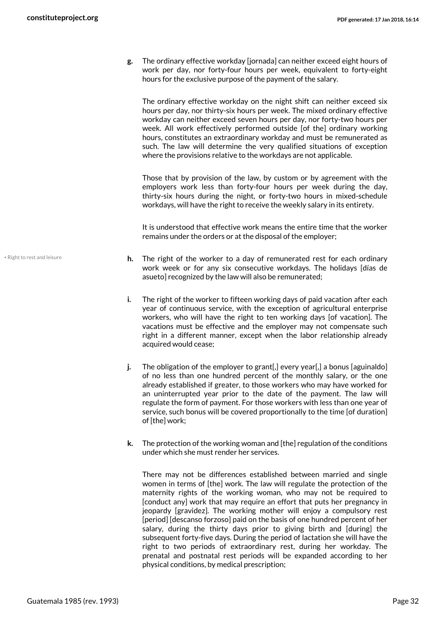**g.** The ordinary effective workday [jornada] can neither exceed eight hours of work per day, nor forty-four hours per week, equivalent to forty-eight hours for the exclusive purpose of the payment of the salary.

The ordinary effective workday on the night shift can neither exceed six hours per day, nor thirty-six hours per week. The mixed ordinary effective workday can neither exceed seven hours per day, nor forty-two hours per week. All work effectively performed outside [of the] ordinary working hours, constitutes an extraordinary workday and must be remunerated as such. The law will determine the very qualified situations of exception where the provisions relative to the workdays are not applicable.

Those that by provision of the law, by custom or by agreement with the employers work less than forty-four hours per week during the day, thirty-six hours during the night, or forty-two hours in mixed-schedule workdays, will have the right to receive the weekly salary in its entirety.

It is understood that effective work means the entire time that the worker remains under the orders or at the disposal of the employer;

- **h.** The right of the worker to a day of remunerated rest for each ordinary work week or for any six consecutive workdays. The holidays [días de asueto] recognized by the law will also be remunerated;
- **i.** The right of the worker to fifteen working days of paid vacation after each year of continuous service, with the exception of agricultural enterprise workers, who will have the right to ten working days [of vacation]. The vacations must be effective and the employer may not compensate such right in a different manner, except when the labor relationship already acquired would cease;
- **j.** The obligation of the employer to grant[,] every year[,] a bonus [aguinaldo] of no less than one hundred percent of the monthly salary, or the one already established if greater, to those workers who may have worked for an uninterrupted year prior to the date of the payment. The law will regulate the form of payment. For those workers with less than one year of service, such bonus will be covered proportionally to the time [of duration] of [the] work;
- **k.** The protection of the working woman and [the] regulation of the conditions under which she must render her services.

There may not be differences established between married and single women in terms of [the] work. The law will regulate the protection of the maternity rights of the working woman, who may not be required to [conduct any] work that may require an effort that puts her pregnancy in jeopardy [gravidez]. The working mother will enjoy a compulsory rest [period] [descanso forzoso] paid on the basis of one hundred percent of her salary, during the thirty days prior to giving birth and [during] the subsequent forty-five days. During the period of lactation she will have the right to two periods of extraordinary rest, during her workday. The prenatal and postnatal rest periods will be expanded according to her physical conditions, by medical prescription;

• Right to rest and leisure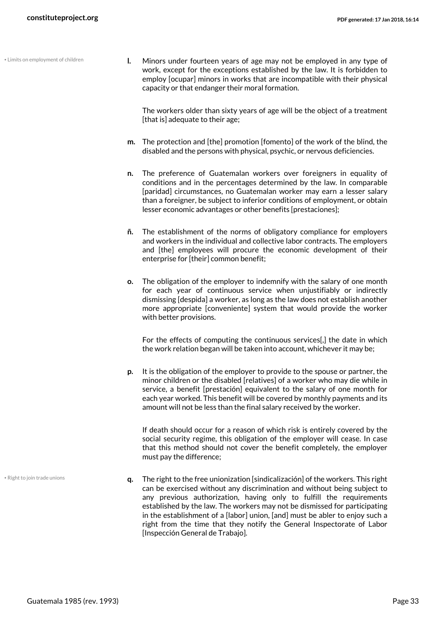**l.** Minors under fourteen years of age may not be employed in any type of work, except for the exceptions established by the law. It is forbidden to employ [ocupar] minors in works that are incompatible with their physical capacity or that endanger their moral formation. • Limits on employment of children The workers older than sixty years of age will be the object of a treatment [that is] adequate to their age; **m.** The protection and [the] promotion [fomento] of the work of the blind, the disabled and the persons with physical, psychic, or nervous deficiencies. **n.** The preference of Guatemalan workers over foreigners in equality of conditions and in the percentages determined by the law. In comparable [paridad] circumstances, no Guatemalan worker may earn a lesser salary than a foreigner, be subject to inferior conditions of employment, or obtain lesser economic advantages or other benefits [prestaciones]; **ñ.** The establishment of the norms of obligatory compliance for employers and workers in the individual and collective labor contracts. The employers and [the] employees will procure the economic development of their enterprise for [their] common benefit; **o.** The obligation of the employer to indemnify with the salary of one month for each year of continuous service when unjustifiably or indirectly dismissing [despida] a worker, as long as the law does not establish another more appropriate [conveniente] system that would provide the worker with better provisions. For the effects of computing the continuous services[,] the date in which the work relation began will be taken into account, whichever it may be; **p.** It is the obligation of the employer to provide to the spouse or partner, the minor children or the disabled [relatives] of a worker who may die while in service, a benefit [prestación] equivalent to the salary of one month for each year worked. This benefit will be covered by monthly payments and its amount will not be less than the final salary received by the worker. If death should occur for a reason of which risk is entirely covered by the social security regime, this obligation of the employer will cease. In case that this method should not cover the benefit completely, the employer must pay the difference; **q.** The right to the free unionization [sindicalización] of the workers. This right can be exercised without any discrimination and without being subject to any previous authorization, having only to fulfill the requirements established by the law. The workers may not be dismissed for participating in the establishment of a [labor] union, [and] must be abler to enjoy such a right from the time that they notify the General Inspectorate of Labor • Right to join trade unions

[Inspección General de Trabajo].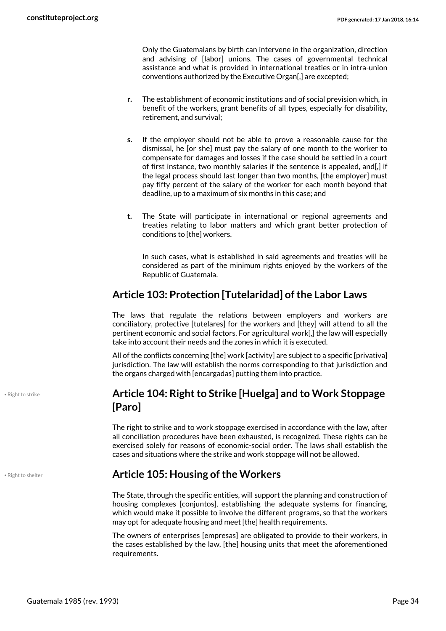Only the Guatemalans by birth can intervene in the organization, direction and advising of [labor] unions. The cases of governmental technical assistance and what is provided in international treaties or in intra-union conventions authorized by the Executive Organ[,] are excepted;

- **r.** The establishment of economic institutions and of social prevision which, in benefit of the workers, grant benefits of all types, especially for disability, retirement, and survival;
- **s.** If the employer should not be able to prove a reasonable cause for the dismissal, he [or she] must pay the salary of one month to the worker to compensate for damages and losses if the case should be settled in a court of first instance, two monthly salaries if the sentence is appealed, and[,] if the legal process should last longer than two months, [the employer] must pay fifty percent of the salary of the worker for each month beyond that deadline, up to a maximum of six months in this case; and
- **t.** The State will participate in international or regional agreements and treaties relating to labor matters and which grant better protection of conditions to [the] workers.

<span id="page-33-0"></span>In such cases, what is established in said agreements and treaties will be considered as part of the minimum rights enjoyed by the workers of the Republic of Guatemala.

#### **Article 103: Protection [Tutelaridad] of the Labor Laws**

The laws that regulate the relations between employers and workers are conciliatory, protective [tutelares] for the workers and [they] will attend to all the pertinent economic and social factors. For agricultural work[,] the law will especially take into account their needs and the zones in which it is executed.

All of the conflicts concerning [the] work [activity] are subject to a specific [privativa] jurisdiction. The law will establish the norms corresponding to that jurisdiction and the organs charged with [encargadas] putting them into practice.

# <span id="page-33-1"></span>**Article 104: Right to Strike [Huelga] and to Work Stoppage [Paro]**

The right to strike and to work stoppage exercised in accordance with the law, after all conciliation procedures have been exhausted, is recognized. These rights can be exercised solely for reasons of economic-social order. The laws shall establish the cases and situations where the strike and work stoppage will not be allowed.

#### • Right to shelter **Article 105: Housing of the Workers**

<span id="page-33-2"></span>The State, through the specific entities, will support the planning and construction of housing complexes [conjuntos], establishing the adequate systems for financing, which would make it possible to involve the different programs, so that the workers may opt for adequate housing and meet [the] health requirements.

The owners of enterprises [empresas] are obligated to provide to their workers, in the cases established by the law, [the] housing units that meet the aforementioned requirements.

• Right to strike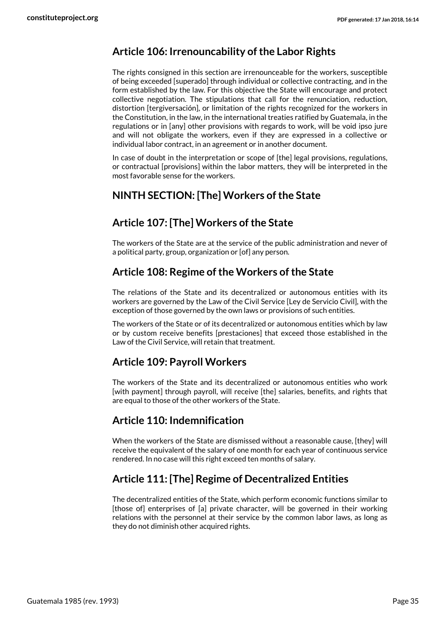#### <span id="page-34-0"></span>**Article 106: Irrenouncability of the Labor Rights**

The rights consigned in this section are irrenounceable for the workers, susceptible of being exceeded [superado] through individual or collective contracting, and in the form established by the law. For this objective the State will encourage and protect collective negotiation. The stipulations that call for the renunciation, reduction, distortion [tergiversación], or limitation of the rights recognized for the workers in the Constitution, in the law, in the international treaties ratified by Guatemala, in the regulations or in [any] other provisions with regards to work, will be void ipso jure and will not obligate the workers, even if they are expressed in a collective or individual labor contract, in an agreement or in another document.

In case of doubt in the interpretation or scope of [the] legal provisions, regulations, or contractual [provisions] within the labor matters, they will be interpreted in the most favorable sense for the workers.

#### <span id="page-34-1"></span>**NINTH SECTION: [The] Workers of the State**

#### <span id="page-34-2"></span>**Article 107: [The] Workers of the State**

The workers of the State are at the service of the public administration and never of a political party, group, organization or [of] any person.

#### <span id="page-34-3"></span>**Article 108: Regime of the Workers of the State**

The relations of the State and its decentralized or autonomous entities with its workers are governed by the Law of the Civil Service [Ley de Servicio Civil], with the exception of those governed by the own laws or provisions of such entities.

The workers of the State or of its decentralized or autonomous entities which by law or by custom receive benefits [prestaciones] that exceed those established in the Law of the Civil Service, will retain that treatment.

#### <span id="page-34-4"></span>**Article 109: Payroll Workers**

The workers of the State and its decentralized or autonomous entities who work [with payment] through payroll, will receive [the] salaries, benefits, and rights that are equal to those of the other workers of the State.

#### <span id="page-34-5"></span>**Article 110: Indemnification**

When the workers of the State are dismissed without a reasonable cause, [they] will receive the equivalent of the salary of one month for each year of continuous service rendered. In no case will this right exceed ten months of salary.

#### <span id="page-34-6"></span>**Article 111: [The] Regime of Decentralized Entities**

The decentralized entities of the State, which perform economic functions similar to [those of] enterprises of [a] private character, will be governed in their working relations with the personnel at their service by the common labor laws, as long as they do not diminish other acquired rights.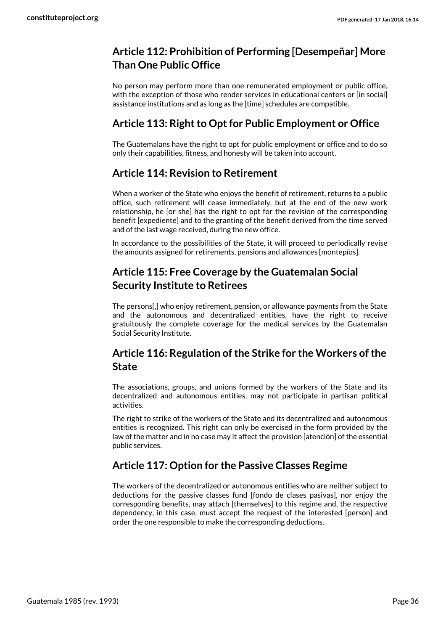# <span id="page-35-0"></span>**Article 112: Prohibition of Performing [Desempeñar] More Than One Public Office**

No person may perform more than one remunerated employment or public office, with the exception of those who render services in educational centers or [in social] assistance institutions and as long as the [time] schedules are compatible.

# <span id="page-35-1"></span>**Article 113: Right to Opt for Public Employment or Office**

The Guatemalans have the right to opt for public employment or office and to do so only their capabilities, fitness, and honesty will be taken into account.

# <span id="page-35-2"></span>**Article 114: Revision to Retirement**

When a worker of the State who enjoys the benefit of retirement, returns to a public office, such retirement will cease immediately, but at the end of the new work relationship, he [or she] has the right to opt for the revision of the corresponding benefit [expediente] and to the granting of the benefit derived from the time served and of the last wage received, during the new office.

In accordance to the possibilities of the State, it will proceed to periodically revise the amounts assigned for retirements, pensions and allowances [montepíos].

# <span id="page-35-3"></span>**Article 115: Free Coverage by the Guatemalan Social Security Institute to Retirees**

The persons[,] who enjoy retirement, pension, or allowance payments from the State and the autonomous and decentralized entities, have the right to receive gratuitously the complete coverage for the medical services by the Guatemalan Social Security Institute.

# <span id="page-35-4"></span>**Article 116: Regulation of the Strike for the Workers of the State**

The associations, groups, and unions formed by the workers of the State and its decentralized and autonomous entities, may not participate in partisan political activities.

The right to strike of the workers of the State and its decentralized and autonomous entities is recognized. This right can only be exercised in the form provided by the law of the matter and in no case may it affect the provision [atención] of the essential public services.

#### <span id="page-35-5"></span>**Article 117: Option for the Passive Classes Regime**

The workers of the decentralized or autonomous entities who are neither subject to deductions for the passive classes fund [fondo de clases pasivas], nor enjoy the corresponding benefits, may attach [themselves] to this regime and, the respective dependency, in this case, must accept the request of the interested [person] and order the one responsible to make the corresponding deductions.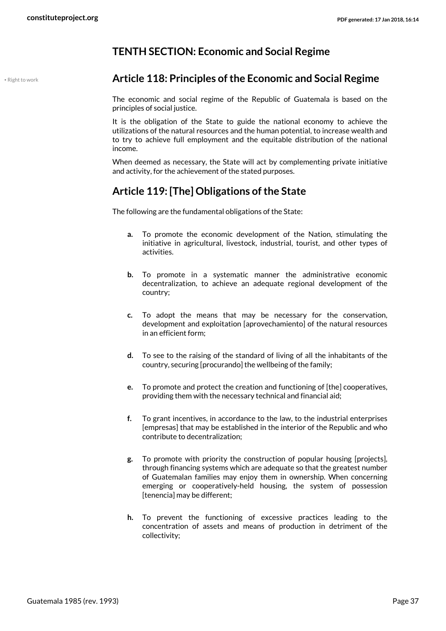### **TENTH SECTION: Economic and Social Regime**

#### • Right to work **Article 118: Principles of the Economic and Social Regime**

The economic and social regime of the Republic of Guatemala is based on the principles of social justice.

It is the obligation of the State to guide the national economy to achieve the utilizations of the natural resources and the human potential, to increase wealth and to try to achieve full employment and the equitable distribution of the national income.

When deemed as necessary, the State will act by complementing private initiative and activity, for the achievement of the stated purposes.

## **Article 119: [The] Obligations of the State**

The following are the fundamental obligations of the State:

- **a.** To promote the economic development of the Nation, stimulating the initiative in agricultural, livestock, industrial, tourist, and other types of activities.
- **b.** To promote in a systematic manner the administrative economic decentralization, to achieve an adequate regional development of the country;
- **c.** To adopt the means that may be necessary for the conservation, development and exploitation [aprovechamiento] of the natural resources in an efficient form;
- **d.** To see to the raising of the standard of living of all the inhabitants of the country, securing [procurando] the wellbeing of the family;
- **e.** To promote and protect the creation and functioning of [the] cooperatives, providing them with the necessary technical and financial aid;
- **f.** To grant incentives, in accordance to the law, to the industrial enterprises [empresas] that may be established in the interior of the Republic and who contribute to decentralization;
- **g.** To promote with priority the construction of popular housing [projects], through financing systems which are adequate so that the greatest number of Guatemalan families may enjoy them in ownership. When concerning emerging or cooperatively-held housing, the system of possession [tenencia] may be different;
- **h.** To prevent the functioning of excessive practices leading to the concentration of assets and means of production in detriment of the collectivity;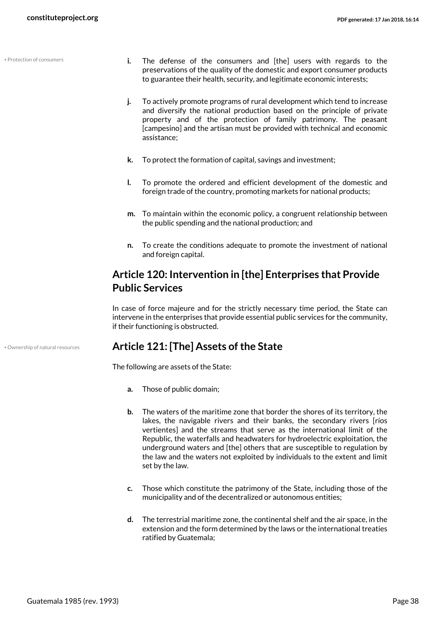**i.** The defense of the consumers and [the] users with regards to the preservations of the quality of the domestic and export consumer products to guarantee their health, security, and legitimate economic interests; • Protection of consumers **j.** To actively promote programs of rural development which tend to increase and diversify the national production based on the principle of private property and of the protection of family patrimony. The peasant [campesino] and the artisan must be provided with technical and economic assistance; **k.** To protect the formation of capital, savings and investment; **l.** To promote the ordered and efficient development of the domestic and foreign trade of the country, promoting markets for national products; **m.** To maintain within the economic policy, a congruent relationship between the public spending and the national production; and **n.** To create the conditions adequate to promote the investment of national and foreign capital. **Article 120: Intervention in [the] Enterprises that Provide Public Services** In case of force majeure and for the strictly necessary time period, the State can intervene in the enterprises that provide essential public services for the community, if their functioning is obstructed.

### • Ownership of natural resources **Article 121: [The] Assets of the State**

The following are assets of the State:

- **a.** Those of public domain;
- **b.** The waters of the maritime zone that border the shores of its territory, the lakes, the navigable rivers and their banks, the secondary rivers [ríos vertientes] and the streams that serve as the international limit of the Republic, the waterfalls and headwaters for hydroelectric exploitation, the underground waters and [the] others that are susceptible to regulation by the law and the waters not exploited by individuals to the extent and limit set by the law.
- **c.** Those which constitute the patrimony of the State, including those of the municipality and of the decentralized or autonomous entities;
- **d.** The terrestrial maritime zone, the continental shelf and the air space, in the extension and the form determined by the laws or the international treaties ratified by Guatemala;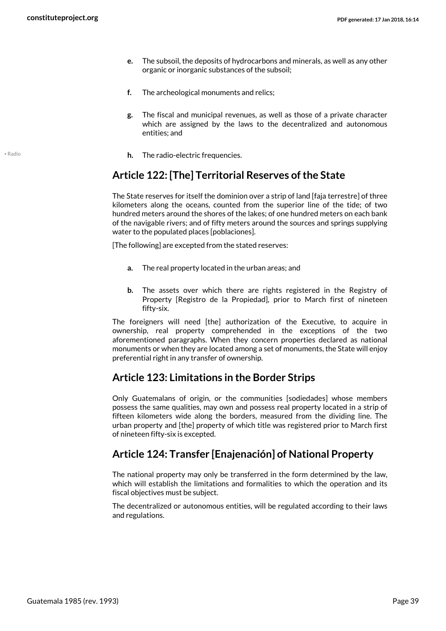- **e.** The subsoil, the deposits of hydrocarbons and minerals, as well as any other organic or inorganic substances of the subsoil;
- **f.** The archeological monuments and relics;
- **g.** The fiscal and municipal revenues, as well as those of a private character which are assigned by the laws to the decentralized and autonomous entities; and
- **h.** The radio-electric frequencies.

### **Article 122: [The] Territorial Reserves of the State**

The State reserves for itself the dominion over a strip of land [faja terrestre] of three kilometers along the oceans, counted from the superior line of the tide; of two hundred meters around the shores of the lakes; of one hundred meters on each bank of the navigable rivers; and of fifty meters around the sources and springs supplying water to the populated places [poblaciones].

[The following] are excepted from the stated reserves:

- **a.** The real property located in the urban areas; and
- **b.** The assets over which there are rights registered in the Registry of Property [Registro de la Propiedad], prior to March first of nineteen fifty-six.

The foreigners will need [the] authorization of the Executive, to acquire in ownership, real property comprehended in the exceptions of the two aforementioned paragraphs. When they concern properties declared as national monuments or when they are located among a set of monuments, the State will enjoy preferential right in any transfer of ownership.

#### **Article 123: Limitations in the Border Strips**

Only Guatemalans of origin, or the communities [sodiedades] whose members possess the same qualities, may own and possess real property located in a strip of fifteen kilometers wide along the borders, measured from the dividing line. The urban property and [the] property of which title was registered prior to March first of nineteen fifty-six is excepted.

### **Article 124: Transfer [Enajenación] of National Property**

The national property may only be transferred in the form determined by the law, which will establish the limitations and formalities to which the operation and its fiscal objectives must be subject.

The decentralized or autonomous entities, will be regulated according to their laws and regulations.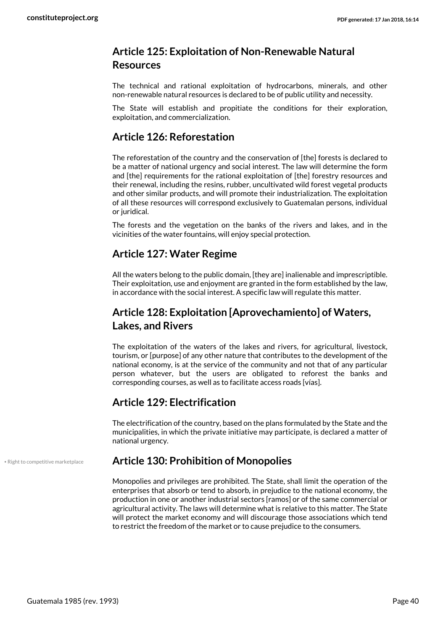### **Article 125: Exploitation of Non-Renewable Natural Resources**

The technical and rational exploitation of hydrocarbons, minerals, and other non-renewable natural resources is declared to be of public utility and necessity.

The State will establish and propitiate the conditions for their exploration, exploitation, and commercialization.

### **Article 126: Reforestation**

The reforestation of the country and the conservation of [the] forests is declared to be a matter of national urgency and social interest. The law will determine the form and [the] requirements for the rational exploitation of [the] forestry resources and their renewal, including the resins, rubber, uncultivated wild forest vegetal products and other similar products, and will promote their industrialization. The exploitation of all these resources will correspond exclusively to Guatemalan persons, individual or juridical.

The forests and the vegetation on the banks of the rivers and lakes, and in the vicinities of the water fountains, will enjoy special protection.

## **Article 127: Water Regime**

All the waters belong to the public domain, [they are] inalienable and imprescriptible. Their exploitation, use and enjoyment are granted in the form established by the law, in accordance with the social interest. A specific law will regulate this matter.

### **Article 128: Exploitation [Aprovechamiento] of Waters, Lakes, and Rivers**

The exploitation of the waters of the lakes and rivers, for agricultural, livestock, tourism, or [purpose] of any other nature that contributes to the development of the national economy, is at the service of the community and not that of any particular person whatever, but the users are obligated to reforest the banks and corresponding courses, as well as to facilitate access roads [vías].

### **Article 129: Electrification**

The electrification of the country, based on the plans formulated by the State and the municipalities, in which the private initiative may participate, is declared a matter of national urgency.

#### • Right to competitive marketplace **Article 130: Prohibition of Monopolies**

Monopolies and privileges are prohibited. The State, shall limit the operation of the enterprises that absorb or tend to absorb, in prejudice to the national economy, the production in one or another industrial sectors [ramos] or of the same commercial or agricultural activity. The laws will determine what is relative to this matter. The State will protect the market economy and will discourage those associations which tend to restrict the freedom of the market or to cause prejudice to the consumers.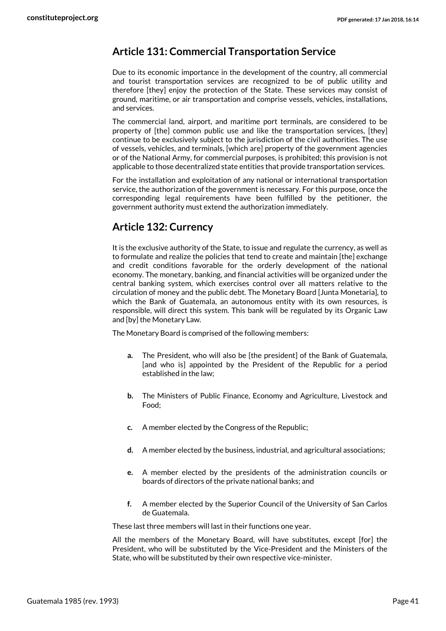#### **Article 131: Commercial Transportation Service**

Due to its economic importance in the development of the country, all commercial and tourist transportation services are recognized to be of public utility and therefore [they] enjoy the protection of the State. These services may consist of ground, maritime, or air transportation and comprise vessels, vehicles, installations, and services.

The commercial land, airport, and maritime port terminals, are considered to be property of [the] common public use and like the transportation services, [they] continue to be exclusively subject to the jurisdiction of the civil authorities. The use of vessels, vehicles, and terminals, [which are] property of the government agencies or of the National Army, for commercial purposes, is prohibited; this provision is not applicable to those decentralized state entities that provide transportation services.

For the installation and exploitation of any national or international transportation service, the authorization of the government is necessary. For this purpose, once the corresponding legal requirements have been fulfilled by the petitioner, the government authority must extend the authorization immediately.

#### **Article 132: Currency**

It is the exclusive authority of the State, to issue and regulate the currency, as well as to formulate and realize the policies that tend to create and maintain [the] exchange and credit conditions favorable for the orderly development of the national economy. The monetary, banking, and financial activities will be organized under the central banking system, which exercises control over all matters relative to the circulation of money and the public debt. The Monetary Board [Junta Monetaria], to which the Bank of Guatemala, an autonomous entity with its own resources, is responsible, will direct this system. This bank will be regulated by its Organic Law and [by] the Monetary Law.

The Monetary Board is comprised of the following members:

- **a.** The President, who will also be [the president] of the Bank of Guatemala, [and who is] appointed by the President of the Republic for a period established in the law;
- **b.** The Ministers of Public Finance, Economy and Agriculture, Livestock and Food;
- **c.** A member elected by the Congress of the Republic;
- **d.** A member elected by the business, industrial, and agricultural associations;
- **e.** A member elected by the presidents of the administration councils or boards of directors of the private national banks; and
- **f.** A member elected by the Superior Council of the University of San Carlos de Guatemala.

These last three members will last in their functions one year.

All the members of the Monetary Board, will have substitutes, except [for] the President, who will be substituted by the Vice-President and the Ministers of the State, who will be substituted by their own respective vice-minister.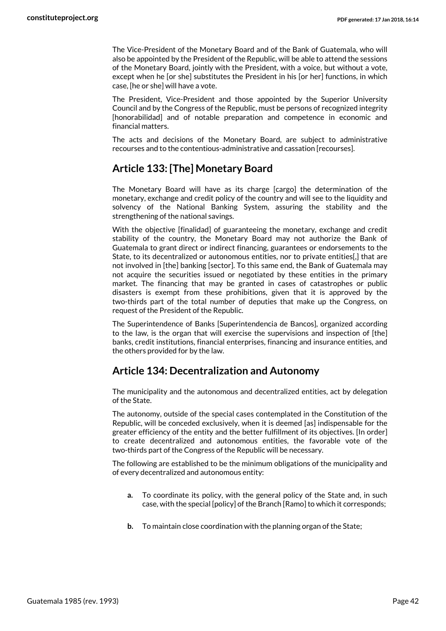The Vice-President of the Monetary Board and of the Bank of Guatemala, who will also be appointed by the President of the Republic, will be able to attend the sessions of the Monetary Board, jointly with the President, with a voice, but without a vote, except when he [or she] substitutes the President in his [or her] functions, in which case, [he or she] will have a vote.

The President, Vice-President and those appointed by the Superior University Council and by the Congress of the Republic, must be persons of recognized integrity [honorabilidad] and of notable preparation and competence in economic and financial matters.

The acts and decisions of the Monetary Board, are subject to administrative recourses and to the contentious-administrative and cassation [recourses].

#### **Article 133: [The] Monetary Board**

The Monetary Board will have as its charge [cargo] the determination of the monetary, exchange and credit policy of the country and will see to the liquidity and solvency of the National Banking System, assuring the stability and the strengthening of the national savings.

With the objective [finalidad] of guaranteeing the monetary, exchange and credit stability of the country, the Monetary Board may not authorize the Bank of Guatemala to grant direct or indirect financing, guarantees or endorsements to the State, to its decentralized or autonomous entities, nor to private entities[,] that are not involved in [the] banking [sector]. To this same end, the Bank of Guatemala may not acquire the securities issued or negotiated by these entities in the primary market. The financing that may be granted in cases of catastrophes or public disasters is exempt from these prohibitions, given that it is approved by the two-thirds part of the total number of deputies that make up the Congress, on request of the President of the Republic.

The Superintendence of Banks [Superintendencia de Bancos], organized according to the law, is the organ that will exercise the supervisions and inspection of [the] banks, credit institutions, financial enterprises, financing and insurance entities, and the others provided for by the law.

#### **Article 134: Decentralization and Autonomy**

The municipality and the autonomous and decentralized entities, act by delegation of the State.

The autonomy, outside of the special cases contemplated in the Constitution of the Republic, will be conceded exclusively, when it is deemed [as] indispensable for the greater efficiency of the entity and the better fulfillment of its objectives. [In order] to create decentralized and autonomous entities, the favorable vote of the two-thirds part of the Congress of the Republic will be necessary.

The following are established to be the minimum obligations of the municipality and of every decentralized and autonomous entity:

- **a.** To coordinate its policy, with the general policy of the State and, in such case, with the special [policy] of the Branch [Ramo] to which it corresponds;
- **b.** To maintain close coordination with the planning organ of the State;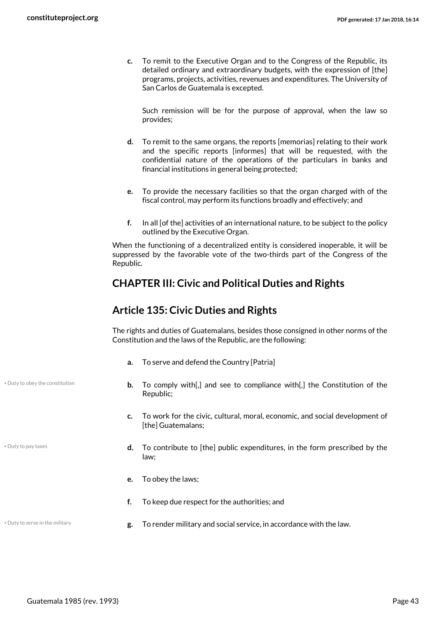**c.** To remit to the Executive Organ and to the Congress of the Republic, its detailed ordinary and extraordinary budgets, with the expression of [the] programs, projects, activities, revenues and expenditures. The University of San Carlos de Guatemala is excepted.

Such remission will be for the purpose of approval, when the law so provides;

- **d.** To remit to the same organs, the reports [memorias] relating to their work and the specific reports [informes] that will be requested, with the confidential nature of the operations of the particulars in banks and financial institutions in general being protected;
- **e.** To provide the necessary facilities so that the organ charged with of the fiscal control, may perform its functions broadly and effectively; and
- **f.** In all [of the] activities of an international nature, to be subject to the policy outlined by the Executive Organ.

When the functioning of a decentralized entity is considered inoperable, it will be suppressed by the favorable vote of the two-thirds part of the Congress of the Republic.

#### **CHAPTER III: Civic and Political Duties and Rights**

#### **Article 135: Civic Duties and Rights**

The rights and duties of Guatemalans, besides those consigned in other norms of the Constitution and the laws of the Republic, are the following:

- **a.** To serve and defend the Country [Patria]
- **b.** To comply with[,] and see to compliance with[,] the Constitution of the Republic;
- **c.** To work for the civic, cultural, moral, economic, and social development of [the] Guatemalans;
- **d.** To contribute to [the] public expenditures, in the form prescribed by the law;
- **e.** To obey the laws;
- **f.** To keep due respect for the authorities; and

• Duty to obey the constitution

• Duty to pay taxes

• Duty to serve in the military **render military and social service, in accordance with the law.**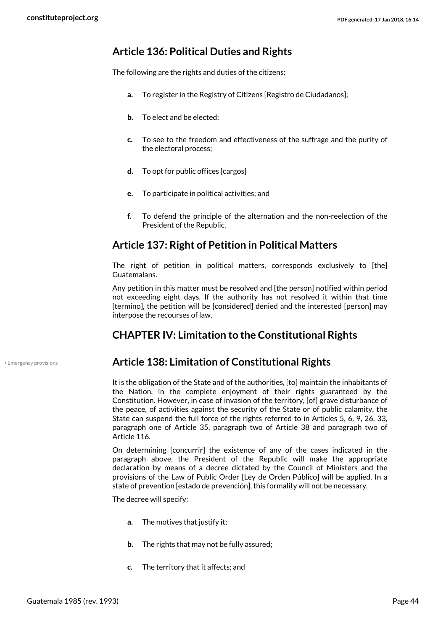#### **Article 136: Political Duties and Rights**

The following are the rights and duties of the citizens:

- **a.** To register in the Registry of Citizens [Registro de Ciudadanos];
- **b.** To elect and be elected;
- **c.** To see to the freedom and effectiveness of the suffrage and the purity of the electoral process;
- **d.** To opt for public offices [cargos]
- **e.** To participate in political activities; and
- **f.** To defend the principle of the alternation and the non-reelection of the President of the Republic.

#### **Article 137: Right of Petition in Political Matters**

The right of petition in political matters, corresponds exclusively to [the] Guatemalans.

Any petition in this matter must be resolved and [the person] notified within period not exceeding eight days. If the authority has not resolved it within that time [termino], the petition will be [considered] denied and the interested [person] may interpose the recourses of law.

#### **CHAPTER IV: Limitation to the Constitutional Rights**

#### • Emergency provisions **Article 138: Limitation of Constitutional Rights**

It is the obligation of the State and of the authorities, [to] maintain the inhabitants of the Nation, in the complete enjoyment of their rights guaranteed by the Constitution. However, in case of invasion of the territory, [of] grave disturbance of the peace, of activities against the security of the State or of public calamity, the State can suspend the full force of the rights referred to in Articles 5, 6, 9, 26, 33, paragraph one of Article 35, paragraph two of Article 38 and paragraph two of Article 116.

On determining [concurrir] the existence of any of the cases indicated in the paragraph above, the President of the Republic will make the appropriate declaration by means of a decree dictated by the Council of Ministers and the provisions of the Law of Public Order [Ley de Orden Público] will be applied. In a state of prevention [estado de prevención], this formality will not be necessary.

The decree will specify:

- **a.** The motives that justify it;
- **b.** The rights that may not be fully assured;
- **c.** The territory that it affects; and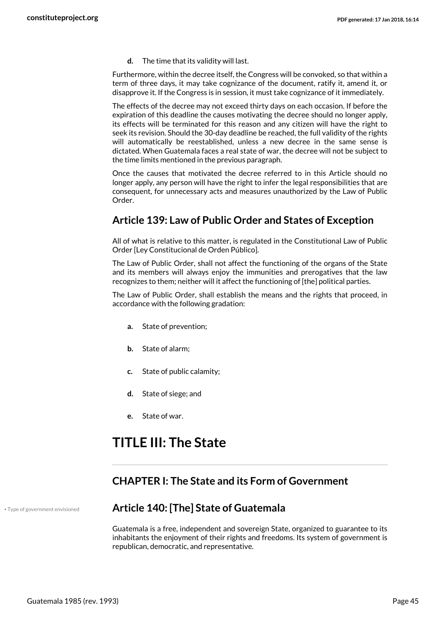**d.** The time that its validity will last.

Furthermore, within the decree itself, the Congress will be convoked, so that within a term of three days, it may take cognizance of the document, ratify it, amend it, or disapprove it. If the Congress is in session, it must take cognizance of it immediately.

The effects of the decree may not exceed thirty days on each occasion. If before the expiration of this deadline the causes motivating the decree should no longer apply, its effects will be terminated for this reason and any citizen will have the right to seek its revision. Should the 30-day deadline be reached, the full validity of the rights will automatically be reestablished, unless a new decree in the same sense is dictated. When Guatemala faces a real state of war, the decree will not be subject to the time limits mentioned in the previous paragraph.

Once the causes that motivated the decree referred to in this Article should no longer apply, any person will have the right to infer the legal responsibilities that are consequent, for unnecessary acts and measures unauthorized by the Law of Public Order.

#### **Article 139: Law of Public Order and States of Exception**

All of what is relative to this matter, is regulated in the Constitutional Law of Public Order [Ley Constitucional de Orden Público].

The Law of Public Order, shall not affect the functioning of the organs of the State and its members will always enjoy the immunities and prerogatives that the law recognizes to them; neither will it affect the functioning of [the] political parties.

The Law of Public Order, shall establish the means and the rights that proceed, in accordance with the following gradation:

- **a.** State of prevention;
- **b.** State of alarm;
- **c.** State of public calamity;
- **d.** State of siege; and
- **e.** State of war.

# **TITLE III: The State**

#### **CHAPTER I: The State and its Form of Government**

#### • Type of government envisioned **Article 140: [The] State of Guatemala**

Guatemala is a free, independent and sovereign State, organized to guarantee to its inhabitants the enjoyment of their rights and freedoms. Its system of government is republican, democratic, and representative.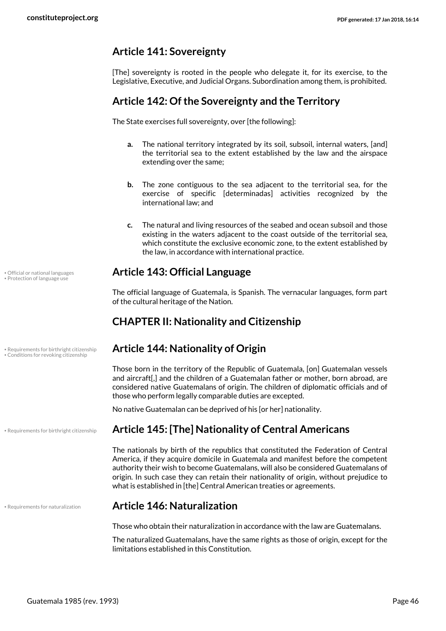### **Article 141: Sovereignty**

[The] sovereignty is rooted in the people who delegate it, for its exercise, to the Legislative, Executive, and Judicial Organs. Subordination among them, is prohibited.

### **Article 142: Of the Sovereignty and the Territory**

The State exercises full sovereignty, over [the following]:

- **a.** The national territory integrated by its soil, subsoil, internal waters, [and] the territorial sea to the extent established by the law and the airspace extending over the same;
- **b.** The zone contiguous to the sea adjacent to the territorial sea, for the exercise of specific [determinadas] activities recognized by the international law; and
- **c.** The natural and living resources of the seabed and ocean subsoil and those existing in the waters adjacent to the coast outside of the territorial sea, which constitute the exclusive economic zone, to the extent established by the law, in accordance with international practice.

#### • Official or national languages **Article 143: Official Language**

The official language of Guatemala, is Spanish. The vernacular languages, form part of the cultural heritage of the Nation.

### **CHAPTER II: Nationality and Citizenship**

#### • Requirements for birthright citizenship **Article 144: Nationality of Origin**

Those born in the territory of the Republic of Guatemala, [on] Guatemalan vessels and aircraft[,] and the children of a Guatemalan father or mother, born abroad, are considered native Guatemalans of origin. The children of diplomatic officials and of those who perform legally comparable duties are excepted.

No native Guatemalan can be deprived of his [or her] nationality.

#### • Requirements for birthright citizenship **Article 145: [The] Nationality of Central Americans**

The nationals by birth of the republics that constituted the Federation of Central America, if they acquire domicile in Guatemala and manifest before the competent authority their wish to become Guatemalans, will also be considered Guatemalans of origin. In such case they can retain their nationality of origin, without prejudice to what is established in [the] Central American treaties or agreements.

#### • Requirements for naturalization **Article 146: Naturalization**

Those who obtain their naturalization in accordance with the law are Guatemalans.

The naturalized Guatemalans, have the same rights as those of origin, except for the limitations established in this Constitution.

• Protection of language use

• Conditions for revoking citizenship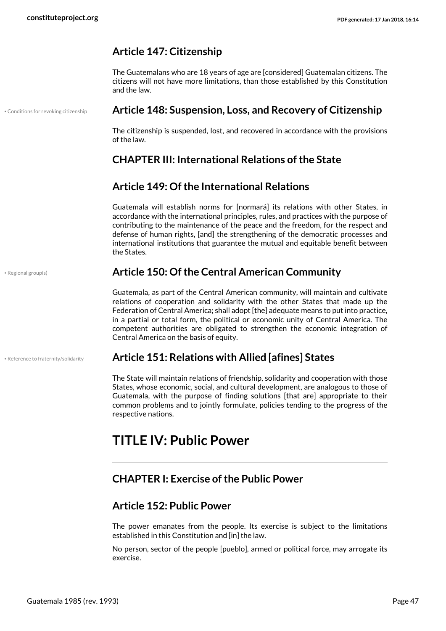### **Article 147: Citizenship**

The Guatemalans who are 18 years of age are [considered] Guatemalan citizens. The citizens will not have more limitations, than those established by this Constitution and the law.

#### • Conditions for revoking citizenship **Article 148: Suspension, Loss, and Recovery of Citizenship**

The citizenship is suspended, lost, and recovered in accordance with the provisions of the law.

### **CHAPTER III: International Relations of the State**

#### **Article 149: Of the International Relations**

Guatemala will establish norms for [normará] its relations with other States, in accordance with the international principles, rules, and practices with the purpose of contributing to the maintenance of the peace and the freedom, for the respect and defense of human rights, [and] the strengthening of the democratic processes and international institutions that guarantee the mutual and equitable benefit between the States.

#### • Regional group(s) **Article 150: Of the Central American Community**

Guatemala, as part of the Central American community, will maintain and cultivate relations of cooperation and solidarity with the other States that made up the Federation of Central America; shall adopt [the] adequate means to put into practice, in a partial or total form, the political or economic unity of Central America. The competent authorities are obligated to strengthen the economic integration of Central America on the basis of equity.

#### • Reference to fraternity/solidarity **Article 151: Relations with Allied [afines] States**

The State will maintain relations of friendship, solidarity and cooperation with those States, whose economic, social, and cultural development, are analogous to those of Guatemala, with the purpose of finding solutions [that are] appropriate to their common problems and to jointly formulate, policies tending to the progress of the respective nations.

# **TITLE IV: Public Power**

### **CHAPTER I: Exercise of the Public Power**

#### **Article 152: Public Power**

The power emanates from the people. Its exercise is subject to the limitations established in this Constitution and [in] the law.

No person, sector of the people [pueblo], armed or political force, may arrogate its exercise.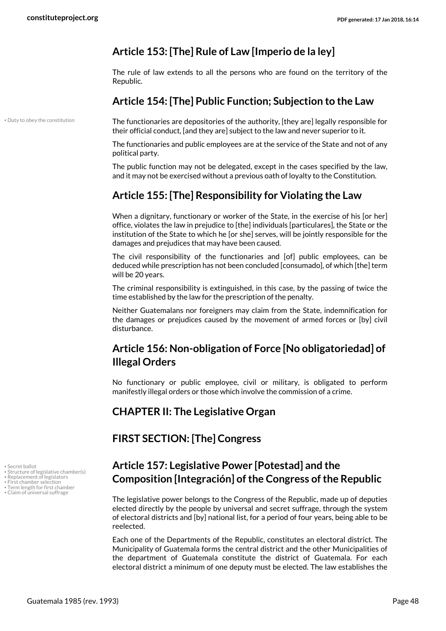## **Article 153: [The] Rule of Law [Imperio de la ley]**

The rule of law extends to all the persons who are found on the territory of the Republic.

#### **Article 154: [The] Public Function; Subjection to the Law**

• Duty to obey the constitution

The functionaries are depositories of the authority, [they are] legally responsible for their official conduct, [and they are] subject to the law and never superior to it.

The functionaries and public employees are at the service of the State and not of any political party.

The public function may not be delegated, except in the cases specified by the law, and it may not be exercised without a previous oath of loyalty to the Constitution.

## **Article 155: [The] Responsibility for Violating the Law**

When a dignitary, functionary or worker of the State, in the exercise of his [or her] office, violates the law in prejudice to [the] individuals [particulares], the State or the institution of the State to which he [or she] serves, will be jointly responsible for the damages and prejudices that may have been caused.

The civil responsibility of the functionaries and [of] public employees, can be deduced while prescription has not been concluded [consumado], of which [the] term will be 20 years.

The criminal responsibility is extinguished, in this case, by the passing of twice the time established by the law for the prescription of the penalty.

Neither Guatemalans nor foreigners may claim from the State, indemnification for the damages or prejudices caused by the movement of armed forces or [by] civil disturbance.

## **Article 156: Non-obligation of Force [No obligatoriedad] of Illegal Orders**

No functionary or public employee, civil or military, is obligated to perform manifestly illegal orders or those which involve the commission of a crime.

### **CHAPTER II: The Legislative Organ**

### **FIRST SECTION: [The] Congress**

## **Article 157: Legislative Power [Potestad] and the Composition [Integración] of the Congress of the Republic**

The legislative power belongs to the Congress of the Republic, made up of deputies elected directly by the people by universal and secret suffrage, through the system of electoral districts and [by] national list, for a period of four years, being able to be reelected.

Each one of the Departments of the Republic, constitutes an electoral district. The Municipality of Guatemala forms the central district and the other Municipalities of the department of Guatemala constitute the district of Guatemala. For each electoral district a minimum of one deputy must be elected. The law establishes the

• Secret ballot

- 
- Structure of legislative chamber(s) Replacement of legislators
- First chamber selection
- erm length for first chamber • Claim of universal suffrage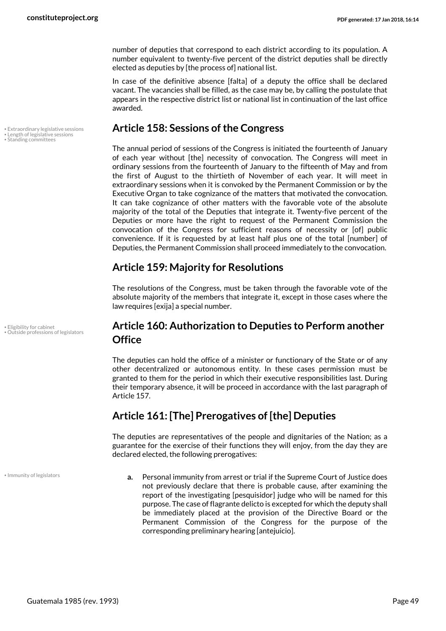• Length of legislative sessions • Standing committees

number of deputies that correspond to each district according to its population. A number equivalent to twenty-five percent of the district deputies shall be directly elected as deputies by [the process of] national list.

In case of the definitive absence [falta] of a deputy the office shall be declared vacant. The vacancies shall be filled, as the case may be, by calling the postulate that appears in the respective district list or national list in continuation of the last office awarded.

#### • Extraordinary legislative sessions **Article 158: Sessions of the Congress**

The annual period of sessions of the Congress is initiated the fourteenth of January of each year without [the] necessity of convocation. The Congress will meet in ordinary sessions from the fourteenth of January to the fifteenth of May and from the first of August to the thirtieth of November of each year. It will meet in extraordinary sessions when it is convoked by the Permanent Commission or by the Executive Organ to take cognizance of the matters that motivated the convocation. It can take cognizance of other matters with the favorable vote of the absolute majority of the total of the Deputies that integrate it. Twenty-five percent of the Deputies or more have the right to request of the Permanent Commission the convocation of the Congress for sufficient reasons of necessity or [of] public convenience. If it is requested by at least half plus one of the total [number] of Deputies, the Permanent Commission shall proceed immediately to the convocation.

### **Article 159: Majority for Resolutions**

The resolutions of the Congress, must be taken through the favorable vote of the absolute majority of the members that integrate it, except in those cases where the law requires [exija] a special number.

#### **Article 160: Authorization to Deputies to Perform another Office**

The deputies can hold the office of a minister or functionary of the State or of any other decentralized or autonomous entity. In these cases permission must be granted to them for the period in which their executive responsibilities last. During their temporary absence, it will be proceed in accordance with the last paragraph of Article 157.

## **Article 161: [The] Prerogatives of [the] Deputies**

The deputies are representatives of the people and dignitaries of the Nation; as a guarantee for the exercise of their functions they will enjoy, from the day they are declared elected, the following prerogatives:

• Immunity of legislators

• Eligibility for cabinet

• Outside professions of legislators

**a.** Personal immunity from arrest or trial if the Supreme Court of Justice does not previously declare that there is probable cause, after examining the report of the investigating [pesquisidor] judge who will be named for this purpose. The case of flagrante delicto is excepted for which the deputy shall be immediately placed at the provision of the Directive Board or the Permanent Commission of the Congress for the purpose of the corresponding preliminary hearing [antejuicio].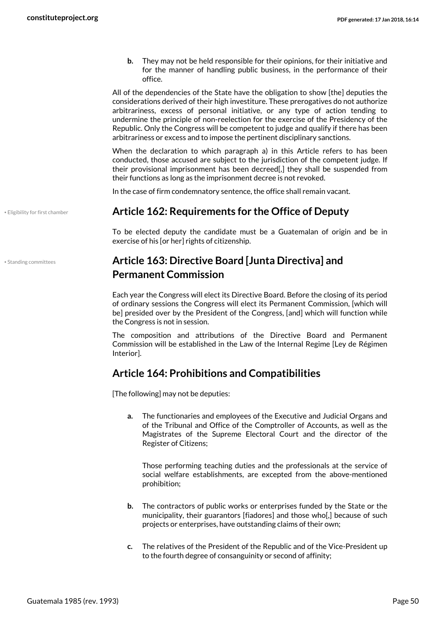**b.** They may not be held responsible for their opinions, for their initiative and for the manner of handling public business, in the performance of their office.

All of the dependencies of the State have the obligation to show [the] deputies the considerations derived of their high investiture. These prerogatives do not authorize arbitrariness, excess of personal initiative, or any type of action tending to undermine the principle of non-reelection for the exercise of the Presidency of the Republic. Only the Congress will be competent to judge and qualify if there has been arbitrariness or excess and to impose the pertinent disciplinary sanctions.

When the declaration to which paragraph a) in this Article refers to has been conducted, those accused are subject to the jurisdiction of the competent judge. If their provisional imprisonment has been decreed[,] they shall be suspended from their functions as long as the imprisonment decree is not revoked.

In the case of firm condemnatory sentence, the office shall remain vacant.

• Standing committees

#### • Eligibility for first chamber **Article 162: Requirements for the Office of Deputy**

To be elected deputy the candidate must be a Guatemalan of origin and be in exercise of his [or her] rights of citizenship.

### **Article 163: Directive Board [Junta Directiva] and Permanent Commission**

Each year the Congress will elect its Directive Board. Before the closing of its period of ordinary sessions the Congress will elect its Permanent Commission, [which will be] presided over by the President of the Congress, [and] which will function while the Congress is not in session.

The composition and attributions of the Directive Board and Permanent Commission will be established in the Law of the Internal Regime [Ley de Régimen Interior].

### **Article 164: Prohibitions and Compatibilities**

[The following] may not be deputies:

**a.** The functionaries and employees of the Executive and Judicial Organs and of the Tribunal and Office of the Comptroller of Accounts, as well as the Magistrates of the Supreme Electoral Court and the director of the Register of Citizens;

Those performing teaching duties and the professionals at the service of social welfare establishments, are excepted from the above-mentioned prohibition;

- **b.** The contractors of public works or enterprises funded by the State or the municipality, their guarantors [fiadores] and those who[,] because of such projects or enterprises, have outstanding claims of their own;
- **c.** The relatives of the President of the Republic and of the Vice-President up to the fourth degree of consanguinity or second of affinity;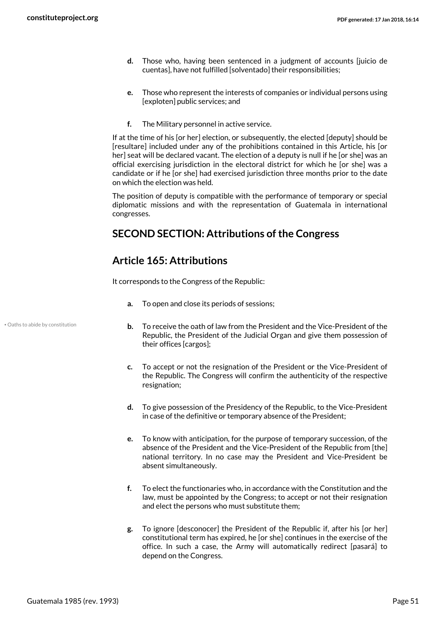- **d.** Those who, having been sentenced in a judgment of accounts [juicio de cuentas], have not fulfilled [solventado] their responsibilities;
- **e.** Those who represent the interests of companies or individual persons using [exploten] public services; and
- **f.** The Military personnel in active service.

If at the time of his [or her] election, or subsequently, the elected [deputy] should be [resultare] included under any of the prohibitions contained in this Article, his [or her] seat will be declared vacant. The election of a deputy is null if he [or she] was an official exercising jurisdiction in the electoral district for which he [or she] was a candidate or if he [or she] had exercised jurisdiction three months prior to the date on which the election was held.

The position of deputy is compatible with the performance of temporary or special diplomatic missions and with the representation of Guatemala in international congresses.

### **SECOND SECTION: Attributions of the Congress**

### **Article 165: Attributions**

It corresponds to the Congress of the Republic:

- **a.** To open and close its periods of sessions;
- Oaths to abide by constitution
- **b.** To receive the oath of law from the President and the Vice-President of the Republic, the President of the Judicial Organ and give them possession of their offices [cargos];
- **c.** To accept or not the resignation of the President or the Vice-President of the Republic. The Congress will confirm the authenticity of the respective resignation;
- **d.** To give possession of the Presidency of the Republic, to the Vice-President in case of the definitive or temporary absence of the President;
- **e.** To know with anticipation, for the purpose of temporary succession, of the absence of the President and the Vice-President of the Republic from [the] national territory. In no case may the President and Vice-President be absent simultaneously.
- **f.** To elect the functionaries who, in accordance with the Constitution and the law, must be appointed by the Congress; to accept or not their resignation and elect the persons who must substitute them;
- **g.** To ignore [desconocer] the President of the Republic if, after his [or her] constitutional term has expired, he [or she] continues in the exercise of the office. In such a case, the Army will automatically redirect [pasará] to depend on the Congress.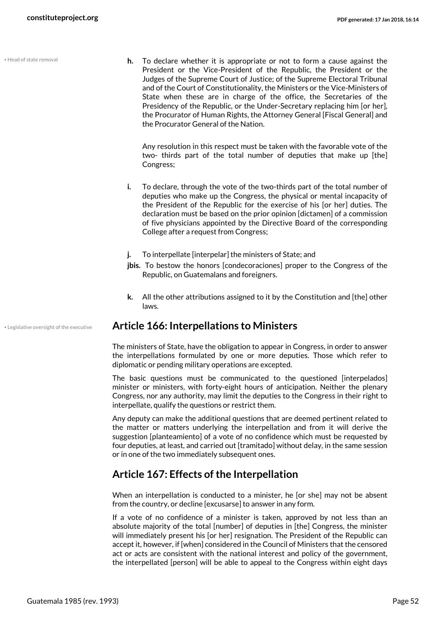• Head of state removal

**h.** To declare whether it is appropriate or not to form a cause against the President or the Vice-President of the Republic, the President or the Judges of the Supreme Court of Justice; of the Supreme Electoral Tribunal and of the Court of Constitutionality, the Ministers or the Vice-Ministers of State when these are in charge of the office, the Secretaries of the Presidency of the Republic, or the Under-Secretary replacing him [or her], the Procurator of Human Rights, the Attorney General [Fiscal General] and the Procurator General of the Nation.

Any resolution in this respect must be taken with the favorable vote of the two- thirds part of the total number of deputies that make up [the] Congress;

- **i.** To declare, through the vote of the two-thirds part of the total number of deputies who make up the Congress, the physical or mental incapacity of the President of the Republic for the exercise of his [or her] duties. The declaration must be based on the prior opinion [dictamen] of a commission of five physicians appointed by the Directive Board of the corresponding College after a request from Congress;
- **j.** To interpellate [interpelar] the ministers of State; and
- **jbis.** To bestow the honors [condecoraciones] proper to the Congress of the Republic, on Guatemalans and foreigners.
- **k.** All the other attributions assigned to it by the Constitution and [the] other laws.

#### • Legislative oversight of the executive **Article 166: Interpellations to Ministers**

The ministers of State, have the obligation to appear in Congress, in order to answer the interpellations formulated by one or more deputies. Those which refer to diplomatic or pending military operations are excepted.

The basic questions must be communicated to the questioned [interpelados] minister or ministers, with forty-eight hours of anticipation. Neither the plenary Congress, nor any authority, may limit the deputies to the Congress in their right to interpellate, qualify the questions or restrict them.

Any deputy can make the additional questions that are deemed pertinent related to the matter or matters underlying the interpellation and from it will derive the suggestion [planteamiento] of a vote of no confidence which must be requested by four deputies, at least, and carried out [tramitado] without delay, in the same session or in one of the two immediately subsequent ones.

#### **Article 167: Effects of the Interpellation**

When an interpellation is conducted to a minister, he [or she] may not be absent from the country, or decline [excusarse] to answer in any form.

If a vote of no confidence of a minister is taken, approved by not less than an absolute majority of the total [number] of deputies in [the] Congress, the minister will immediately present his [or her] resignation. The President of the Republic can accept it, however, if [when] considered in the Council of Ministers that the censored act or acts are consistent with the national interest and policy of the government, the interpellated [person] will be able to appeal to the Congress within eight days

Guatemala 1985 (rev. 1993) Page 52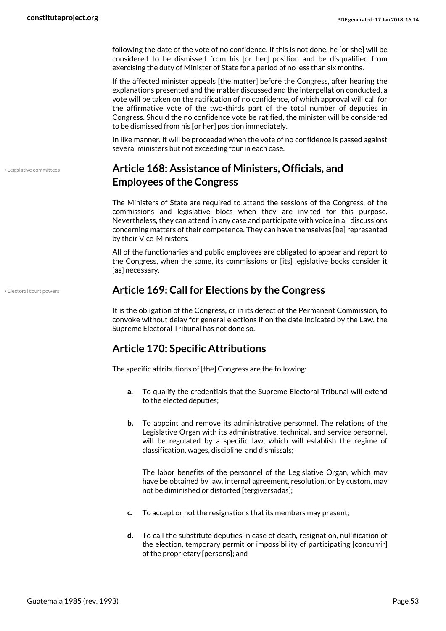following the date of the vote of no confidence. If this is not done, he [or she] will be considered to be dismissed from his [or her] position and be disqualified from exercising the duty of Minister of State for a period of no less than six months.

If the affected minister appeals [the matter] before the Congress, after hearing the explanations presented and the matter discussed and the interpellation conducted, a vote will be taken on the ratification of no confidence, of which approval will call for the affirmative vote of the two-thirds part of the total number of deputies in Congress. Should the no confidence vote be ratified, the minister will be considered to be dismissed from his [or her] position immediately.

In like manner, it will be proceeded when the vote of no confidence is passed against several ministers but not exceeding four in each case.

• Legislative committees

### **Article 168: Assistance of Ministers, Officials, and Employees of the Congress**

The Ministers of State are required to attend the sessions of the Congress, of the commissions and legislative blocs when they are invited for this purpose. Nevertheless, they can attend in any case and participate with voice in all discussions concerning matters of their competence. They can have themselves [be] represented by their Vice-Ministers.

All of the functionaries and public employees are obligated to appear and report to the Congress, when the same, its commissions or [its] legislative bocks consider it [as] necessary.

#### • Electoral court powers **Article 169: Call for Elections by the Congress**

It is the obligation of the Congress, or in its defect of the Permanent Commission, to convoke without delay for general elections if on the date indicated by the Law, the Supreme Electoral Tribunal has not done so.

#### **Article 170: Specific Attributions**

The specific attributions of [the] Congress are the following:

- **a.** To qualify the credentials that the Supreme Electoral Tribunal will extend to the elected deputies;
- **b.** To appoint and remove its administrative personnel. The relations of the Legislative Organ with its administrative, technical, and service personnel, will be regulated by a specific law, which will establish the regime of classification, wages, discipline, and dismissals;

The labor benefits of the personnel of the Legislative Organ, which may have be obtained by law, internal agreement, resolution, or by custom, may not be diminished or distorted [tergiversadas];

- **c.** To accept or not the resignations that its members may present;
- **d.** To call the substitute deputies in case of death, resignation, nullification of the election, temporary permit or impossibility of participating [concurrir] of the proprietary [persons]; and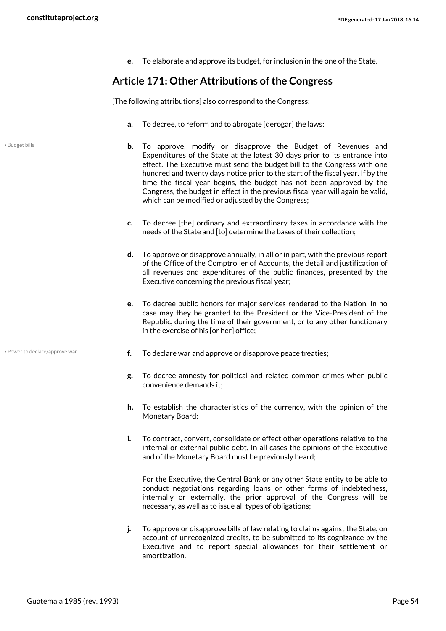**e.** To elaborate and approve its budget, for inclusion in the one of the State.

### **Article 171: Other Attributions of the Congress**

[The following attributions] also correspond to the Congress:

- **a.** To decree, to reform and to abrogate [derogar] the laws;
- **b.** To approve, modify or disapprove the Budget of Revenues and Expenditures of the State at the latest 30 days prior to its entrance into effect. The Executive must send the budget bill to the Congress with one hundred and twenty days notice prior to the start of the fiscal year. If by the time the fiscal year begins, the budget has not been approved by the Congress, the budget in effect in the previous fiscal year will again be valid, which can be modified or adjusted by the Congress;
- **c.** To decree [the] ordinary and extraordinary taxes in accordance with the needs of the State and [to] determine the bases of their collection;
- **d.** To approve or disapprove annually, in all or in part, with the previous report of the Office of the Comptroller of Accounts, the detail and justification of all revenues and expenditures of the public finances, presented by the Executive concerning the previous fiscal year;
- **e.** To decree public honors for major services rendered to the Nation. In no case may they be granted to the President or the Vice-President of the Republic, during the time of their government, or to any other functionary in the exercise of his [or her] office;
- **.** Power to declare/approve war **f.** To declare war and approve or disapprove peace treaties;
	- **g.** To decree amnesty for political and related common crimes when public convenience demands it;
	- **h.** To establish the characteristics of the currency, with the opinion of the Monetary Board;
	- **i.** To contract, convert, consolidate or effect other operations relative to the internal or external public debt. In all cases the opinions of the Executive and of the Monetary Board must be previously heard;

For the Executive, the Central Bank or any other State entity to be able to conduct negotiations regarding loans or other forms of indebtedness, internally or externally, the prior approval of the Congress will be necessary, as well as to issue all types of obligations;

**j.** To approve or disapprove bills of law relating to claims against the State, on account of unrecognized credits, to be submitted to its cognizance by the Executive and to report special allowances for their settlement or amortization.

• Budget bills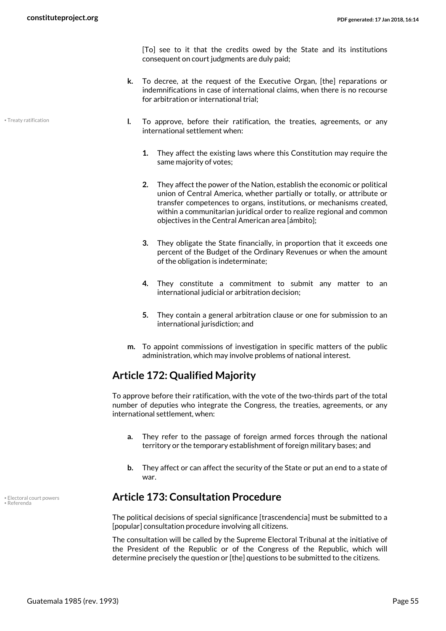[To] see to it that the credits owed by the State and its institutions consequent on court judgments are duly paid;

- **k.** To decree, at the request of the Executive Organ, [the] reparations or indemnifications in case of international claims, when there is no recourse for arbitration or international trial;
- **l.** To approve, before their ratification, the treaties, agreements, or any international settlement when:
	- **1.** They affect the existing laws where this Constitution may require the same majority of votes;
	- **2.** They affect the power of the Nation, establish the economic or political union of Central America, whether partially or totally, or attribute or transfer competences to organs, institutions, or mechanisms created, within a communitarian juridical order to realize regional and common objectives in the Central American area [ámbito];
	- **3.** They obligate the State financially, in proportion that it exceeds one percent of the Budget of the Ordinary Revenues or when the amount of the obligation is indeterminate;
	- **4.** They constitute a commitment to submit any matter to an international judicial or arbitration decision;
	- **5.** They contain a general arbitration clause or one for submission to an international jurisdiction; and
- **m.** To appoint commissions of investigation in specific matters of the public administration, which may involve problems of national interest.

### **Article 172: Qualified Majority**

To approve before their ratification, with the vote of the two-thirds part of the total number of deputies who integrate the Congress, the treaties, agreements, or any international settlement, when:

- **a.** They refer to the passage of foreign armed forces through the national territory or the temporary establishment of foreign military bases; and
- **b.** They affect or can affect the security of the State or put an end to a state of war.

#### • Electoral court powers **Article 173: Consultation Procedure**

The political decisions of special significance [trascendencia] must be submitted to a [popular] consultation procedure involving all citizens.

The consultation will be called by the Supreme Electoral Tribunal at the initiative of the President of the Republic or of the Congress of the Republic, which will determine precisely the question or [the] questions to be submitted to the citizens.

• Treaty ratification

• Referenda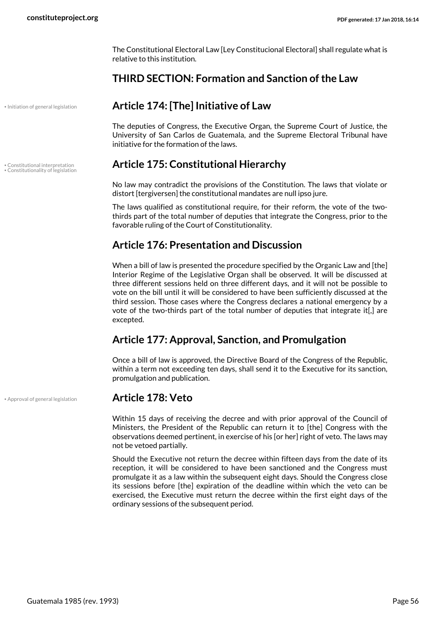The Constitutional Electoral Law [Ley Constitucional Electoral] shall regulate what is relative to this institution.

#### **THIRD SECTION: Formation and Sanction of the Law**

• Constitutionality of legislation

#### • Initiation of general legislation **Article 174: [The] Initiative of Law**

The deputies of Congress, the Executive Organ, the Supreme Court of Justice, the University of San Carlos de Guatemala, and the Supreme Electoral Tribunal have initiative for the formation of the laws.

### • Constitutional interpretation **Article 175: Constitutional Hierarchy**

No law may contradict the provisions of the Constitution. The laws that violate or distort [tergiversen] the constitutional mandates are null ipso jure.

The laws qualified as constitutional require, for their reform, the vote of the twothirds part of the total number of deputies that integrate the Congress, prior to the favorable ruling of the Court of Constitutionality.

### **Article 176: Presentation and Discussion**

When a bill of law is presented the procedure specified by the Organic Law and [the] Interior Regime of the Legislative Organ shall be observed. It will be discussed at three different sessions held on three different days, and it will not be possible to vote on the bill until it will be considered to have been sufficiently discussed at the third session. Those cases where the Congress declares a national emergency by a vote of the two-thirds part of the total number of deputies that integrate it[,] are excepted.

### **Article 177: Approval, Sanction, and Promulgation**

Once a bill of law is approved, the Directive Board of the Congress of the Republic, within a term not exceeding ten days, shall send it to the Executive for its sanction, promulgation and publication.

### • Approval of general legislation **Article 178: Veto**

Within 15 days of receiving the decree and with prior approval of the Council of Ministers, the President of the Republic can return it to [the] Congress with the observations deemed pertinent, in exercise of his [or her] right of veto. The laws may not be vetoed partially.

Should the Executive not return the decree within fifteen days from the date of its reception, it will be considered to have been sanctioned and the Congress must promulgate it as a law within the subsequent eight days. Should the Congress close its sessions before [the] expiration of the deadline within which the veto can be exercised, the Executive must return the decree within the first eight days of the ordinary sessions of the subsequent period.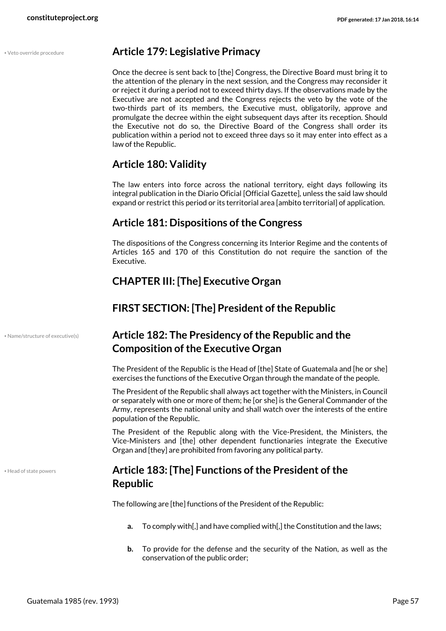#### • Veto override procedure **Article 179: Legislative Primacy**

Once the decree is sent back to [the] Congress, the Directive Board must bring it to the attention of the plenary in the next session, and the Congress may reconsider it or reject it during a period not to exceed thirty days. If the observations made by the Executive are not accepted and the Congress rejects the veto by the vote of the two-thirds part of its members, the Executive must, obligatorily, approve and promulgate the decree within the eight subsequent days after its reception. Should the Executive not do so, the Directive Board of the Congress shall order its publication within a period not to exceed three days so it may enter into effect as a law of the Republic.

#### **Article 180: Validity**

The law enters into force across the national territory, eight days following its integral publication in the Diario Oficial [Official Gazette], unless the said law should expand or restrict this period or its territorial area [ambito territorial] of application.

#### **Article 181: Dispositions of the Congress**

The dispositions of the Congress concerning its Interior Regime and the contents of Articles 165 and 170 of this Constitution do not require the sanction of the Executive.

### **CHAPTER III: [The] Executive Organ**

**FIRST SECTION: [The] President of the Republic**

• Name/structure of executive(s)

### **Article 182: The Presidency of the Republic and the Composition of the Executive Organ**

The President of the Republic is the Head of [the] State of Guatemala and [he or she] exercises the functions of the Executive Organ through the mandate of the people.

The President of the Republic shall always act together with the Ministers, in Council or separately with one or more of them; he [or she] is the General Commander of the Army, represents the national unity and shall watch over the interests of the entire population of the Republic.

The President of the Republic along with the Vice-President, the Ministers, the Vice-Ministers and [the] other dependent functionaries integrate the Executive Organ and [they] are prohibited from favoring any political party.

• Head of state powers

### **Article 183: [The] Functions of the President of the Republic**

The following are [the] functions of the President of the Republic:

- **a.** To comply with[,] and have complied with[,] the Constitution and the laws;
- **b.** To provide for the defense and the security of the Nation, as well as the conservation of the public order;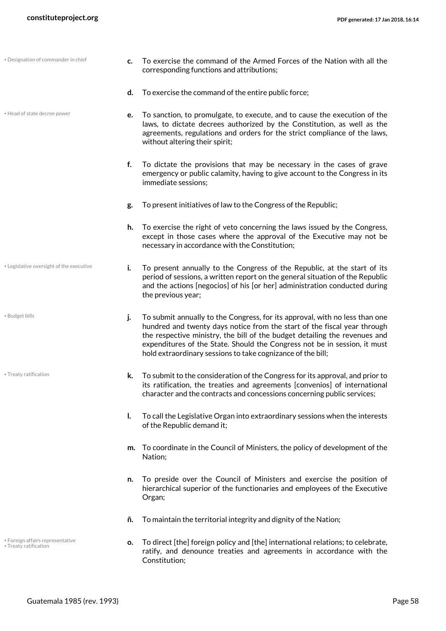| • Designation of commander in chief                       | c. | To exercise the command of the Armed Forces of the Nation with all the<br>corresponding functions and attributions;                                                                                                                                                                                                                                                               |  |
|-----------------------------------------------------------|----|-----------------------------------------------------------------------------------------------------------------------------------------------------------------------------------------------------------------------------------------------------------------------------------------------------------------------------------------------------------------------------------|--|
|                                                           | d. | To exercise the command of the entire public force;                                                                                                                                                                                                                                                                                                                               |  |
| · Head of state decree power                              | e. | To sanction, to promulgate, to execute, and to cause the execution of the<br>laws, to dictate decrees authorized by the Constitution, as well as the<br>agreements, regulations and orders for the strict compliance of the laws,<br>without altering their spirit;                                                                                                               |  |
|                                                           | f. | To dictate the provisions that may be necessary in the cases of grave<br>emergency or public calamity, having to give account to the Congress in its<br>immediate sessions;                                                                                                                                                                                                       |  |
|                                                           | g. | To present initiatives of law to the Congress of the Republic;                                                                                                                                                                                                                                                                                                                    |  |
|                                                           | h. | To exercise the right of veto concerning the laws issued by the Congress,<br>except in those cases where the approval of the Executive may not be<br>necessary in accordance with the Constitution;                                                                                                                                                                               |  |
| . Legislative oversight of the executive                  | i. | To present annually to the Congress of the Republic, at the start of its<br>period of sessions, a written report on the general situation of the Republic<br>and the actions [negocios] of his [or her] administration conducted during<br>the previous year;                                                                                                                     |  |
| • Budget bills                                            | j. | To submit annually to the Congress, for its approval, with no less than one<br>hundred and twenty days notice from the start of the fiscal year through<br>the respective ministry, the bill of the budget detailing the revenues and<br>expenditures of the State. Should the Congress not be in session, it must<br>hold extraordinary sessions to take cognizance of the bill; |  |
| · Treaty ratification                                     | k. | To submit to the consideration of the Congress for its approval, and prior to<br>its ratification, the treaties and agreements [convenios] of international<br>character and the contracts and concessions concerning public services;                                                                                                                                            |  |
|                                                           | I. | To call the Legislative Organ into extraordinary sessions when the interests<br>of the Republic demand it;                                                                                                                                                                                                                                                                        |  |
|                                                           | m. | To coordinate in the Council of Ministers, the policy of development of the<br>Nation;                                                                                                                                                                                                                                                                                            |  |
|                                                           | n. | To preside over the Council of Ministers and exercise the position of<br>hierarchical superior of the functionaries and employees of the Executive<br>Organ;                                                                                                                                                                                                                      |  |
|                                                           | ñ. | To maintain the territorial integrity and dignity of the Nation;                                                                                                                                                                                                                                                                                                                  |  |
| · Foreign affairs representative<br>• Treaty ratification | о. | To direct [the] foreign policy and [the] international relations; to celebrate,<br>ratify, and denounce treaties and agreements in accordance with the<br>Constitution;                                                                                                                                                                                                           |  |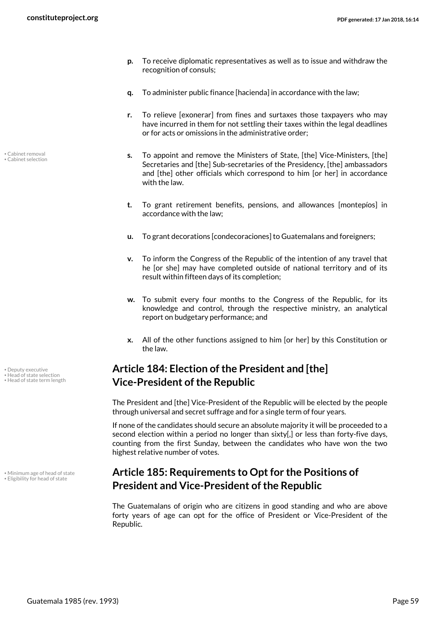- **p.** To receive diplomatic representatives as well as to issue and withdraw the recognition of consuls;
- **q.** To administer public finance [hacienda] in accordance with the law;
- **r.** To relieve [exonerar] from fines and surtaxes those taxpayers who may have incurred in them for not settling their taxes within the legal deadlines or for acts or omissions in the administrative order;
- **s.** To appoint and remove the Ministers of State, [the] Vice-Ministers, [the] Secretaries and [the] Sub-secretaries of the Presidency, [the] ambassadors and [the] other officials which correspond to him [or her] in accordance with the law.
- **t.** To grant retirement benefits, pensions, and allowances [montepíos] in accordance with the law;
- **u.** To grant decorations [condecoraciones] to Guatemalans and foreigners;
- **v.** To inform the Congress of the Republic of the intention of any travel that he [or she] may have completed outside of national territory and of its result within fifteen days of its completion;
- **w.** To submit every four months to the Congress of the Republic, for its knowledge and control, through the respective ministry, an analytical report on budgetary performance; and
- **x.** All of the other functions assigned to him [or her] by this Constitution or the law.

### **Article 184: Election of the President and [the] Vice-President of the Republic**

The President and [the] Vice-President of the Republic will be elected by the people through universal and secret suffrage and for a single term of four years.

If none of the candidates should secure an absolute majority it will be proceeded to a second election within a period no longer than sixty[,] or less than forty-five days, counting from the first Sunday, between the candidates who have won the two highest relative number of votes.

### **Article 185: Requirements to Opt for the Positions of President and Vice-President of the Republic**

The Guatemalans of origin who are citizens in good standing and who are above forty years of age can opt for the office of President or Vice-President of the Republic.

• Cabinet removal • Cabinet selection

• Deputy executive • Head of state selection

• Head of state term length

• Minimum age of head of state • Eligibility for head of state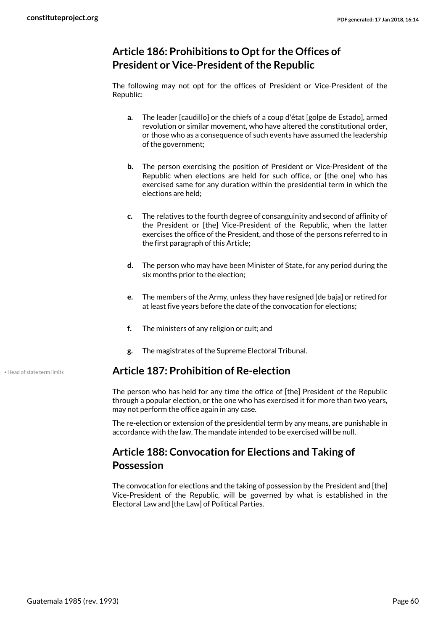### **Article 186: Prohibitions to Opt for the Offices of President or Vice-President of the Republic**

The following may not opt for the offices of President or Vice-President of the Republic:

- **a.** The leader [caudillo] or the chiefs of a coup d'état [golpe de Estado], armed revolution or similar movement, who have altered the constitutional order, or those who as a consequence of such events have assumed the leadership of the government;
- **b.** The person exercising the position of President or Vice-President of the Republic when elections are held for such office, or [the one] who has exercised same for any duration within the presidential term in which the elections are held;
- **c.** The relatives to the fourth degree of consanguinity and second of affinity of the President or [the] Vice-President of the Republic, when the latter exercises the office of the President, and those of the persons referred to in the first paragraph of this Article;
- **d.** The person who may have been Minister of State, for any period during the six months prior to the election;
- **e.** The members of the Army, unless they have resigned [de baja] or retired for at least five years before the date of the convocation for elections;
- **f.** The ministers of any religion or cult; and
- **g.** The magistrates of the Supreme Electoral Tribunal.

#### • Head of state term limits **Article 187: Prohibition of Re-election**

The person who has held for any time the office of [the] President of the Republic through a popular election, or the one who has exercised it for more than two years, may not perform the office again in any case.

The re-election or extension of the presidential term by any means, are punishable in accordance with the law. The mandate intended to be exercised will be null.

## **Article 188: Convocation for Elections and Taking of Possession**

The convocation for elections and the taking of possession by the President and [the] Vice-President of the Republic, will be governed by what is established in the Electoral Law and [the Law] of Political Parties.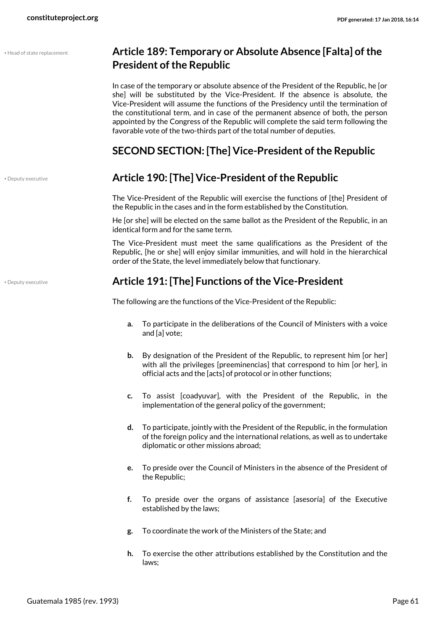|  |  | • Head of state replacement |  |
|--|--|-----------------------------|--|

### **Article 189: Temporary or Absolute Absence [Falta] of the President of the Republic**

In case of the temporary or absolute absence of the President of the Republic, he [or she] will be substituted by the Vice-President. If the absence is absolute, the Vice-President will assume the functions of the Presidency until the termination of the constitutional term, and in case of the permanent absence of both, the person appointed by the Congress of the Republic will complete the said term following the favorable vote of the two-thirds part of the total number of deputies.

#### **SECOND SECTION: [The] Vice-President of the Republic**

#### • Deputy executive **Article 190: [The] Vice-President of the Republic**

The Vice-President of the Republic will exercise the functions of [the] President of the Republic in the cases and in the form established by the Constitution.

He [or she] will be elected on the same ballot as the President of the Republic, in an identical form and for the same term.

The Vice-President must meet the same qualifications as the President of the Republic, [he or she] will enjoy similar immunities, and will hold in the hierarchical order of the State, the level immediately below that functionary.

### • Deputy executive **Article 191: [The] Functions of the Vice-President**

The following are the functions of the Vice-President of the Republic:

- **a.** To participate in the deliberations of the Council of Ministers with a voice and [a] vote;
- **b.** By designation of the President of the Republic, to represent him [or her] with all the privileges [preeminencias] that correspond to him [or her], in official acts and the [acts] of protocol or in other functions;
- **c.** To assist [coadyuvar], with the President of the Republic, in the implementation of the general policy of the government;
- **d.** To participate, jointly with the President of the Republic, in the formulation of the foreign policy and the international relations, as well as to undertake diplomatic or other missions abroad;
- **e.** To preside over the Council of Ministers in the absence of the President of the Republic;
- **f.** To preside over the organs of assistance [asesoría] of the Executive established by the laws;
- **g.** To coordinate the work of the Ministers of the State; and
- **h.** To exercise the other attributions established by the Constitution and the laws;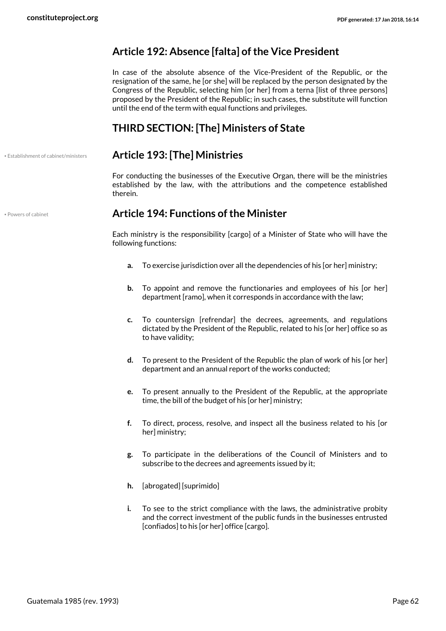### **Article 192: Absence [falta] of the Vice President**

In case of the absolute absence of the Vice-President of the Republic, or the resignation of the same, he [or she] will be replaced by the person designated by the Congress of the Republic, selecting him [or her] from a terna [list of three persons] proposed by the President of the Republic; in such cases, the substitute will function until the end of the term with equal functions and privileges.

## **THIRD SECTION: [The] Ministers of State**

#### • Establishment of cabinet/ministers **Article 193: [The] Ministries**

For conducting the businesses of the Executive Organ, there will be the ministries established by the law, with the attributions and the competence established therein.

#### • Powers of cabinet **Article 194: Functions of the Minister**

Each ministry is the responsibility [cargo] of a Minister of State who will have the following functions:

- **a.** To exercise jurisdiction over all the dependencies of his [or her] ministry;
- **b.** To appoint and remove the functionaries and employees of his [or her] department [ramo], when it corresponds in accordance with the law;
- **c.** To countersign [refrendar] the decrees, agreements, and regulations dictated by the President of the Republic, related to his [or her] office so as to have validity;
- **d.** To present to the President of the Republic the plan of work of his [or her] department and an annual report of the works conducted;
- **e.** To present annually to the President of the Republic, at the appropriate time, the bill of the budget of his [or her] ministry;
- **f.** To direct, process, resolve, and inspect all the business related to his [or her] ministry;
- **g.** To participate in the deliberations of the Council of Ministers and to subscribe to the decrees and agreements issued by it;
- **h.** [abrogated] [suprimido]
- **i.** To see to the strict compliance with the laws, the administrative probity and the correct investment of the public funds in the businesses entrusted [confiados] to his [or her] office [cargo].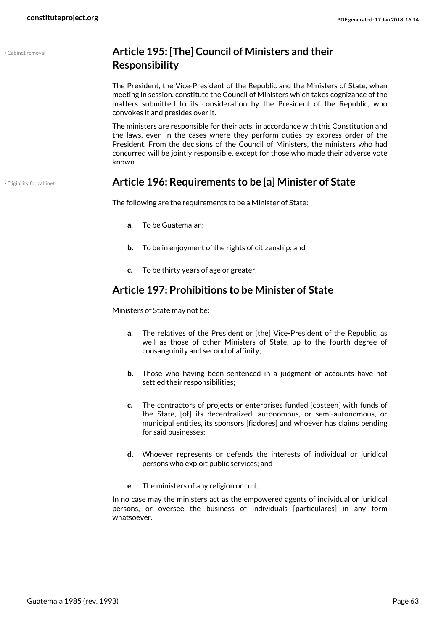• Cabinet removal

### **Article 195: [The] Council of Ministers and their Responsibility**

The President, the Vice-President of the Republic and the Ministers of State, when meeting in session, constitute the Council of Ministers which takes cognizance of the matters submitted to its consideration by the President of the Republic, who convokes it and presides over it.

The ministers are responsible for their acts, in accordance with this Constitution and the laws, even in the cases where they perform duties by express order of the President. From the decisions of the Council of Ministers, the ministers who had concurred will be jointly responsible, except for those who made their adverse vote known.

#### • Eligibility for cabinet **Article 196: Requirements to be [a] Minister of State**

The following are the requirements to be a Minister of State:

- **a.** To be Guatemalan;
- **b.** To be in enjoyment of the rights of citizenship; and
- **c.** To be thirty years of age or greater.

#### **Article 197: Prohibitions to be Minister of State**

Ministers of State may not be:

- **a.** The relatives of the President or [the] Vice-President of the Republic, as well as those of other Ministers of State, up to the fourth degree of consanguinity and second of affinity;
- **b.** Those who having been sentenced in a judgment of accounts have not settled their responsibilities;
- **c.** The contractors of projects or enterprises funded [costeen] with funds of the State, [of] its decentralized, autonomous, or semi-autonomous, or municipal entities, its sponsors [fiadores] and whoever has claims pending for said businesses;
- **d.** Whoever represents or defends the interests of individual or juridical persons who exploit public services; and
- **e.** The ministers of any religion or cult.

In no case may the ministers act as the empowered agents of individual or juridical persons, or oversee the business of individuals [particulares] in any form whatsoever.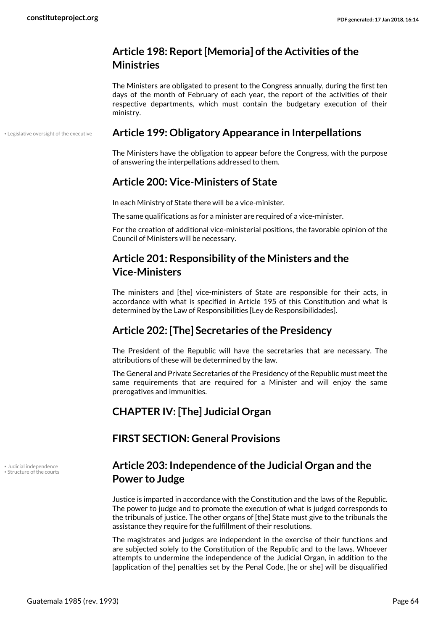## **Article 198: Report [Memoria] of the Activities of the Ministries**

The Ministers are obligated to present to the Congress annually, during the first ten days of the month of February of each year, the report of the activities of their respective departments, which must contain the budgetary execution of their ministry.

#### • Legislative oversight of the executive **Article 199: Obligatory Appearance in Interpellations**

The Ministers have the obligation to appear before the Congress, with the purpose of answering the interpellations addressed to them.

### **Article 200: Vice-Ministers of State**

In each Ministry of State there will be a vice-minister.

The same qualifications as for a minister are required of a vice-minister.

For the creation of additional vice-ministerial positions, the favorable opinion of the Council of Ministers will be necessary.

### **Article 201: Responsibility of the Ministers and the Vice-Ministers**

The ministers and [the] vice-ministers of State are responsible for their acts, in accordance with what is specified in Article 195 of this Constitution and what is determined by the Law of Responsibilities [Ley de Responsibilidades].

## **Article 202: [The] Secretaries of the Presidency**

The President of the Republic will have the secretaries that are necessary. The attributions of these will be determined by the law.

The General and Private Secretaries of the Presidency of the Republic must meet the same requirements that are required for a Minister and will enjoy the same prerogatives and immunities.

## **CHAPTER IV: [The] Judicial Organ**

#### **FIRST SECTION: General Provisions**

### **Article 203: Independence of the Judicial Organ and the Power to Judge**

Justice is imparted in accordance with the Constitution and the laws of the Republic. The power to judge and to promote the execution of what is judged corresponds to the tribunals of justice. The other organs of [the] State must give to the tribunals the assistance they require for the fulfillment of their resolutions.

The magistrates and judges are independent in the exercise of their functions and are subjected solely to the Constitution of the Republic and to the laws. Whoever attempts to undermine the independence of the Judicial Organ, in addition to the [application of the] penalties set by the Penal Code, [he or she] will be disqualified

• Judicial independence • Structure of the courts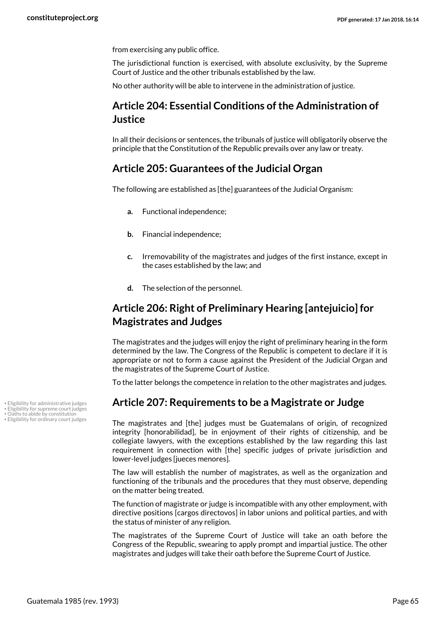from exercising any public office.

The jurisdictional function is exercised, with absolute exclusivity, by the Supreme Court of Justice and the other tribunals established by the law.

No other authority will be able to intervene in the administration of justice.

### **Article 204: Essential Conditions of the Administration of Justice**

In all their decisions or sentences, the tribunals of justice will obligatorily observe the principle that the Constitution of the Republic prevails over any law or treaty.

#### **Article 205: Guarantees of the Judicial Organ**

The following are established as [the] guarantees of the Judicial Organism:

- **a.** Functional independence;
- **b.** Financial independence;
- **c.** Irremovability of the magistrates and judges of the first instance, except in the cases established by the law; and
- **d.** The selection of the personnel.

### **Article 206: Right of Preliminary Hearing [antejuicio] for Magistrates and Judges**

The magistrates and the judges will enjoy the right of preliminary hearing in the form determined by the law. The Congress of the Republic is competent to declare if it is appropriate or not to form a cause against the President of the Judicial Organ and the magistrates of the Supreme Court of Justice.

To the latter belongs the competence in relation to the other magistrates and judges.

#### • Eligibility for administrative judges **Article 207: Requirements to be a Magistrate or Judge**

• Eligibility for ordinary court judges The magistrates and [the] judges must be Guatemalans of origin, of recognized integrity [honorabilidad], be in enjoyment of their rights of citizenship, and be collegiate lawyers, with the exceptions established by the law regarding this last requirement in connection with [the] specific judges of private jurisdiction and lower-level judges [jueces menores].

> The law will establish the number of magistrates, as well as the organization and functioning of the tribunals and the procedures that they must observe, depending on the matter being treated.

> The function of magistrate or judge is incompatible with any other employment, with directive positions [cargos directovos] in labor unions and political parties, and with the status of minister of any religion.

> The magistrates of the Supreme Court of Justice will take an oath before the Congress of the Republic, swearing to apply prompt and impartial justice. The other magistrates and judges will take their oath before the Supreme Court of Justice.

- Eligibility for supreme court judges Oaths to abide by constitution
-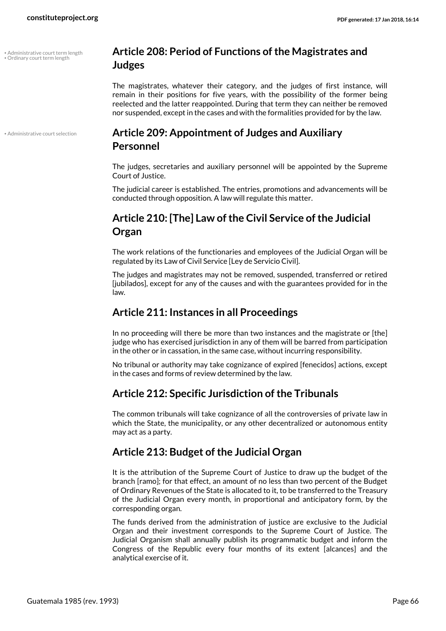• Administrative court term length • Ordinary court term length

#### **Article 208: Period of Functions of the Magistrates and Judges**

The magistrates, whatever their category, and the judges of first instance, will remain in their positions for five years, with the possibility of the former being reelected and the latter reappointed. During that term they can neither be removed nor suspended, except in the cases and with the formalities provided for by the law.

• Administrative court selection

### **Article 209: Appointment of Judges and Auxiliary Personnel**

The judges, secretaries and auxiliary personnel will be appointed by the Supreme Court of Justice.

The judicial career is established. The entries, promotions and advancements will be conducted through opposition. A law will regulate this matter.

## **Article 210: [The] Law of the Civil Service of the Judicial Organ**

The work relations of the functionaries and employees of the Judicial Organ will be regulated by its Law of Civil Service [Ley de Servicio Civil].

The judges and magistrates may not be removed, suspended, transferred or retired [jubilados], except for any of the causes and with the guarantees provided for in the law.

### **Article 211: Instances in all Proceedings**

In no proceeding will there be more than two instances and the magistrate or [the] judge who has exercised jurisdiction in any of them will be barred from participation in the other or in cassation, in the same case, without incurring responsibility.

No tribunal or authority may take cognizance of expired [fenecidos] actions, except in the cases and forms of review determined by the law.

### **Article 212: Specific Jurisdiction of the Tribunals**

The common tribunals will take cognizance of all the controversies of private law in which the State, the municipality, or any other decentralized or autonomous entity may act as a party.

### **Article 213: Budget of the Judicial Organ**

It is the attribution of the Supreme Court of Justice to draw up the budget of the branch [ramo]; for that effect, an amount of no less than two percent of the Budget of Ordinary Revenues of the State is allocated to it, to be transferred to the Treasury of the Judicial Organ every month, in proportional and anticipatory form, by the corresponding organ.

The funds derived from the administration of justice are exclusive to the Judicial Organ and their investment corresponds to the Supreme Court of Justice. The Judicial Organism shall annually publish its programmatic budget and inform the Congress of the Republic every four months of its extent [alcances] and the analytical exercise of it.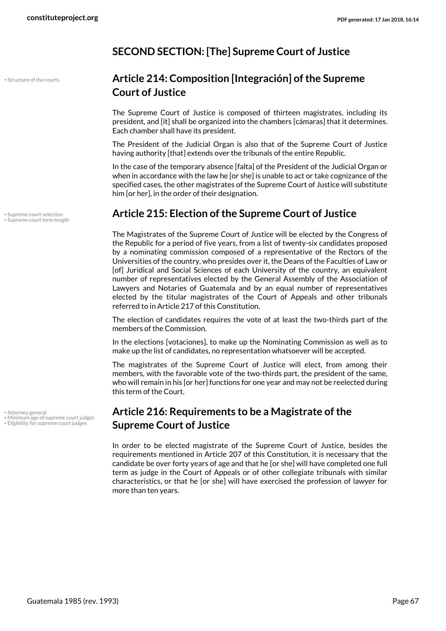### **SECOND SECTION: [The] Supreme Court of Justice**

• Structure of the courts

• Supreme court term length

### **Article 214: Composition [Integración] of the Supreme Court of Justice**

The Supreme Court of Justice is composed of thirteen magistrates, including its president, and [it] shall be organized into the chambers [cámaras] that it determines. Each chamber shall have its president.

The President of the Judicial Organ is also that of the Supreme Court of Justice having authority [that] extends over the tribunals of the entire Republic.

In the case of the temporary absence [falta] of the President of the Judicial Organ or when in accordance with the law he [or she] is unable to act or take cognizance of the specified cases, the other magistrates of the Supreme Court of Justice will substitute him [or her], in the order of their designation.

### • Supreme court selection **Article 215: Election of the Supreme Court of Justice**

The Magistrates of the Supreme Court of Justice will be elected by the Congress of the Republic for a period of five years, from a list of twenty-six candidates proposed by a nominating commission composed of a representative of the Rectors of the Universities of the country, who presides over it, the Deans of the Faculties of Law or [of] Juridical and Social Sciences of each University of the country, an equivalent number of representatives elected by the General Assembly of the Association of Lawyers and Notaries of Guatemala and by an equal number of representatives elected by the titular magistrates of the Court of Appeals and other tribunals referred to in Article 217 of this Constitution.

The election of candidates requires the vote of at least the two-thirds part of the members of the Commission.

In the elections [votaciones], to make up the Nominating Commission as well as to make up the list of candidates, no representation whatsoever will be accepted.

The magistrates of the Supreme Court of Justice will elect, from among their members, with the favorable vote of the two-thirds part, the president of the same, who will remain in his [or her] functions for one year and may not be reelected during this term of the Court.

• Attorney general

#### • Minimum age of supreme court judges • Eligibility for supreme court judges

### **Article 216: Requirements to be a Magistrate of the Supreme Court of Justice**

In order to be elected magistrate of the Supreme Court of Justice, besides the requirements mentioned in Article 207 of this Constitution, it is necessary that the candidate be over forty years of age and that he [or she] will have completed one full term as judge in the Court of Appeals or of other collegiate tribunals with similar characteristics, or that he [or she] will have exercised the profession of lawyer for more than ten years.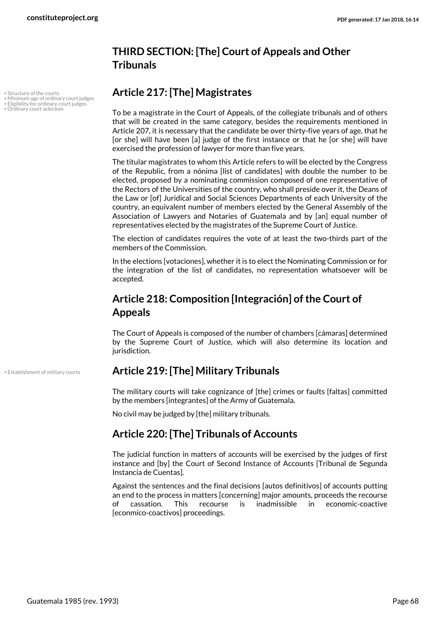• Minimum age of ordinary court judges • Eligibility for ordinary court judges

## **THIRD SECTION: [The] Court of Appeals and Other Tribunals**

### • Structure of the courts **Article 217: [The] Magistrates**

• Ordinary court selection To be a magistrate in the Court of Appeals, of the collegiate tribunals and of others that will be created in the same category, besides the requirements mentioned in Article 207, it is necessary that the candidate be over thirty-five years of age, that he [or she] will have been [a] judge of the first instance or that he [or she] will have exercised the profession of lawyer for more than five years.

> The titular magistrates to whom this Article refers to will be elected by the Congress of the Republic, from a nónima [list of candidates] with double the number to be elected, proposed by a nominating commission composed of one representative of the Rectors of the Universities of the country, who shall preside over it, the Deans of the Law or [of] Juridical and Social Sciences Departments of each University of the country, an equivalent number of members elected by the General Assembly of the Association of Lawyers and Notaries of Guatemala and by [an] equal number of representatives elected by the magistrates of the Supreme Court of Justice.

> The election of candidates requires the vote of at least the two-thirds part of the members of the Commission.

> In the elections [votaciones], whether it is to elect the Nominating Commission or for the integration of the list of candidates, no representation whatsoever will be accepted.

## **Article 218: Composition [Integración] of the Court of Appeals**

The Court of Appeals is composed of the number of chambers [cámaras] determined by the Supreme Court of Justice, which will also determine its location and jurisdiction.

#### • Establishment of military courts **Article 219: [The] Military Tribunals**

The military courts will take cognizance of [the] crimes or faults [faltas] committed by the members [integrantes] of the Army of Guatemala.

No civil may be judged by [the] military tribunals.

### **Article 220: [The] Tribunals of Accounts**

The judicial function in matters of accounts will be exercised by the judges of first instance and [by] the Court of Second Instance of Accounts [Tribunal de Segunda Instancia de Cuentas].

Against the sentences and the final decisions [autos definitivos] of accounts putting an end to the process in matters [concerning] major amounts, proceeds the recourse of cassation. This recourse is inadmissible in economic-coactive [econmíco-coactivos] proceedings.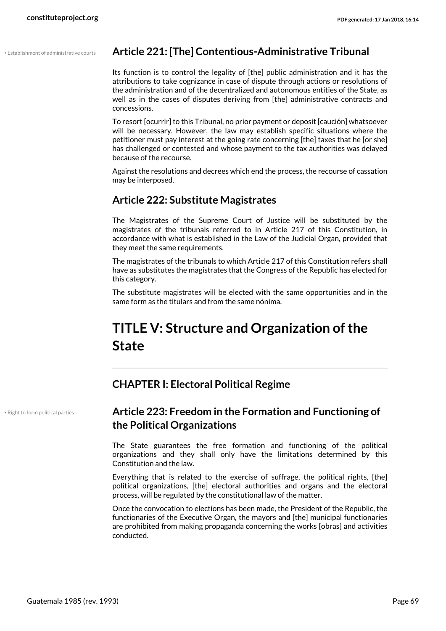#### • Establishment of administrative courts **Article 221: [The] Contentious-Administrative Tribunal**

Its function is to control the legality of [the] public administration and it has the attributions to take cognizance in case of dispute through actions or resolutions of the administration and of the decentralized and autonomous entities of the State, as well as in the cases of disputes deriving from [the] administrative contracts and concessions.

To resort [ocurrir] to this Tribunal, no prior payment or deposit [caución] whatsoever will be necessary. However, the law may establish specific situations where the petitioner must pay interest at the going rate concerning [the] taxes that he [or she] has challenged or contested and whose payment to the tax authorities was delayed because of the recourse.

Against the resolutions and decrees which end the process, the recourse of cassation may be interposed.

#### **Article 222: Substitute Magistrates**

The Magistrates of the Supreme Court of Justice will be substituted by the magistrates of the tribunals referred to in Article 217 of this Constitution, in accordance with what is established in the Law of the Judicial Organ, provided that they meet the same requirements.

The magistrates of the tribunals to which Article 217 of this Constitution refers shall have as substitutes the magistrates that the Congress of the Republic has elected for this category.

The substitute magistrates will be elected with the same opportunities and in the same form as the titulars and from the same nónima.

# **TITLE V: Structure and Organization of the State**

### **CHAPTER I: Electoral Political Regime**

• Right to form political parties

### **Article 223: Freedom in the Formation and Functioning of the Political Organizations**

The State guarantees the free formation and functioning of the political organizations and they shall only have the limitations determined by this Constitution and the law.

Everything that is related to the exercise of suffrage, the political rights, [the] political organizations, [the] electoral authorities and organs and the electoral process, will be regulated by the constitutional law of the matter.

Once the convocation to elections has been made, the President of the Republic, the functionaries of the Executive Organ, the mayors and [the] municipal functionaries are prohibited from making propaganda concerning the works [obras] and activities conducted.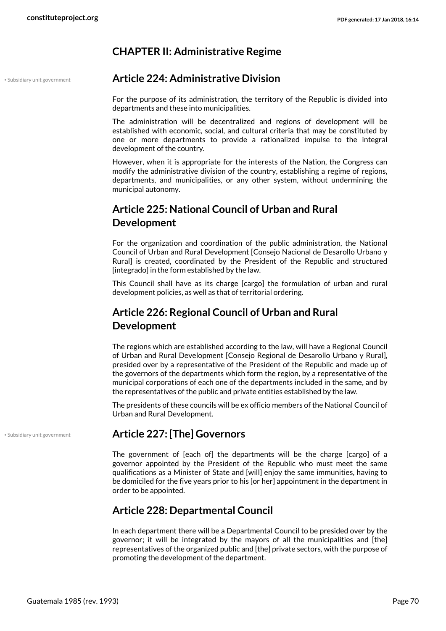### **CHAPTER II: Administrative Regime**

#### • Subsidiary unit government **Article 224: Administrative Division**

For the purpose of its administration, the territory of the Republic is divided into departments and these into municipalities.

The administration will be decentralized and regions of development will be established with economic, social, and cultural criteria that may be constituted by one or more departments to provide a rationalized impulse to the integral development of the country.

However, when it is appropriate for the interests of the Nation, the Congress can modify the administrative division of the country, establishing a regime of regions, departments, and municipalities, or any other system, without undermining the municipal autonomy.

## **Article 225: National Council of Urban and Rural Development**

For the organization and coordination of the public administration, the National Council of Urban and Rural Development [Consejo Nacional de Desarollo Urbano y Rural] is created, coordinated by the President of the Republic and structured [integrado] in the form established by the law.

This Council shall have as its charge [cargo] the formulation of urban and rural development policies, as well as that of territorial ordering.

## **Article 226: Regional Council of Urban and Rural Development**

The regions which are established according to the law, will have a Regional Council of Urban and Rural Development [Consejo Regional de Desarollo Urbano y Rural], presided over by a representative of the President of the Republic and made up of the governors of the departments which form the region, by a representative of the municipal corporations of each one of the departments included in the same, and by the representatives of the public and private entities established by the law.

The presidents of these councils will be ex officio members of the National Council of Urban and Rural Development.

#### • Subsidiary unit government **Article 227: [The] Governors**

The government of [each of] the departments will be the charge [cargo] of a governor appointed by the President of the Republic who must meet the same qualifications as a Minister of State and [will] enjoy the same immunities, having to be domiciled for the five years prior to his [or her] appointment in the department in order to be appointed.

### **Article 228: Departmental Council**

In each department there will be a Departmental Council to be presided over by the governor; it will be integrated by the mayors of all the municipalities and [the] representatives of the organized public and [the] private sectors, with the purpose of promoting the development of the department.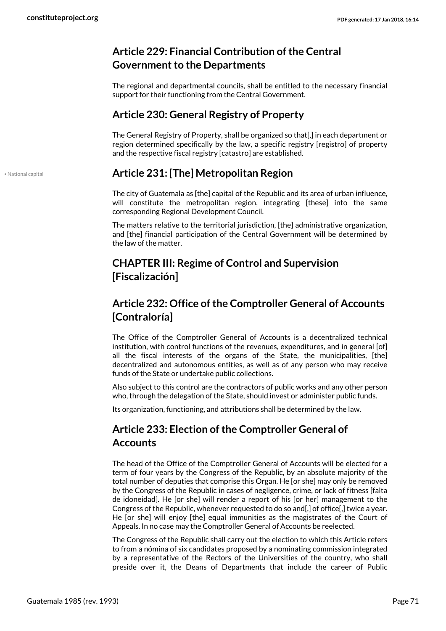## **Article 229: Financial Contribution of the Central Government to the Departments**

The regional and departmental councils, shall be entitled to the necessary financial support for their functioning from the Central Government.

### **Article 230: General Registry of Property**

The General Registry of Property, shall be organized so that[,] in each department or region determined specifically by the law, a specific registry [registro] of property and the respective fiscal registry [catastro] are established.

### • National capital **Article 231: [The] Metropolitan Region**

The city of Guatemala as [the] capital of the Republic and its area of urban influence, will constitute the metropolitan region, integrating [these] into the same corresponding Regional Development Council.

The matters relative to the territorial jurisdiction, [the] administrative organization, and [the] financial participation of the Central Government will be determined by the law of the matter.

## **CHAPTER III: Regime of Control and Supervision [Fiscalización]**

## **Article 232: Office of the Comptroller General of Accounts [Contraloría]**

The Office of the Comptroller General of Accounts is a decentralized technical institution, with control functions of the revenues, expenditures, and in general [of] all the fiscal interests of the organs of the State, the municipalities, [the] decentralized and autonomous entities, as well as of any person who may receive funds of the State or undertake public collections.

Also subject to this control are the contractors of public works and any other person who, through the delegation of the State, should invest or administer public funds.

Its organization, functioning, and attributions shall be determined by the law.

## **Article 233: Election of the Comptroller General of Accounts**

The head of the Office of the Comptroller General of Accounts will be elected for a term of four years by the Congress of the Republic, by an absolute majority of the total number of deputies that comprise this Organ. He [or she] may only be removed by the Congress of the Republic in cases of negligence, crime, or lack of fitness [falta de idoneidad]. He [or she] will render a report of his [or her] management to the Congress of the Republic, whenever requested to do so and[,] of office[,] twice a year. He [or she] will enjoy [the] equal immunities as the magistrates of the Court of Appeals. In no case may the Comptroller General of Accounts be reelected.

The Congress of the Republic shall carry out the election to which this Article refers to from a nómina of six candidates proposed by a nominating commission integrated by a representative of the Rectors of the Universities of the country, who shall preside over it, the Deans of Departments that include the career of Public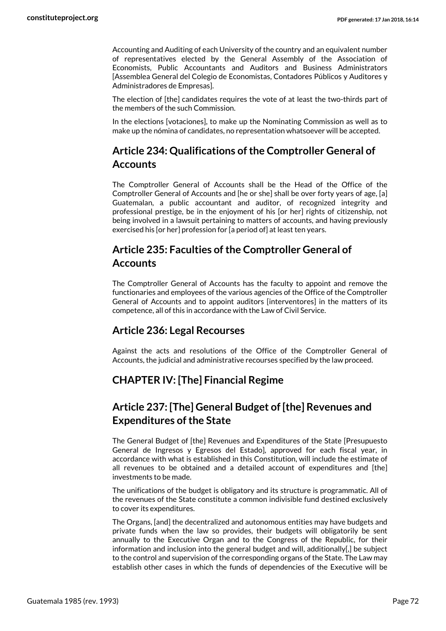Accounting and Auditing of each University of the country and an equivalent number of representatives elected by the General Assembly of the Association of Economists, Public Accountants and Auditors and Business Administrators [Assemblea General del Colegio de Economistas, Contadores Públicos y Auditores y Administradores de Empresas].

The election of [the] candidates requires the vote of at least the two-thirds part of the members of the such Commission.

In the elections [votaciones], to make up the Nominating Commission as well as to make up the nómina of candidates, no representation whatsoever will be accepted.

### **Article 234: Qualifications of the Comptroller General of Accounts**

The Comptroller General of Accounts shall be the Head of the Office of the Comptroller General of Accounts and [he or she] shall be over forty years of age, [a] Guatemalan, a public accountant and auditor, of recognized integrity and professional prestige, be in the enjoyment of his [or her] rights of citizenship, not being involved in a lawsuit pertaining to matters of accounts, and having previously exercised his [or her] profession for [a period of] at least ten years.

## **Article 235: Faculties of the Comptroller General of Accounts**

The Comptroller General of Accounts has the faculty to appoint and remove the functionaries and employees of the various agencies of the Office of the Comptroller General of Accounts and to appoint auditors [interventores] in the matters of its competence, all of this in accordance with the Law of Civil Service.

#### **Article 236: Legal Recourses**

Against the acts and resolutions of the Office of the Comptroller General of Accounts, the judicial and administrative recourses specified by the law proceed.

#### **CHAPTER IV: [The] Financial Regime**

### **Article 237: [The] General Budget of [the] Revenues and Expenditures of the State**

The General Budget of [the] Revenues and Expenditures of the State [Presupuesto General de Ingresos y Egresos del Estado], approved for each fiscal year, in accordance with what is established in this Constitution, will include the estimate of all revenues to be obtained and a detailed account of expenditures and [the] investments to be made.

The unifications of the budget is obligatory and its structure is programmatic. All of the revenues of the State constitute a common indivisible fund destined exclusively to cover its expenditures.

The Organs, [and] the decentralized and autonomous entities may have budgets and private funds when the law so provides, their budgets will obligatorily be sent annually to the Executive Organ and to the Congress of the Republic, for their information and inclusion into the general budget and will, additionally[,] be subject to the control and supervision of the corresponding organs of the State. The Law may establish other cases in which the funds of dependencies of the Executive will be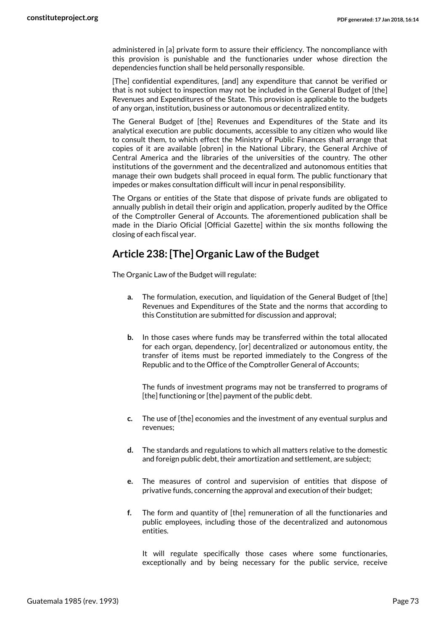administered in [a] private form to assure their efficiency. The noncompliance with this provision is punishable and the functionaries under whose direction the dependencies function shall be held personally responsible.

[The] confidential expenditures, [and] any expenditure that cannot be verified or that is not subject to inspection may not be included in the General Budget of [the] Revenues and Expenditures of the State. This provision is applicable to the budgets of any organ, institution, business or autonomous or decentralized entity.

The General Budget of [the] Revenues and Expenditures of the State and its analytical execution are public documents, accessible to any citizen who would like to consult them, to which effect the Ministry of Public Finances shall arrange that copies of it are available [obren] in the National Library, the General Archive of Central America and the libraries of the universities of the country. The other institutions of the government and the decentralized and autonomous entities that manage their own budgets shall proceed in equal form. The public functionary that impedes or makes consultation difficult will incur in penal responsibility.

The Organs or entities of the State that dispose of private funds are obligated to annually publish in detail their origin and application, properly audited by the Office of the Comptroller General of Accounts. The aforementioned publication shall be made in the Diario Oficial [Official Gazette] within the six months following the closing of each fiscal year.

#### **Article 238: [The] Organic Law of the Budget**

The Organic Law of the Budget will regulate:

- **a.** The formulation, execution, and liquidation of the General Budget of [the] Revenues and Expenditures of the State and the norms that according to this Constitution are submitted for discussion and approval;
- **b.** In those cases where funds may be transferred within the total allocated for each organ, dependency, [or] decentralized or autonomous entity, the transfer of items must be reported immediately to the Congress of the Republic and to the Office of the Comptroller General of Accounts;

The funds of investment programs may not be transferred to programs of [the] functioning or [the] payment of the public debt.

- **c.** The use of [the] economies and the investment of any eventual surplus and revenues;
- **d.** The standards and regulations to which all matters relative to the domestic and foreign public debt, their amortization and settlement, are subject;
- **e.** The measures of control and supervision of entities that dispose of privative funds, concerning the approval and execution of their budget;
- **f.** The form and quantity of [the] remuneration of all the functionaries and public employees, including those of the decentralized and autonomous entities.

It will regulate specifically those cases where some functionaries, exceptionally and by being necessary for the public service, receive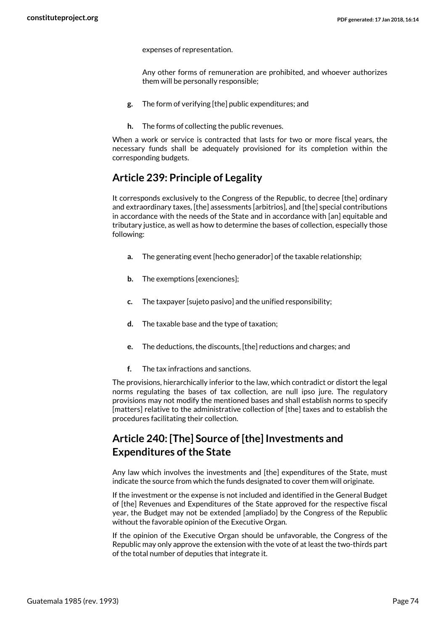expenses of representation.

Any other forms of remuneration are prohibited, and whoever authorizes them will be personally responsible;

- **g.** The form of verifying [the] public expenditures; and
- **h.** The forms of collecting the public revenues.

When a work or service is contracted that lasts for two or more fiscal years, the necessary funds shall be adequately provisioned for its completion within the corresponding budgets.

#### **Article 239: Principle of Legality**

It corresponds exclusively to the Congress of the Republic, to decree [the] ordinary and extraordinary taxes, [the] assessments [arbitrios], and [the] special contributions in accordance with the needs of the State and in accordance with [an] equitable and tributary justice, as well as how to determine the bases of collection, especially those following:

- **a.** The generating event [hecho generador] of the taxable relationship;
- **b.** The exemptions [exenciones];
- **c.** The taxpayer [sujeto pasivo] and the unified responsibility;
- **d.** The taxable base and the type of taxation;
- **e.** The deductions, the discounts, [the] reductions and charges; and
- **f.** The tax infractions and sanctions.

The provisions, hierarchically inferior to the law, which contradict or distort the legal norms regulating the bases of tax collection, are null ipso jure. The regulatory provisions may not modify the mentioned bases and shall establish norms to specify [matters] relative to the administrative collection of [the] taxes and to establish the procedures facilitating their collection.

### **Article 240: [The] Source of [the] Investments and Expenditures of the State**

Any law which involves the investments and [the] expenditures of the State, must indicate the source from which the funds designated to cover them will originate.

If the investment or the expense is not included and identified in the General Budget of [the] Revenues and Expenditures of the State approved for the respective fiscal year, the Budget may not be extended [ampliado] by the Congress of the Republic without the favorable opinion of the Executive Organ.

If the opinion of the Executive Organ should be unfavorable, the Congress of the Republic may only approve the extension with the vote of at least the two-thirds part of the total number of deputies that integrate it.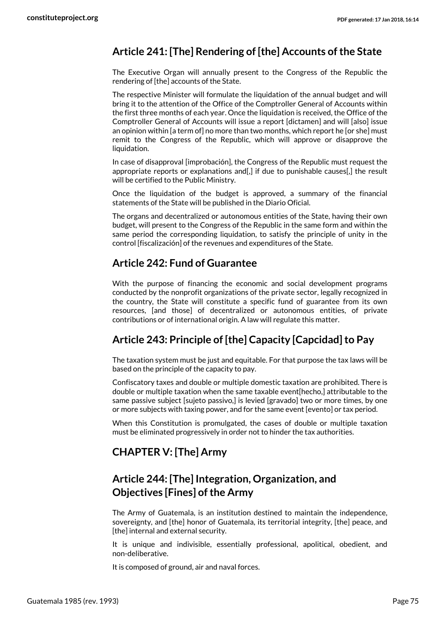### **Article 241: [The] Rendering of [the] Accounts of the State**

The Executive Organ will annually present to the Congress of the Republic the rendering of [the] accounts of the State.

The respective Minister will formulate the liquidation of the annual budget and will bring it to the attention of the Office of the Comptroller General of Accounts within the first three months of each year. Once the liquidation is received, the Office of the Comptroller General of Accounts will issue a report [dictamen] and will [also] issue an opinion within [a term of] no more than two months, which report he [or she] must remit to the Congress of the Republic, which will approve or disapprove the liquidation.

In case of disapproval [improbación], the Congress of the Republic must request the appropriate reports or explanations and[,] if due to punishable causes[,] the result will be certified to the Public Ministry.

Once the liquidation of the budget is approved, a summary of the financial statements of the State will be published in the Diario Oficial.

The organs and decentralized or autonomous entities of the State, having their own budget, will present to the Congress of the Republic in the same form and within the same period the corresponding liquidation, to satisfy the principle of unity in the control [fiscalización] of the revenues and expenditures of the State.

#### **Article 242: Fund of Guarantee**

With the purpose of financing the economic and social development programs conducted by the nonprofit organizations of the private sector, legally recognized in the country, the State will constitute a specific fund of guarantee from its own resources, [and those] of decentralized or autonomous entities, of private contributions or of international origin. A law will regulate this matter.

#### **Article 243: Principle of [the] Capacity [Capcidad] to Pay**

The taxation system must be just and equitable. For that purpose the tax laws will be based on the principle of the capacity to pay.

Confiscatory taxes and double or multiple domestic taxation are prohibited. There is double or multiple taxation when the same taxable event[hecho,] attributable to the same passive subject [sujeto passivo,] is levied [gravado] two or more times, by one or more subjects with taxing power, and for the same event [evento] or tax period.

When this Constitution is promulgated, the cases of double or multiple taxation must be eliminated progressively in order not to hinder the tax authorities.

### **CHAPTER V: [The] Army**

### **Article 244: [The] Integration, Organization, and Objectives [Fines] of the Army**

The Army of Guatemala, is an institution destined to maintain the independence, sovereignty, and [the] honor of Guatemala, its territorial integrity, [the] peace, and [the] internal and external security.

It is unique and indivisible, essentially professional, apolitical, obedient, and non-deliberative.

It is composed of ground, air and naval forces.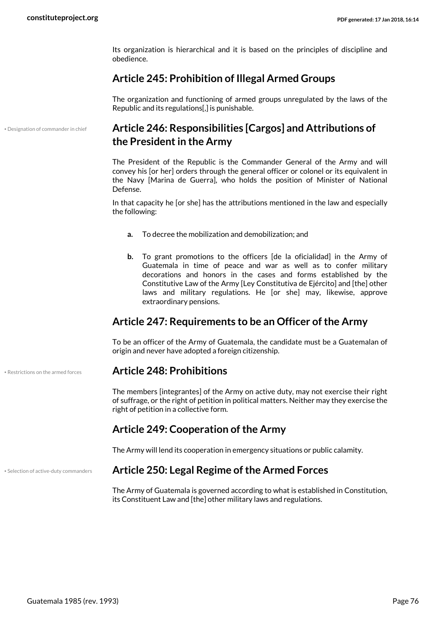Its organization is hierarchical and it is based on the principles of discipline and obedience.

#### **Article 245: Prohibition of Illegal Armed Groups**

The organization and functioning of armed groups unregulated by the laws of the Republic and its regulations[,] is punishable.

• Designation of commander in chief

#### <span id="page-75-0"></span>**Article 246: Responsibilities [Cargos] and Attributions of the President in the Army**

The President of the Republic is the Commander General of the Army and will convey his [or her] orders through the general officer or colonel or its equivalent in the Navy [Marina de Guerra], who holds the position of Minister of National Defense.

In that capacity he [or she] has the attributions mentioned in the law and especially the following:

- **a.** To decree the mobilization and demobilization; and
- **b.** To grant promotions to the officers [de la oficialidad] in the Army of Guatemala in time of peace and war as well as to confer military decorations and honors in the cases and forms established by the Constitutive Law of the Army [Ley Constitutiva de Ejército] and [the] other laws and military regulations. He [or she] may, likewise, approve extraordinary pensions.

#### **Article 247: Requirements to be an Officer of the Army**

To be an officer of the Army of Guatemala, the candidate must be a Guatemalan of origin and never have adopted a foreign citizenship.

• Restrictions on the armed forces **Article 248: Prohibitions**

<span id="page-75-1"></span>The members [integrantes] of the Army on active duty, may not exercise their right of suffrage, or the right of petition in political matters. Neither may they exercise the right of petition in a collective form.

#### **Article 249: Cooperation of the Army**

The Army will lend its cooperation in emergency situations or public calamity.

#### • Selection of active-duty commanders **Article 250: Legal Regime of the Armed Forces**

<span id="page-75-2"></span>The Army of Guatemala is governed according to what is established in Constitution, its Constituent Law and [the] other military laws and regulations.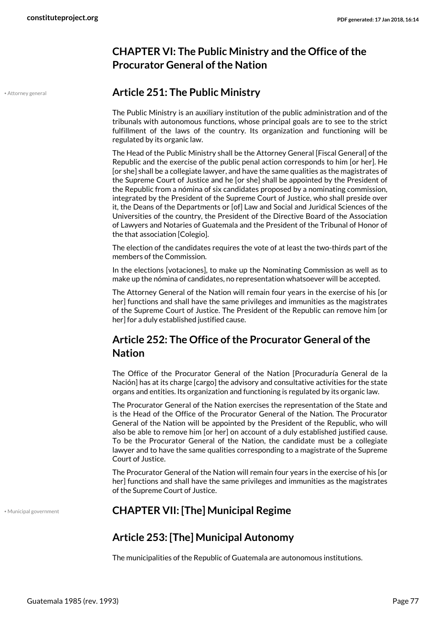### **CHAPTER VI: The Public Ministry and the Office of the Procurator General of the Nation**

<span id="page-76-0"></span>

#### • Attorney general **Article 251: The Public Ministry**

The Public Ministry is an auxiliary institution of the public administration and of the tribunals with autonomous functions, whose principal goals are to see to the strict fulfillment of the laws of the country. Its organization and functioning will be regulated by its organic law.

The Head of the Public Ministry shall be the Attorney General [Fiscal General] of the Republic and the exercise of the public penal action corresponds to him [or her]. He [or she] shall be a collegiate lawyer, and have the same qualities as the magistrates of the Supreme Court of Justice and he [or she] shall be appointed by the President of the Republic from a nómina of six candidates proposed by a nominating commission, integrated by the President of the Supreme Court of Justice, who shall preside over it, the Deans of the Departments or [of] Law and Social and Juridical Sciences of the Universities of the country, the President of the Directive Board of the Association of Lawyers and Notaries of Guatemala and the President of the Tribunal of Honor of the that association [Colegio].

The election of the candidates requires the vote of at least the two-thirds part of the members of the Commission.

In the elections [votaciones], to make up the Nominating Commission as well as to make up the nómina of candidates, no representation whatsoever will be accepted.

The Attorney General of the Nation will remain four years in the exercise of his [or her] functions and shall have the same privileges and immunities as the magistrates of the Supreme Court of Justice. The President of the Republic can remove him [or her] for a duly established justified cause.

### **Article 252: The Office of the Procurator General of the Nation**

The Office of the Procurator General of the Nation [Procuraduría General de la Nación] has at its charge [cargo] the advisory and consultative activities for the state organs and entities. Its organization and functioning is regulated by its organic law.

The Procurator General of the Nation exercises the representation of the State and is the Head of the Office of the Procurator General of the Nation. The Procurator General of the Nation will be appointed by the President of the Republic, who will also be able to remove him [or her] on account of a duly established justified cause. To be the Procurator General of the Nation, the candidate must be a collegiate lawyer and to have the same qualities corresponding to a magistrate of the Supreme Court of Justice.

The Procurator General of the Nation will remain four years in the exercise of his [or her] functions and shall have the same privileges and immunities as the magistrates of the Supreme Court of Justice.

<span id="page-76-1"></span>

#### • Municipal government **CHAPTER VII: [The] Municipal Regime**

#### **Article 253: [The] Municipal Autonomy**

The municipalities of the Republic of Guatemala are autonomous institutions.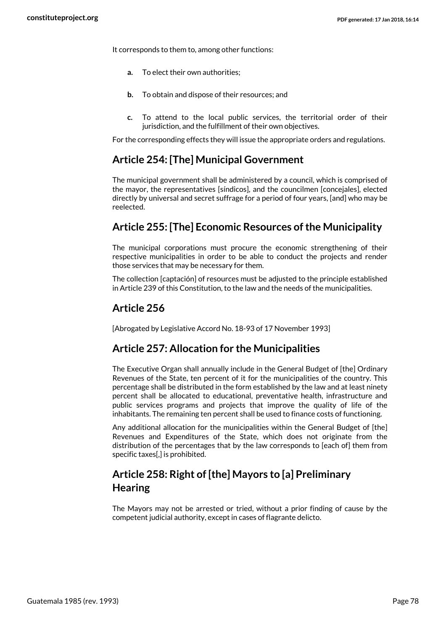It corresponds to them to, among other functions:

- **a.** To elect their own authorities;
- **b.** To obtain and dispose of their resources; and
- **c.** To attend to the local public services, the territorial order of their jurisdiction, and the fulfillment of their own objectives.

For the corresponding effects they will issue the appropriate orders and regulations.

### **Article 254: [The] Municipal Government**

The municipal government shall be administered by a council, which is comprised of the mayor, the representatives [síndicos], and the councilmen [concejales], elected directly by universal and secret suffrage for a period of four years, [and] who may be reelected.

### **Article 255: [The] Economic Resources of the Municipality**

The municipal corporations must procure the economic strengthening of their respective municipalities in order to be able to conduct the projects and render those services that may be necessary for them.

The collection [captación] of resources must be adjusted to the principle established in Article 239 of this Constitution, to the law and the needs of the municipalities.

#### **Article 256**

[Abrogated by Legislative Accord No. 18-93 of 17 November 1993]

### **Article 257: Allocation for the Municipalities**

The Executive Organ shall annually include in the General Budget of [the] Ordinary Revenues of the State, ten percent of it for the municipalities of the country. This percentage shall be distributed in the form established by the law and at least ninety percent shall be allocated to educational, preventative health, infrastructure and public services programs and projects that improve the quality of life of the inhabitants. The remaining ten percent shall be used to finance costs of functioning.

Any additional allocation for the municipalities within the General Budget of [the] Revenues and Expenditures of the State, which does not originate from the distribution of the percentages that by the law corresponds to [each of] them from specific taxes[,] is prohibited.

### **Article 258: Right of [the] Mayors to [a] Preliminary Hearing**

The Mayors may not be arrested or tried, without a prior finding of cause by the competent judicial authority, except in cases of flagrante delicto.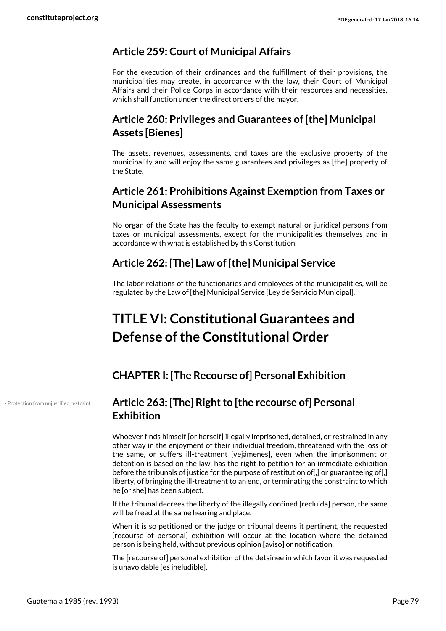### **Article 259: Court of Municipal Affairs**

For the execution of their ordinances and the fulfillment of their provisions, the municipalities may create, in accordance with the law, their Court of Municipal Affairs and their Police Corps in accordance with their resources and necessities, which shall function under the direct orders of the mayor.

### **Article 260: Privileges and Guarantees of [the] Municipal Assets [Bienes]**

The assets, revenues, assessments, and taxes are the exclusive property of the municipality and will enjoy the same guarantees and privileges as [the] property of the State.

### **Article 261: Prohibitions Against Exemption from Taxes or Municipal Assessments**

No organ of the State has the faculty to exempt natural or juridical persons from taxes or municipal assessments, except for the municipalities themselves and in accordance with what is established by this Constitution.

### **Article 262: [The] Law of [the] Municipal Service**

The labor relations of the functionaries and employees of the municipalities, will be regulated by the Law of [the] Municipal Service [Ley de Servicio Municipal].

# **TITLE VI: Constitutional Guarantees and Defense of the Constitutional Order**

**CHAPTER I: [The Recourse of] Personal Exhibition**

### <span id="page-78-0"></span>**Article 263: [The] Right to [the recourse of] Personal Exhibition**

Whoever finds himself [or herself] illegally imprisoned, detained, or restrained in any other way in the enjoyment of their individual freedom, threatened with the loss of the same, or suffers ill-treatment [vejámenes], even when the imprisonment or detention is based on the law, has the right to petition for an immediate exhibition before the tribunals of justice for the purpose of restitution of[,] or guaranteeing of[,] liberty, of bringing the ill-treatment to an end, or terminating the constraint to which he [or she] has been subject.

If the tribunal decrees the liberty of the illegally confined [recluida] person, the same will be freed at the same hearing and place.

When it is so petitioned or the judge or tribunal deems it pertinent, the requested [recourse of personal] exhibition will occur at the location where the detained person is being held, without previous opinion [aviso] or notification.

The [recourse of] personal exhibition of the detainee in which favor it was requested is unavoidable [es ineludible].

• Protection from unjustified restraint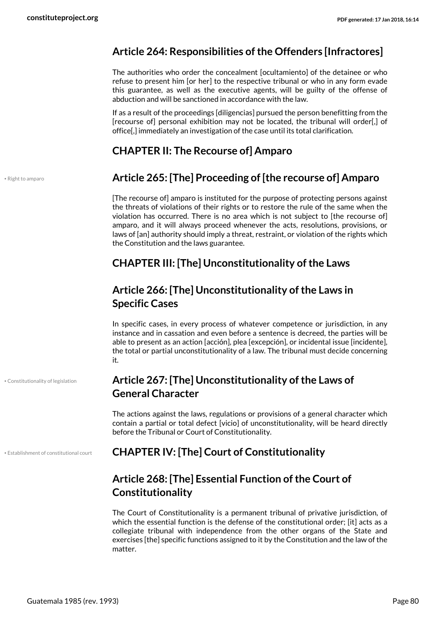### **Article 264: Responsibilities of the Offenders [Infractores]**

The authorities who order the concealment [ocultamiento] of the detainee or who refuse to present him [or her] to the respective tribunal or who in any form evade this guarantee, as well as the executive agents, will be guilty of the offense of abduction and will be sanctioned in accordance with the law.

If as a result of the proceedings [diligencias] pursued the person benefitting from the [recourse of] personal exhibition may not be located, the tribunal will order[,] of office[,] immediately an investigation of the case until its total clarification.

### **CHAPTER II: The Recourse of] Amparo**

### <span id="page-79-2"></span>• Right to amparo **Article 265: [The] Proceeding of [the recourse of] Amparo**

[The recourse of] amparo is instituted for the purpose of protecting persons against the threats of violations of their rights or to restore the rule of the same when the violation has occurred. There is no area which is not subject to [the recourse of] amparo, and it will always proceed whenever the acts, resolutions, provisions, or laws of [an] authority should imply a threat, restraint, or violation of the rights which the Constitution and the laws guarantee.

### **CHAPTER III: [The] Unconstitutionality of the Laws**

### **Article 266: [The] Unconstitutionality of the Laws in Specific Cases**

In specific cases, in every process of whatever competence or jurisdiction, in any instance and in cassation and even before a sentence is decreed, the parties will be able to present as an action [acción], plea [excepción], or incidental issue [incidente], the total or partial unconstitutionality of a law. The tribunal must decide concerning it.

### <span id="page-79-0"></span>**Article 267: [The] Unconstitutionality of the Laws of General Character**

The actions against the laws, regulations or provisions of a general character which contain a partial or total defect [vicio] of unconstitutionality, will be heard directly before the Tribunal or Court of Constitutionality.

• Constitutionality of legislation

### • Establishment of constitutional court **CHAPTER IV: [The] Court of Constitutionality**

### <span id="page-79-1"></span>**Article 268: [The] Essential Function of the Court of Constitutionality**

The Court of Constitutionality is a permanent tribunal of privative jurisdiction, of which the essential function is the defense of the constitutional order; [it] acts as a collegiate tribunal with independence from the other organs of the State and exercises [the] specific functions assigned to it by the Constitution and the law of the matter.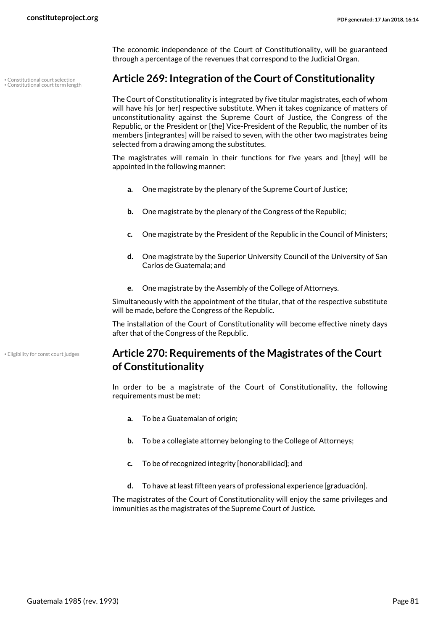The economic independence of the Court of Constitutionality, will be guaranteed through a percentage of the revenues that correspond to the Judicial Organ.

#### • Constitutional court term length

#### • Constitutional court selection **Article 269: Integration of the Court of Constitutionality**

<span id="page-80-1"></span><span id="page-80-0"></span>The Court of Constitutionality is integrated by five titular magistrates, each of whom will have his [or her] respective substitute. When it takes cognizance of matters of unconstitutionality against the Supreme Court of Justice, the Congress of the Republic, or the President or [the] Vice-President of the Republic, the number of its members [integrantes] will be raised to seven, with the other two magistrates being selected from a drawing among the substitutes.

The magistrates will remain in their functions for five years and [they] will be appointed in the following manner:

- **a.** One magistrate by the plenary of the Supreme Court of Justice;
- **b.** One magistrate by the plenary of the Congress of the Republic;
- **c.** One magistrate by the President of the Republic in the Council of Ministers;
- **d.** One magistrate by the Superior University Council of the University of San Carlos de Guatemala; and
- **e.** One magistrate by the Assembly of the College of Attorneys.

Simultaneously with the appointment of the titular, that of the respective substitute will be made, before the Congress of the Republic.

The installation of the Court of Constitutionality will become effective ninety days after that of the Congress of the Republic.

• Eligibility for const court judges

#### <span id="page-80-2"></span>**Article 270: Requirements of the Magistrates of the Court of Constitutionality**

In order to be a magistrate of the Court of Constitutionality, the following requirements must be met:

- **a.** To be a Guatemalan of origin;
- **b.** To be a collegiate attorney belonging to the College of Attorneys;
- **c.** To be of recognized integrity [honorabilidad]; and
- **d.** To have at least fifteen years of professional experience [graduación].

The magistrates of the Court of Constitutionality will enjoy the same privileges and immunities as the magistrates of the Supreme Court of Justice.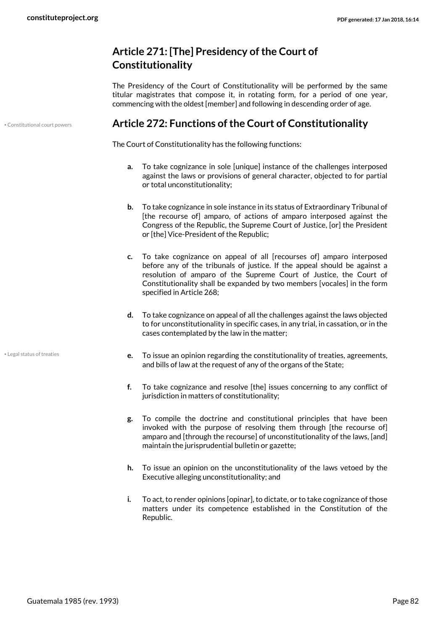### **Article 271: [The] Presidency of the Court of Constitutionality**

The Presidency of the Court of Constitutionality will be performed by the same titular magistrates that compose it, in rotating form, for a period of one year, commencing with the oldest [member] and following in descending order of age.

#### • Constitutional court powers **Article 272: Functions of the Court of Constitutionality**

<span id="page-81-0"></span>The Court of Constitutionality has the following functions:

- **a.** To take cognizance in sole [unique] instance of the challenges interposed against the laws or provisions of general character, objected to for partial or total unconstitutionality;
- **b.** To take cognizance in sole instance in its status of Extraordinary Tribunal of [the recourse of] amparo, of actions of amparo interposed against the Congress of the Republic, the Supreme Court of Justice, [or] the President or [the] Vice-President of the Republic;
- **c.** To take cognizance on appeal of all [recourses of] amparo interposed before any of the tribunals of justice. If the appeal should be against a resolution of amparo of the Supreme Court of Justice, the Court of Constitutionality shall be expanded by two members [vocales] in the form specified in Article 268;
- **d.** To take cognizance on appeal of all the challenges against the laws objected to for unconstitutionality in specific cases, in any trial, in cassation, or in the cases contemplated by the law in the matter;

- <span id="page-81-1"></span>• Legal status of treaties
- **e.** To issue an opinion regarding the constitutionality of treaties, agreements, and bills of law at the request of any of the organs of the State;
- **f.** To take cognizance and resolve [the] issues concerning to any conflict of jurisdiction in matters of constitutionality;
- **g.** To compile the doctrine and constitutional principles that have been invoked with the purpose of resolving them through [the recourse of] amparo and [through the recourse] of unconstitutionality of the laws, [and] maintain the jurisprudential bulletin or gazette;
- **h.** To issue an opinion on the unconstitutionality of the laws vetoed by the Executive alleging unconstitutionality; and
- **i.** To act, to render opinions [opinar], to dictate, or to take cognizance of those matters under its competence established in the Constitution of the Republic.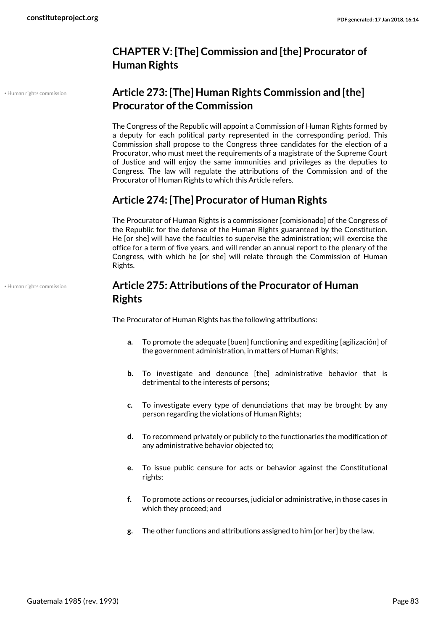### **CHAPTER V: [The] Commission and [the] Procurator of Human Rights**

• Human rights commission

### **Article 273: [The] Human Rights Commission and [the] Procurator of the Commission**

The Congress of the Republic will appoint a Commission of Human Rights formed by a deputy for each political party represented in the corresponding period. This Commission shall propose to the Congress three candidates for the election of a Procurator, who must meet the requirements of a magistrate of the Supreme Court of Justice and will enjoy the same immunities and privileges as the deputies to Congress. The law will regulate the attributions of the Commission and of the Procurator of Human Rights to which this Article refers.

### **Article 274: [The] Procurator of Human Rights**

The Procurator of Human Rights is a commissioner [comisionado] of the Congress of the Republic for the defense of the Human Rights guaranteed by the Constitution. He [or she] will have the faculties to supervise the administration; will exercise the office for a term of five years, and will render an annual report to the plenary of the Congress, with which he [or she] will relate through the Commission of Human Rights.

#### <span id="page-82-0"></span>**Article 275: Attributions of the Procurator of Human Rights**

The Procurator of Human Rights has the following attributions:

- **a.** To promote the adequate [buen] functioning and expediting [agilización] of the government administration, in matters of Human Rights;
- **b.** To investigate and denounce [the] administrative behavior that is detrimental to the interests of persons;
- **c.** To investigate every type of denunciations that may be brought by any person regarding the violations of Human Rights;
- **d.** To recommend privately or publicly to the functionaries the modification of any administrative behavior objected to;
- **e.** To issue public censure for acts or behavior against the Constitutional rights;
- **f.** To promote actions or recourses, judicial or administrative, in those cases in which they proceed; and
- **g.** The other functions and attributions assigned to him [or her] by the law.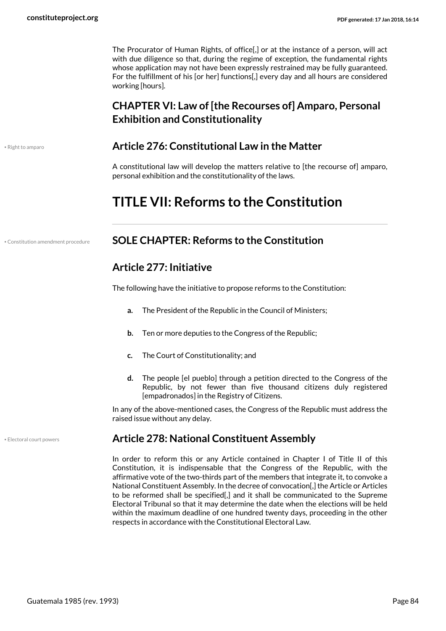The Procurator of Human Rights, of office[,] or at the instance of a person, will act with due diligence so that, during the regime of exception, the fundamental rights whose application may not have been expressly restrained may be fully guaranteed. For the fulfillment of his [or her] functions[,] every day and all hours are considered working [hours].

### **CHAPTER VI: Law of [the Recourses of] Amparo, Personal Exhibition and Constitutionality**

#### <span id="page-83-2"></span>• Right to amparo **Article 276: Constitutional Law in the Matter**

A constitutional law will develop the matters relative to [the recourse of] amparo, personal exhibition and the constitutionality of the laws.

## **TITLE VII: Reforms to the Constitution**

• Constitution amendment procedure **SOLE CHAPTER: Reforms to the Constitution**

#### <span id="page-83-0"></span>**Article 277: Initiative**

The following have the initiative to propose reforms to the Constitution:

- **a.** The President of the Republic in the Council of Ministers;
- **b.** Ten or more deputies to the Congress of the Republic;
- **c.** The Court of Constitutionality; and
- **d.** The people [el pueblo] through a petition directed to the Congress of the Republic, by not fewer than five thousand citizens duly registered [empadronados] in the Registry of Citizens.

In any of the above-mentioned cases, the Congress of the Republic must address the raised issue without any delay.

#### • Electoral court powers **Article 278: National Constituent Assembly**

In order to reform this or any Article contained in Chapter I of Title II of this Constitution, it is indispensable that the Congress of the Republic, with the affirmative vote of the two-thirds part of the members that integrate it, to convoke a National Constituent Assembly. In the decree of convocation[,] the Article or Articles to be reformed shall be specified[,] and it shall be communicated to the Supreme Electoral Tribunal so that it may determine the date when the elections will be held within the maximum deadline of one hundred twenty days, proceeding in the other respects in accordance with the Constitutional Electoral Law.

<span id="page-83-1"></span>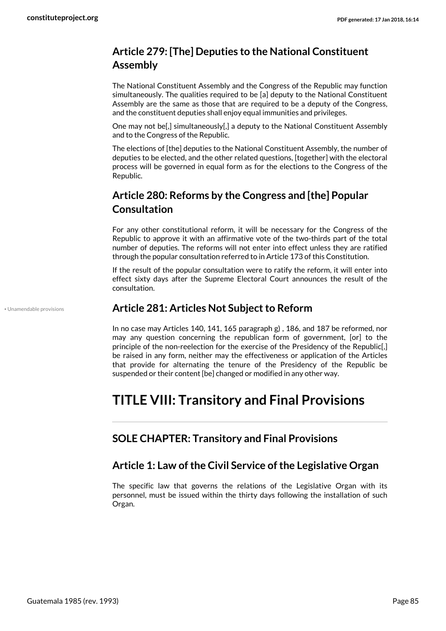### **Article 279: [The] Deputies to the National Constituent Assembly**

The National Constituent Assembly and the Congress of the Republic may function simultaneously. The qualities required to be [a] deputy to the National Constituent Assembly are the same as those that are required to be a deputy of the Congress, and the constituent deputies shall enjoy equal immunities and privileges.

One may not be[,] simultaneously[,] a deputy to the National Constituent Assembly and to the Congress of the Republic.

The elections of [the] deputies to the National Constituent Assembly, the number of deputies to be elected, and the other related questions, [together] with the electoral process will be governed in equal form as for the elections to the Congress of the Republic.

### **Article 280: Reforms by the Congress and [the] Popular Consultation**

For any other constitutional reform, it will be necessary for the Congress of the Republic to approve it with an affirmative vote of the two-thirds part of the total number of deputies. The reforms will not enter into effect unless they are ratified through the popular consultation referred to in Article 173 of this Constitution.

If the result of the popular consultation were to ratify the reform, it will enter into effect sixty days after the Supreme Electoral Court announces the result of the consultation.

#### • Unamendable provisions **Article 281: Articles Not Subject to Reform**

<span id="page-84-0"></span>In no case may Articles 140, 141, 165 paragraph g) , 186, and 187 be reformed, nor may any question concerning the republican form of government, [or] to the principle of the non-reelection for the exercise of the Presidency of the Republic[,] be raised in any form, neither may the effectiveness or application of the Articles that provide for alternating the tenure of the Presidency of the Republic be suspended or their content [be] changed or modified in any other way.

## **TITLE VIII: Transitory and Final Provisions**

### **SOLE CHAPTER: Transitory and Final Provisions**

#### **Article 1: Law of the Civil Service of the Legislative Organ**

The specific law that governs the relations of the Legislative Organ with its personnel, must be issued within the thirty days following the installation of such Organ.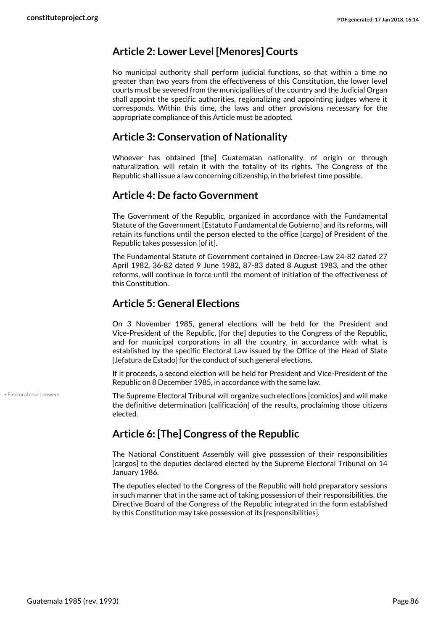#### **Article 2: Lower Level [Menores] Courts**

No municipal authority shall perform judicial functions, so that within a time no greater than two years from the effectiveness of this Constitution, the lower level courts must be severed from the municipalities of the country and the Judicial Organ shall appoint the specific authorities, regionalizing and appointing judges where it corresponds. Within this time, the laws and other provisions necessary for the appropriate compliance of this Article must be adopted.

#### **Article 3: Conservation of Nationality**

Whoever has obtained [the] Guatemalan nationality, of origin or through naturalization, will retain it with the totality of its rights. The Congress of the Republic shall issue a law concerning citizenship, in the briefest time possible.

#### **Article 4: De facto Government**

The Government of the Republic, organized in accordance with the Fundamental Statute of the Government [Estatuto Fundamental de Gobierno] and its reforms, will retain its functions until the person elected to the office [cargo] of President of the Republic takes possession [of it].

The Fundamental Statute of Government contained in Decree-Law 24-82 dated 27 April 1982, 36-82 dated 9 June 1982, 87-83 dated 8 August 1983, and the other reforms, will continue in force until the moment of initiation of the effectiveness of this Constitution.

#### **Article 5: General Elections**

On 3 November 1985, general elections will be held for the President and Vice-President of the Republic, [for the] deputies to the Congress of the Republic, and for municipal corporations in all the country, in accordance with what is established by the specific Electoral Law issued by the Office of the Head of State [Jefatura de Estado] for the conduct of such general elections.

If it proceeds, a second election will be held for President and Vice-President of the Republic on 8 December 1985, in accordance with the same law.

<span id="page-85-0"></span>The Supreme Electoral Tribunal will organize such elections [comicios] and will make the definitive determination [calificación] of the results, proclaiming those citizens elected.

#### **Article 6: [The] Congress of the Republic**

The National Constituent Assembly will give possession of their responsibilities [cargos] to the deputies declared elected by the Supreme Electoral Tribunal on 14 January 1986.

The deputies elected to the Congress of the Republic will hold preparatory sessions in such manner that in the same act of taking possession of their responsibilities, the Directive Board of the Congress of the Republic integrated in the form established by this Constitution may take possession of its [responsibilities].

• Electoral court powers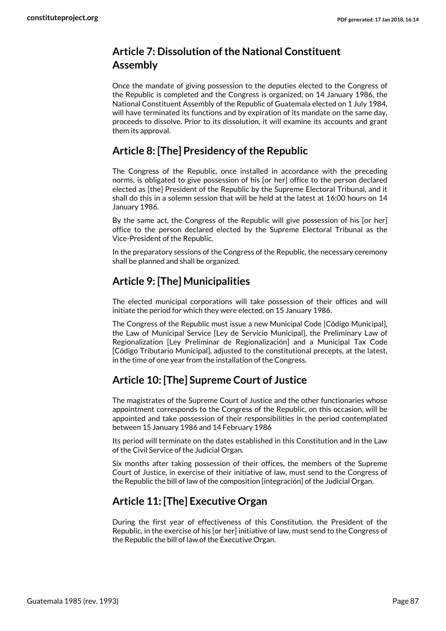### **Article 7: Dissolution of the National Constituent Assembly**

Once the mandate of giving possession to the deputies elected to the Congress of the Republic is completed and the Congress is organized, on 14 January 1986, the National Constituent Assembly of the Republic of Guatemala elected on 1 July 1984, will have terminated its functions and by expiration of its mandate on the same day, proceeds to dissolve. Prior to its dissolution, it will examine its accounts and grant them its approval.

### **Article 8: [The] Presidency of the Republic**

The Congress of the Republic, once installed in accordance with the preceding norms, is obligated to give possession of his [or her] office to the person declared elected as [the] President of the Republic by the Supreme Electoral Tribunal, and it shall do this in a solemn session that will be held at the latest at 16:00 hours on 14 January 1986.

By the same act, the Congress of the Republic will give possession of his [or her] office to the person declared elected by the Supreme Electoral Tribunal as the Vice-President of the Republic.

In the preparatory sessions of the Congress of the Republic, the necessary ceremony shall be planned and shall be organized.

### **Article 9: [The] Municipalities**

The elected municipal corporations will take possession of their offices and will initiate the period for which they were elected, on 15 January 1986.

The Congress of the Republic must issue a new Municipal Code [Código Municipal], the Law of Municipal Service [Ley de Servicio Municipal], the Preliminary Law of Regionalization [Ley Preliminar de Regionalización] and a Municipal Tax Code [Código Tributario Municipal], adjusted to the constitutional precepts, at the latest, in the time of one year from the installation of the Congress.

### **Article 10: [The] Supreme Court of Justice**

The magistrates of the Supreme Court of Justice and the other functionaries whose appointment corresponds to the Congress of the Republic, on this occasion, will be appointed and take possession of their responsibilities in the period contemplated between 15 January 1986 and 14 February 1986

Its period will terminate on the dates established in this Constitution and in the Law of the Civil Service of the Judicial Organ.

Six months after taking possession of their offices, the members of the Supreme Court of Justice, in exercise of their initiative of law, must send to the Congress of the Republic the bill of law of the composition [integración] of the Judicial Organ.

### **Article 11: [The] Executive Organ**

During the first year of effectiveness of this Constitution, the President of the Republic, in the exercise of his [or her] initiative of law, must send to the Congress of the Republic the bill of law of the Executive Organ.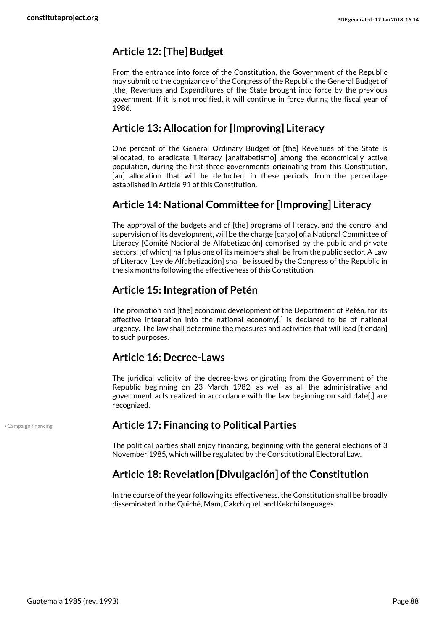### **Article 12: [The] Budget**

From the entrance into force of the Constitution, the Government of the Republic may submit to the cognizance of the Congress of the Republic the General Budget of [the] Revenues and Expenditures of the State brought into force by the previous government. If it is not modified, it will continue in force during the fiscal year of 1986.

### **Article 13: Allocation for [Improving] Literacy**

One percent of the General Ordinary Budget of [the] Revenues of the State is allocated, to eradicate illiteracy [analfabetismo] among the economically active population, during the first three governments originating from this Constitution, [an] allocation that will be deducted, in these periods, from the percentage established in Article 91 of this Constitution.

### **Article 14: National Committee for [Improving] Literacy**

The approval of the budgets and of [the] programs of literacy, and the control and supervision of its development, will be the charge [cargo] of a National Committee of Literacy [Comité Nacional de Alfabetización] comprised by the public and private sectors, [of which] half plus one of its members shall be from the public sector. A Law of Literacy [Ley de Alfabetización] shall be issued by the Congress of the Republic in the six months following the effectiveness of this Constitution.

#### **Article 15: Integration of Petén**

The promotion and [the] economic development of the Department of Petén, for its effective integration into the national economy[,] is declared to be of national urgency. The law shall determine the measures and activities that will lead [tiendan] to such purposes.

#### **Article 16: Decree-Laws**

The juridical validity of the decree-laws originating from the Government of the Republic beginning on 23 March 1982, as well as all the administrative and government acts realized in accordance with the law beginning on said date[,] are recognized.

<span id="page-87-0"></span>

#### • Campaign financing **Article 17: Financing to Political Parties**

The political parties shall enjoy financing, beginning with the general elections of 3 November 1985, which will be regulated by the Constitutional Electoral Law.

#### **Article 18: Revelation [Divulgación] of the Constitution**

In the course of the year following its effectiveness, the Constitution shall be broadly disseminated in the Quiché, Mam, Cakchiquel, and Kekchí languages.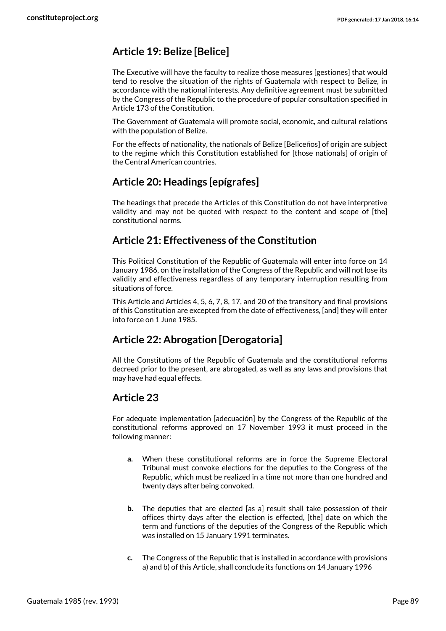#### **Article 19: Belize [Belice]**

The Executive will have the faculty to realize those measures [gestiones] that would tend to resolve the situation of the rights of Guatemala with respect to Belize, in accordance with the national interests. Any definitive agreement must be submitted by the Congress of the Republic to the procedure of popular consultation specified in Article 173 of the Constitution.

The Government of Guatemala will promote social, economic, and cultural relations with the population of Belize.

For the effects of nationality, the nationals of Belize [Beliceños] of origin are subject to the regime which this Constitution established for [those nationals] of origin of the Central American countries.

#### **Article 20: Headings [epígrafes]**

The headings that precede the Articles of this Constitution do not have interpretive validity and may not be quoted with respect to the content and scope of [the] constitutional norms.

#### **Article 21: Effectiveness of the Constitution**

This Political Constitution of the Republic of Guatemala will enter into force on 14 January 1986, on the installation of the Congress of the Republic and will not lose its validity and effectiveness regardless of any temporary interruption resulting from situations of force.

This Article and Articles 4, 5, 6, 7, 8, 17, and 20 of the transitory and final provisions of this Constitution are excepted from the date of effectiveness, [and] they will enter into force on 1 June 1985.

#### **Article 22: Abrogation [Derogatoria]**

All the Constitutions of the Republic of Guatemala and the constitutional reforms decreed prior to the present, are abrogated, as well as any laws and provisions that may have had equal effects.

#### **Article 23**

For adequate implementation [adecuación] by the Congress of the Republic of the constitutional reforms approved on 17 November 1993 it must proceed in the following manner:

- **a.** When these constitutional reforms are in force the Supreme Electoral Tribunal must convoke elections for the deputies to the Congress of the Republic, which must be realized in a time not more than one hundred and twenty days after being convoked.
- **b.** The deputies that are elected [as a] result shall take possession of their offices thirty days after the election is effected, [the] date on which the term and functions of the deputies of the Congress of the Republic which was installed on 15 January 1991 terminates.
- **c.** The Congress of the Republic that is installed in accordance with provisions a) and b) of this Article, shall conclude its functions on 14 January 1996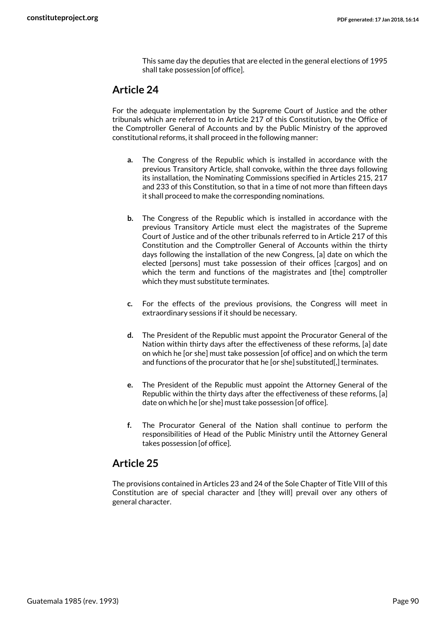This same day the deputies that are elected in the general elections of 1995 shall take possession [of office].

#### **Article 24**

For the adequate implementation by the Supreme Court of Justice and the other tribunals which are referred to in Article 217 of this Constitution, by the Office of the Comptroller General of Accounts and by the Public Ministry of the approved constitutional reforms, it shall proceed in the following manner:

- **a.** The Congress of the Republic which is installed in accordance with the previous Transitory Article, shall convoke, within the three days following its installation, the Nominating Commissions specified in Articles 215, 217 and 233 of this Constitution, so that in a time of not more than fifteen days it shall proceed to make the corresponding nominations.
- **b.** The Congress of the Republic which is installed in accordance with the previous Transitory Article must elect the magistrates of the Supreme Court of Justice and of the other tribunals referred to in Article 217 of this Constitution and the Comptroller General of Accounts within the thirty days following the installation of the new Congress, [a] date on which the elected [persons] must take possession of their offices [cargos] and on which the term and functions of the magistrates and [the] comptroller which they must substitute terminates.
- **c.** For the effects of the previous provisions, the Congress will meet in extraordinary sessions if it should be necessary.
- **d.** The President of the Republic must appoint the Procurator General of the Nation within thirty days after the effectiveness of these reforms, [a] date on which he [or she] must take possession [of office] and on which the term and functions of the procurator that he [or she] substituted[,] terminates.
- **e.** The President of the Republic must appoint the Attorney General of the Republic within the thirty days after the effectiveness of these reforms, [a] date on which he [or she] must take possession [of office].
- **f.** The Procurator General of the Nation shall continue to perform the responsibilities of Head of the Public Ministry until the Attorney General takes possession [of office].

#### **Article 25**

The provisions contained in Articles 23 and 24 of the Sole Chapter of Title VIII of this Constitution are of special character and [they will] prevail over any others of general character.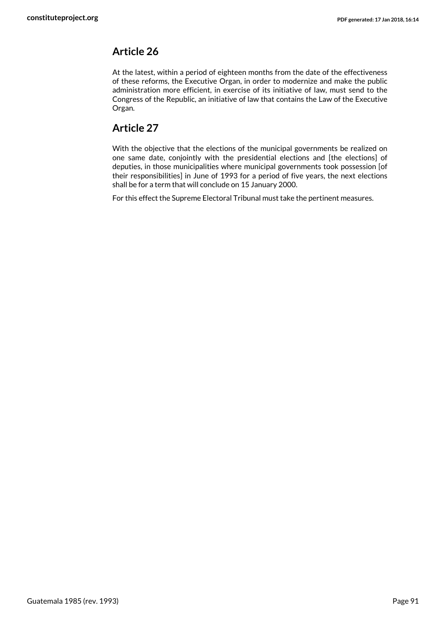### **Article 26**

At the latest, within a period of eighteen months from the date of the effectiveness of these reforms, the Executive Organ, in order to modernize and make the public administration more efficient, in exercise of its initiative of law, must send to the Congress of the Republic, an initiative of law that contains the Law of the Executive Organ.

### **Article 27**

With the objective that the elections of the municipal governments be realized on one same date, conjointly with the presidential elections and [the elections] of deputies, in those municipalities where municipal governments took possession [of their responsibilities] in June of 1993 for a period of five years, the next elections shall be for a term that will conclude on 15 January 2000.

For this effect the Supreme Electoral Tribunal must take the pertinent measures.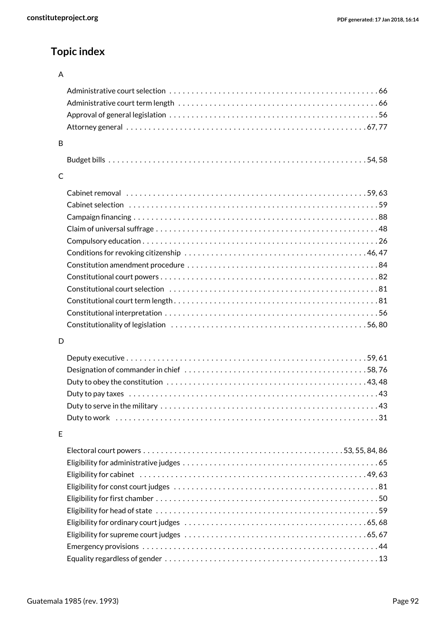### **Topic index**

#### A

| B |                                                                                                                  |
|---|------------------------------------------------------------------------------------------------------------------|
|   |                                                                                                                  |
| C |                                                                                                                  |
|   |                                                                                                                  |
|   |                                                                                                                  |
|   |                                                                                                                  |
|   |                                                                                                                  |
|   |                                                                                                                  |
|   |                                                                                                                  |
|   |                                                                                                                  |
|   |                                                                                                                  |
|   |                                                                                                                  |
|   |                                                                                                                  |
|   |                                                                                                                  |
|   |                                                                                                                  |
| D |                                                                                                                  |
|   |                                                                                                                  |
|   |                                                                                                                  |
|   |                                                                                                                  |
|   | Duty to pay taxes experience in the control of the control of the control of the control of the control of the c |
|   |                                                                                                                  |
|   |                                                                                                                  |
| E |                                                                                                                  |
|   |                                                                                                                  |
|   |                                                                                                                  |
|   |                                                                                                                  |
|   |                                                                                                                  |
|   |                                                                                                                  |
|   |                                                                                                                  |
|   |                                                                                                                  |
|   |                                                                                                                  |
|   |                                                                                                                  |
|   |                                                                                                                  |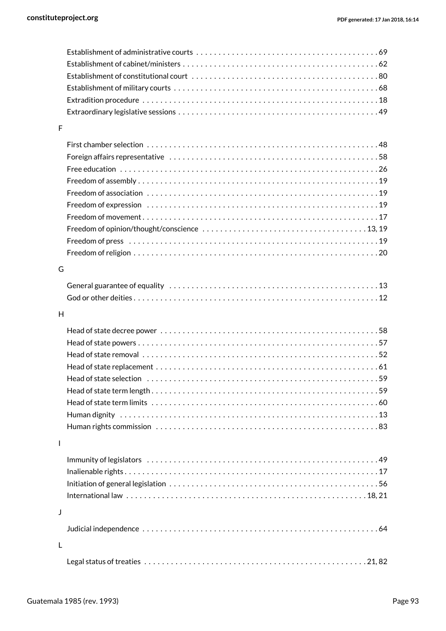| F |  |
|---|--|
|   |  |
|   |  |
|   |  |
|   |  |
|   |  |
|   |  |
|   |  |
|   |  |
|   |  |
|   |  |
|   |  |
| Ġ |  |
|   |  |
|   |  |
|   |  |
| H |  |
|   |  |
|   |  |
|   |  |
|   |  |
|   |  |
|   |  |
|   |  |
|   |  |
|   |  |
|   |  |
| I |  |
|   |  |
|   |  |
|   |  |
|   |  |
|   |  |
|   |  |
| J |  |
|   |  |
|   |  |
| L |  |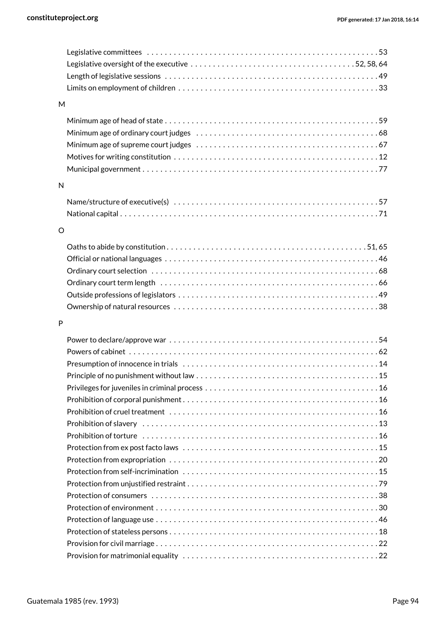| M            |  |
|--------------|--|
|              |  |
|              |  |
|              |  |
|              |  |
|              |  |
|              |  |
| $\mathsf{N}$ |  |
|              |  |
|              |  |
| $\circ$      |  |
|              |  |
|              |  |
|              |  |
|              |  |
|              |  |
|              |  |
|              |  |
| P            |  |
|              |  |
|              |  |
|              |  |
|              |  |
|              |  |
|              |  |
|              |  |
|              |  |
|              |  |
|              |  |
|              |  |
|              |  |
|              |  |
|              |  |
|              |  |
|              |  |
|              |  |
|              |  |
|              |  |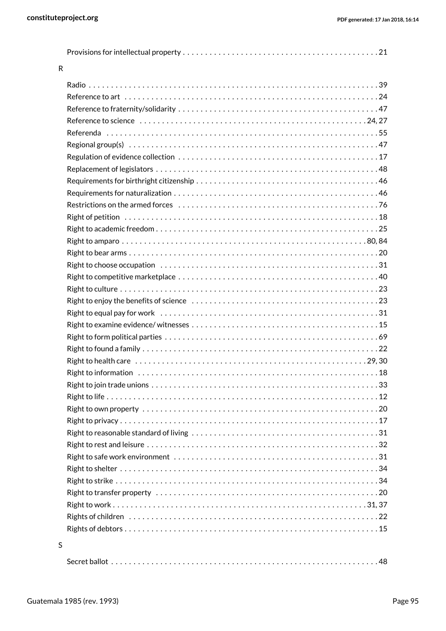| R |                                                                                                           |
|---|-----------------------------------------------------------------------------------------------------------|
|   |                                                                                                           |
|   |                                                                                                           |
|   |                                                                                                           |
|   |                                                                                                           |
|   |                                                                                                           |
|   | Regional group(s) $\dots\dots\dots\dots\dots\dots\dots\dots\dots\dots\dots\dots\dots\dots\dots\dots\dots$ |
|   |                                                                                                           |
|   |                                                                                                           |
|   |                                                                                                           |
|   |                                                                                                           |
|   |                                                                                                           |
|   |                                                                                                           |
|   |                                                                                                           |
|   |                                                                                                           |
|   |                                                                                                           |
|   |                                                                                                           |
|   |                                                                                                           |
|   |                                                                                                           |
|   |                                                                                                           |
|   |                                                                                                           |
|   |                                                                                                           |
|   |                                                                                                           |
|   |                                                                                                           |
|   | Right to health care $\dots\dots\dots\dots\dots\dots\dots\dots\dots\dots\dots\dots\dots\dots\dots\dots$   |
|   |                                                                                                           |
|   |                                                                                                           |
|   |                                                                                                           |
|   |                                                                                                           |
|   |                                                                                                           |
|   |                                                                                                           |
|   |                                                                                                           |
|   |                                                                                                           |
|   |                                                                                                           |
|   |                                                                                                           |
|   |                                                                                                           |
|   |                                                                                                           |
|   |                                                                                                           |
|   |                                                                                                           |
| S |                                                                                                           |
|   |                                                                                                           |